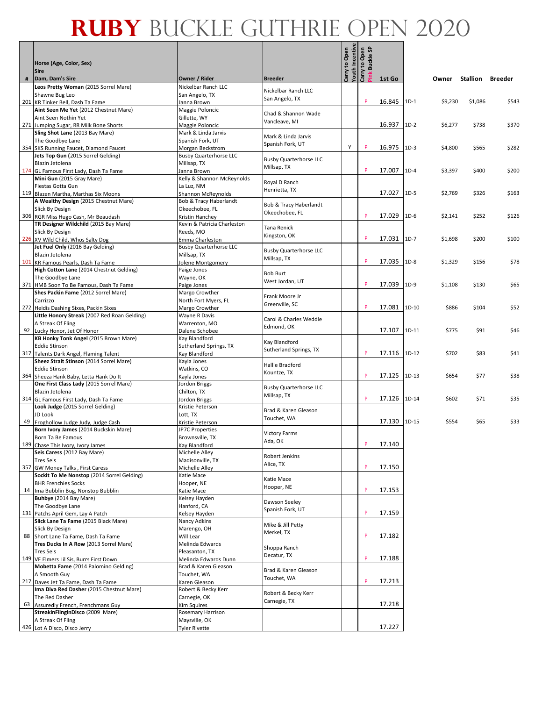|   | Horse (Age, Color, Sex)<br><b>Sire</b>                                            |                                                   |                               | Carry to Open<br>Youth Incentive | Carry to Open<br>္တ<br>Buckle ! |        |         |         |          |         |
|---|-----------------------------------------------------------------------------------|---------------------------------------------------|-------------------------------|----------------------------------|---------------------------------|--------|---------|---------|----------|---------|
| # | Dam, Dam's Sire                                                                   | Owner / Rider                                     | <b>Breeder</b>                |                                  |                                 | 1st Go |         | Owner   | Stallion | Breeder |
|   | Leos Pretty Woman (2015 Sorrel Mare)                                              | Nickelbar Ranch LLC                               | Nickelbar Ranch LLC           |                                  |                                 |        |         |         |          |         |
|   | Shawne Bug Leo<br>201 KR Tinker Bell, Dash Ta Fame                                | San Angelo, TX<br>Janna Brown                     | San Angelo, TX                |                                  | P                               | 16.845 | $1D-1$  | \$9,230 | \$1,086  | \$543   |
|   | Aint Seen Me Yet (2012 Chestnut Mare)                                             | Maggie Poloncic                                   |                               |                                  |                                 |        |         |         |          |         |
|   | Aint Seen Nothin Yet                                                              | Gillette, WY                                      | Chad & Shannon Wade           |                                  |                                 |        |         |         |          |         |
|   | 271 Jumping Sugar, RR Milk Bone Shorts                                            | Maggie Poloncic                                   | Vancleave, MI                 |                                  |                                 | 16.937 | $1D-2$  | \$6,277 | \$738    | \$370   |
|   | Sling Shot Lane (2013 Bay Mare)                                                   | Mark & Linda Jarvis                               | Mark & Linda Jarvis           |                                  |                                 |        |         |         |          |         |
|   | The Goodbye Lane                                                                  | Spanish Fork, UT                                  | Spanish Fork, UT              | Υ                                | P                               |        |         |         |          |         |
|   | 354 SKS Running Faucet, Diamond Faucet<br>Jets Top Gun (2015 Sorrel Gelding)      | Morgan Beckstrom<br><b>Busby Quarterhorse LLC</b> |                               |                                  |                                 | 16.975 | $1D-3$  | \$4,800 | \$565    | \$282   |
|   | Blazin Jetolena                                                                   | Millsap, TX                                       | <b>Busby Quarterhorse LLC</b> |                                  |                                 |        |         |         |          |         |
|   | 174 GL Famous First Lady, Dash Ta Fame                                            | Janna Brown                                       | Millsap, TX                   |                                  | P                               | 17.007 | $1D-4$  | \$3,397 | \$400    | \$200   |
|   | Mini Gun (2015 Gray Mare)                                                         | Kelly & Shannon McReynolds                        | Royal D Ranch                 |                                  |                                 |        |         |         |          |         |
|   | Fiestas Gotta Gun                                                                 | La Luz, NM                                        | Henrietta, TX                 |                                  |                                 |        |         |         |          |         |
|   | 119 Blazen Martha, Marthas Six Moons                                              | Shannon McReynolds                                |                               |                                  |                                 | 17.027 | $1D-5$  | \$2,769 | \$326    | \$163   |
|   | A Wealthy Design (2015 Chestnut Mare)<br>Slick By Design                          | Bob & Tracy Haberlandt<br>Okeechobee, FL          | Bob & Tracy Haberlandt        |                                  |                                 |        |         |         |          |         |
|   | 306 RGR Miss Hugo Cash, Mr Beaudash                                               | Kristin Hanchey                                   | Okeechobee, FL                |                                  | P                               | 17.029 | $1D-6$  | \$2,141 | \$252    | \$126   |
|   | TR Designer Wildchild (2015 Bay Mare)                                             | Kevin & Patricia Charleston                       | Tana Renick                   |                                  |                                 |        |         |         |          |         |
|   | Slick By Design                                                                   | Reeds, MO                                         | Kingston, OK                  |                                  |                                 |        |         |         |          |         |
|   | 226 XV Wild Child, Whos Salty Dog                                                 | Emma Charleston                                   |                               |                                  | P                               | 17.031 | $1D-7$  | \$1,698 | \$200    | \$100   |
|   | Jet Fuel Only (2016 Bay Gelding)<br>Blazin Jetolena                               | <b>Busby Quarterhorse LLC</b>                     | <b>Busby Quarterhorse LLC</b> |                                  |                                 |        |         |         |          |         |
|   | 101 KR Famous Pearls, Dash Ta Fame                                                | Millsap, TX<br>Jolene Montgomery                  | Millsap, TX                   |                                  | P                               | 17.035 | $1D-8$  | \$1,329 | \$156    | \$78    |
|   | High Cotton Lane (2014 Chestnut Gelding)                                          | Paige Jones                                       |                               |                                  |                                 |        |         |         |          |         |
|   | The Goodbye Lane                                                                  | Wayne, OK                                         | <b>Bob Burt</b>               |                                  |                                 |        |         |         |          |         |
|   | 371 HMB Soon To Be Famous, Dash Ta Fame                                           | Paige Jones                                       | West Jordan, UT               |                                  | P                               | 17.039 | $1D-9$  | \$1,108 | \$130    | \$65    |
|   | Shes Packin Fame (2012 Sorrel Mare)                                               | Margo Crowther                                    | Frank Moore Jr                |                                  |                                 |        |         |         |          |         |
|   | Carrizzo<br>272 Heidis Dashing Sixes, Packin Sixes                                | North Fort Myers, FL                              | Greenville, SC                |                                  | P                               | 17.081 | $1D-10$ | \$886   | \$104    | \$52    |
|   | Little Honory Streak (2007 Red Roan Gelding)                                      | Margo Crowther<br>Wayne R Davis                   |                               |                                  |                                 |        |         |         |          |         |
|   | A Streak Of Fling                                                                 | Warrenton, MO                                     | Carol & Charles Weddle        |                                  |                                 |        |         |         |          |         |
|   | 92 Lucky Honor, Jet Of Honor                                                      | Dalene Schobee                                    | Edmond, OK                    |                                  |                                 | 17.107 | $1D-11$ | \$775   | \$91     | \$46    |
|   | KB Honky Tonk Angel (2015 Brown Mare)                                             | Kay Blandford                                     | Kay Blandford                 |                                  |                                 |        |         |         |          |         |
|   | <b>Eddie Stinson</b>                                                              | Sutherland Springs, TX                            | Sutherland Springs, TX        |                                  | P                               | 17.116 | $1D-12$ | \$702   | \$83     | \$41    |
|   | 317 Talents Dark Angel, Flaming Talent<br>Sheez Strait Stinson (2014 Sorrel Mare) | Kay Blandford<br>Kayla Jones                      |                               |                                  |                                 |        |         |         |          |         |
|   | <b>Eddie Stinson</b>                                                              | Watkins, CO                                       | Hallie Bradford               |                                  |                                 |        |         |         |          |         |
|   | 364 Sheeza Hank Baby, Letta Hank Do It                                            | Kayla Jones                                       | Kountze, TX                   |                                  | P                               | 17.125 | $1D-13$ | \$654   | \$77     | \$38    |
|   | One First Class Lady (2015 Sorrel Mare)                                           | Jordon Briggs                                     | <b>Busby Quarterhorse LLC</b> |                                  |                                 |        |         |         |          |         |
|   | Blazin Jetolena                                                                   | Chilton, TX                                       | Millsap, TX                   |                                  | P                               |        |         |         |          |         |
|   | 314 GL Famous First Lady, Dash Ta Fame<br>Look Judge (2015 Sorrel Gelding)        | Jordon Briggs<br>Kristie Peterson                 |                               |                                  |                                 | 17.126 | $1D-14$ | \$602   | \$71     | \$35    |
|   | JD Look                                                                           | Lott, TX                                          | Brad & Karen Gleason          |                                  |                                 |        |         |         |          |         |
|   | 49 Froghollow Judge Judy, Judge Cash                                              | Kristie Peterson                                  | Touchet, WA                   |                                  |                                 | 17.130 | $1D-15$ | \$554   | \$65     | \$33    |
|   | Born Ivory James (2014 Buckskin Mare)                                             | JP7C Properties                                   | <b>Victory Farms</b>          |                                  |                                 |        |         |         |          |         |
|   | Born Ta Be Famous                                                                 | Brownsville, TX                                   | Ada, OK                       |                                  |                                 |        |         |         |          |         |
|   | 189 Chase This Ivory, Ivory James<br>Seis Caress (2012 Bay Mare)                  | Kay Blandford<br>Michelle Alley                   |                               |                                  | P                               | 17.140 |         |         |          |         |
|   | <b>Tres Seis</b>                                                                  | Madisonville, TX                                  | Robert Jenkins                |                                  |                                 |        |         |         |          |         |
|   | 357 GW Money Talks, First Caress                                                  | Michelle Alley                                    | Alice, TX                     |                                  | P                               | 17.150 |         |         |          |         |
|   | Sockit To Me Nonstop (2014 Sorrel Gelding)                                        | Katie Mace                                        | Katie Mace                    |                                  |                                 |        |         |         |          |         |
|   | <b>BHR Frenchies Socks</b>                                                        | Hooper, NE                                        | Hooper, NE                    |                                  | P                               |        |         |         |          |         |
|   | 14 Ima Bubblin Bug, Nonstop Bubblin<br>Buhbye (2014 Bay Mare)                     | Katie Mace<br>Kelsey Hayden                       |                               |                                  |                                 | 17.153 |         |         |          |         |
|   | The Goodbye Lane                                                                  | Hanford, CA                                       | Dawson Seeley                 |                                  |                                 |        |         |         |          |         |
|   | 131 Patchs April Gem, Lay A Patch                                                 | Kelsey Hayden                                     | Spanish Fork, UT              |                                  | P                               | 17.159 |         |         |          |         |
|   | Slick Lane Ta Fame (2015 Black Mare)                                              | Nancy Adkins                                      | Mike & Jill Petty             |                                  |                                 |        |         |         |          |         |
|   | <b>Slick By Design</b>                                                            | Marengo, OH                                       | Merkel, TX                    |                                  |                                 |        |         |         |          |         |
|   | 88 Short Lane Ta Fame, Dash Ta Fame                                               | Will Lear                                         |                               |                                  | P                               | 17.182 |         |         |          |         |
|   | Tres Ducks In A Row (2013 Sorrel Mare)<br><b>Tres Seis</b>                        | Melinda Edwards<br>Pleasanton, TX                 | Shoppa Ranch                  |                                  |                                 |        |         |         |          |         |
|   | 149 VF Elmers Lil Sis, Burrs First Down                                           | Melinda Edwards Dunn                              | Decatur, TX                   |                                  | P                               | 17.188 |         |         |          |         |
|   | Mobetta Fame (2014 Palomino Gelding)                                              | Brad & Karen Gleason                              | Brad & Karen Gleason          |                                  |                                 |        |         |         |          |         |
|   | A Smooth Guy                                                                      | Touchet, WA                                       | Touchet, WA                   |                                  |                                 |        |         |         |          |         |
|   | 217 Daves Jet Ta Fame, Dash Ta Fame                                               | Karen Gleason                                     |                               |                                  | P                               | 17.213 |         |         |          |         |
|   | Ima Diva Red Dasher (2015 Chestnut Mare)<br>The Red Dasher                        | Robert & Becky Kerr<br>Carnegie, OK               | Robert & Becky Kerr           |                                  |                                 |        |         |         |          |         |
|   | 63 Assuredly French, Frenchmans Guy                                               | Kim Squires                                       | Carnegie, TX                  |                                  |                                 | 17.218 |         |         |          |         |
|   | StreakinFlinginDisco (2009 Mare)                                                  | Rosemary Harrison                                 |                               |                                  |                                 |        |         |         |          |         |
|   | A Streak Of Fling                                                                 | Maysville, OK                                     |                               |                                  |                                 |        |         |         |          |         |
|   | 426 Lot A Disco, Disco Jerry                                                      | <b>Tyler Rivette</b>                              |                               |                                  |                                 | 17.227 |         |         |          |         |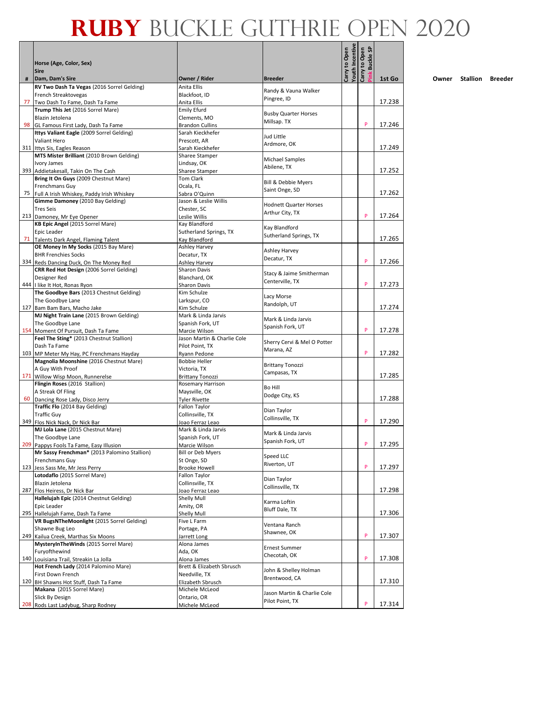|    | Horse (Age, Color, Sex)<br><b>Sire</b>                                    |                                                |                                                | Youth Incentive<br>Carry to Open | <b>Buckle SP</b><br>Carry to Open |        |
|----|---------------------------------------------------------------------------|------------------------------------------------|------------------------------------------------|----------------------------------|-----------------------------------|--------|
| #  | Dam, Dam's Sire                                                           | Owner / Rider                                  | <b>Breeder</b><br>Randy & Vauna Walker         |                                  | ink.                              | 1st Go |
|    | RV Two Dash Ta Vegas (2016 Sorrel Gelding)                                | Anita Ellis                                    |                                                |                                  |                                   |        |
|    | French Streaktovegas                                                      | Blackfoot, ID                                  | Pingree, ID                                    |                                  |                                   |        |
| 77 | Two Dash To Fame, Dash Ta Fame<br>Trump This Jet (2016 Sorrel Mare)       | Anita Ellis<br><b>Emily Efurd</b>              |                                                |                                  |                                   | 17.238 |
|    | Blazin Jetolena                                                           | Clements, MO                                   | <b>Busby Quarter Horses</b>                    |                                  |                                   |        |
|    | 98 GL Famous First Lady, Dash Ta Fame                                     | <b>Brandon Cullins</b>                         | Millsap. TX                                    |                                  | P                                 | 17.246 |
|    | Ittys Valiant Eagle (2009 Sorrel Gelding)                                 | Sarah Kieckhefer                               | Jud Little                                     |                                  |                                   |        |
|    | Valiant Hero                                                              | Prescott, AR                                   | Ardmore, OK                                    |                                  |                                   |        |
|    | 311 Ittys Sis, Eagles Reason                                              | Sarah Kieckhefer                               |                                                |                                  |                                   | 17.249 |
|    | MTS Mister Brilliant (2010 Brown Gelding)                                 | Sharee Stamper                                 | Michael Samples                                |                                  |                                   |        |
|    | Ivory James<br>393 Addietakesall, Takin On The Cash                       | Lindsay, OK<br>Sharee Stamper                  | Abilene, TX                                    |                                  |                                   | 17.252 |
|    | Bring It On Guys (2009 Chestnut Mare)                                     | <b>Tom Clark</b>                               |                                                |                                  |                                   |        |
|    | <b>Frenchmans Guy</b>                                                     | Ocala, FL                                      | Bill & Debbie Myers                            |                                  |                                   |        |
|    | 75 Full A Irish Whiskey, Paddy Irish Whiskey                              | Sabra O'Quinn                                  | Saint Onge, SD                                 |                                  |                                   | 17.262 |
|    | Gimme Damoney (2010 Bay Gelding)                                          | Jason & Leslie Willis                          | <b>Hodnett Quarter Horses</b>                  |                                  |                                   |        |
|    | <b>Tres Seis</b>                                                          | Chester, SC                                    | Arthur City, TX                                |                                  | P                                 |        |
|    | 213 Damoney, Mr Eye Opener<br>KB Epic Angel (2015 Sorrel Mare)            | Leslie Willis<br>Kay Blandford                 |                                                |                                  |                                   | 17.264 |
|    | Epic Leader                                                               | Sutherland Springs, TX                         | Kay Blandford                                  |                                  |                                   |        |
|    | 71 Talents Dark Angel, Flaming Talent                                     | Kay Blandford                                  | Sutherland Springs, TX                         |                                  |                                   | 17.265 |
|    | OE Money In My Socks (2015 Bay Mare)                                      | Ashley Harvey                                  |                                                |                                  |                                   |        |
|    | <b>BHR Frenchies Socks</b>                                                | Decatur, TX                                    | Ashley Harvey<br>Decatur, TX                   |                                  |                                   |        |
|    | 334 Reds Dancing Duck, On The Money Red                                   | Ashley Harvey                                  |                                                |                                  | P                                 | 17.266 |
|    | CRR Red Hot Design (2006 Sorrel Gelding)                                  | <b>Sharon Davis</b>                            | Stacy & Jaime Smitherman                       |                                  |                                   |        |
|    | Designer Red                                                              | Blanchard, OK                                  | Centerville, TX                                |                                  | P                                 | 17.273 |
|    | 444 I like It Hot, Ronas Ryon<br>The Goodbye Bars (2013 Chestnut Gelding) | Sharon Davis<br>Kim Schulze                    |                                                |                                  |                                   |        |
|    | The Goodbye Lane                                                          | Larkspur, CO                                   | Lacy Morse                                     |                                  |                                   |        |
|    | 127 Bam Bam Bars, Macho Jake                                              | Kim Schulze                                    | Randolph, UT                                   |                                  |                                   | 17.274 |
|    | MJ Night Train Lane (2015 Brown Gelding)                                  | Mark & Linda Jarvis                            | Mark & Linda Jarvis                            |                                  |                                   |        |
|    | The Goodbye Lane                                                          | Spanish Fork, UT                               | Spanish Fork, UT                               |                                  |                                   |        |
|    | 154 Moment Of Pursuit, Dash Ta Fame                                       | Marcie Wilson                                  |                                                |                                  | P                                 | 17.278 |
|    | Feel The Sting* (2013 Chestnut Stallion)<br>Dash Ta Fame                  | Jason Martin & Charlie Cole<br>Pilot Point, TX | Sherry Cervi & Mel O Potter                    |                                  |                                   |        |
|    | 103 MP Meter My Hay, PC Frenchmans Hayday                                 | Ryann Pedone                                   | Marana, AZ                                     |                                  | P                                 | 17.282 |
|    | Magnolia Moonshine (2016 Chestnut Mare)                                   | <b>Bobbie Heller</b>                           |                                                |                                  |                                   |        |
|    | A Guy With Proof                                                          | Victoria, TX                                   | <b>Brittany Tonozzi</b>                        |                                  |                                   |        |
|    | 171 Willow Wisp Moon, Runnerelse                                          | <b>Brittany Tonozzi</b>                        | Campasas, TX                                   |                                  |                                   | 17.285 |
|    | Flingin Roses (2016 Stallion)                                             | Rosemary Harrison                              | <b>Bo Hill</b>                                 |                                  |                                   |        |
|    | A Streak Of Fling                                                         | Maysville, OK                                  | Dodge City, KS                                 |                                  |                                   | 17.288 |
|    | 60 Dancing Rose Lady, Disco Jerry<br>Traffic Flo (2014 Bay Gelding)       | <b>Tyler Rivette</b><br>Fallon Taylor          |                                                |                                  |                                   |        |
|    | <b>Traffic Guy</b>                                                        | Collinsville, TX                               | Dian Taylor                                    |                                  |                                   |        |
|    | 349 Flos Nick Nack, Dr Nick Bar                                           | Joao Ferraz Leao                               | Collinsville, TX                               |                                  | P                                 | 17.290 |
|    | MJ Lola Lane (2015 Chestnut Mare)                                         | Mark & Linda Jarvis                            | Mark & Linda Jarvis                            |                                  |                                   |        |
|    | The Goodbye Lane                                                          | Spanish Fork, UT                               | Spanish Fork, UT                               |                                  |                                   |        |
|    | 209 Pappys Fools Ta Fame, Easy Illusion                                   | Marcie Wilson                                  |                                                |                                  | P                                 | 17.295 |
|    | Mr Sassy Frenchman* (2013 Palomino Stallion)<br>Frenchmans Guy            | <b>Bill or Deb Myers</b><br>St Onge, SD        | Speed LLC                                      |                                  |                                   |        |
|    | 123 Jess Sass Me, Mr Jess Perry                                           | <b>Brooke Howell</b>                           | Riverton, UT                                   |                                  | P                                 | 17.297 |
|    | Lotodaflo (2015 Sorrel Mare)                                              | Fallon Taylor                                  |                                                |                                  |                                   |        |
|    | Blazin Jetolena                                                           | Collinsville, TX                               | Dian Taylor<br>Collinsville, TX                |                                  |                                   |        |
|    | 287 Flos Heiress, Dr Nick Bar                                             | Joao Ferraz Leao                               |                                                |                                  |                                   | 17.298 |
|    | Hallelujah Epic (2014 Chestnut Gelding)                                   | Shelly Mull                                    | Karma Loftin                                   |                                  |                                   |        |
|    | Epic Leader<br>295 Hallelujah Fame, Dash Ta Fame                          | Amity, OR<br>Shelly Mull                       | Bluff Dale, TX                                 |                                  |                                   | 17.306 |
|    | VR BugsNTheMoonlight (2015 Sorrel Gelding)                                | Five L Farm                                    |                                                |                                  |                                   |        |
|    | Shawne Bug Leo                                                            | Portage, PA                                    | Ventana Ranch                                  |                                  |                                   |        |
|    | 249 Kailua Creek, Marthas Six Moons                                       | Jarrett Long                                   | Shawnee, OK                                    |                                  | P                                 | 17.307 |
|    | MysteryInTheWinds (2015 Sorrel Mare)                                      | Alona James                                    | <b>Ernest Summer</b>                           |                                  |                                   |        |
|    | Furyofthewind                                                             | Ada, OK                                        | Checotah, OK                                   |                                  |                                   |        |
|    | 140 Louisiana Trail, Streakin La Jolla                                    | Alona James                                    |                                                |                                  | P                                 | 17.308 |
|    | Hot French Lady (2014 Palomino Mare)<br>First Down French                 | Brett & Elizabeth Sbrusch<br>Needville, TX     | John & Shelley Holman                          |                                  |                                   |        |
|    | 120 BH Shawns Hot Stuff, Dash Ta Fame                                     | Elizabeth Sbrusch                              | Brentwood, CA                                  |                                  |                                   | 17.310 |
|    | Makana (2015 Sorrel Mare)                                                 | Michele McLeod                                 |                                                |                                  |                                   |        |
|    | Slick By Design                                                           | Ontario, OR                                    | Jason Martin & Charlie Cole<br>Pilot Point, TX |                                  |                                   |        |
|    | 208 Rods Last Ladybug, Sharp Rodney                                       | Michele McLeod                                 |                                                |                                  | P                                 | 17.314 |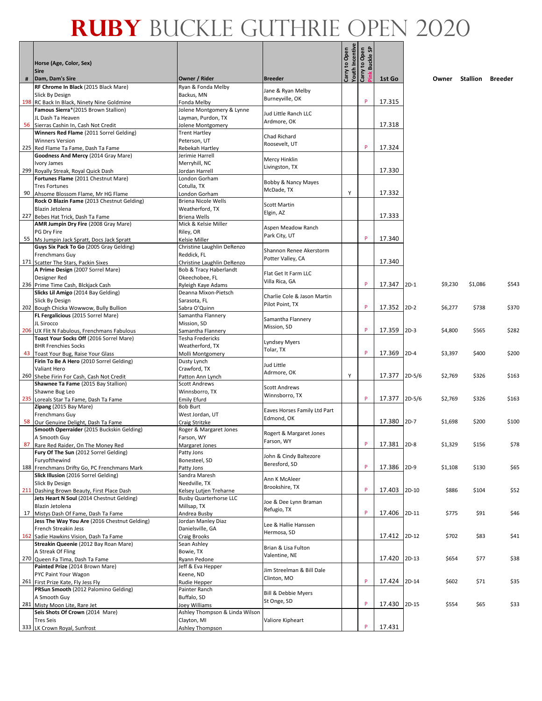| Horse (Age, Color, Sex)<br><b>Sire</b>                                           |                                           |                                            | Carry to Open | <b>Youth Incentive<br/>Carry to Open</b><br>န္တ<br>: Buckle: |             |          |         |          |         |
|----------------------------------------------------------------------------------|-------------------------------------------|--------------------------------------------|---------------|--------------------------------------------------------------|-------------|----------|---------|----------|---------|
| Dam, Dam's Sire                                                                  | Owner / Rider                             | <b>Breeder</b>                             |               |                                                              | 1st Go      |          | Owner   | Stallion | Breeder |
| RF Chrome In Black (2015 Black Mare)                                             | Ryan & Fonda Melby                        | Jane & Ryan Melby                          |               |                                                              |             |          |         |          |         |
| Slick By Design                                                                  | Backus, MN                                | Burneyville, OK                            |               |                                                              |             |          |         |          |         |
| 198 RC Back In Black, Ninety Nine Goldmine                                       | Fonda Melby                               |                                            |               | P                                                            | 17.315      |          |         |          |         |
| Famous Sierra*(2015 Brown Stallion)<br>JL Dash Ta Heaven                         | Jolene Montgomery & Lynne                 | Jud Little Ranch LLC                       |               |                                                              |             |          |         |          |         |
| 56 Sierras Cashin In, Cash Not Credit                                            | Layman, Purdon, TX<br>Jolene Montgomery   | Ardmore, OK                                |               |                                                              | 17.318      |          |         |          |         |
| Winners Red Flame (2011 Sorrel Gelding)                                          | <b>Trent Hartley</b>                      |                                            |               |                                                              |             |          |         |          |         |
| <b>Winners Version</b>                                                           | Peterson, UT                              | Chad Richard                               |               |                                                              |             |          |         |          |         |
| 225 Red Flame Ta Fame, Dash Ta Fame                                              | Rebekah Hartley                           | Roosevelt, UT                              |               | P                                                            | 17.324      |          |         |          |         |
| Goodness And Mercy (2014 Gray Mare)                                              | Jerimie Harrell                           | Mercy Hinklin                              |               |                                                              |             |          |         |          |         |
| Ivory James                                                                      | Merryhill, NC                             | Livingston, TX                             |               |                                                              |             |          |         |          |         |
| 299 Royally Streak, Royal Quick Dash                                             | Jordan Harrell                            |                                            |               |                                                              | 17.330      |          |         |          |         |
| Fortunes Flame (2011 Chestnut Mare)<br><b>Tres Fortunes</b>                      | London Gorham<br>Cotulla, TX              | Bobby & Nancy Mayes                        |               |                                                              |             |          |         |          |         |
| 90 Ahsome Blossom Flame, Mr HG Flame                                             | London Gorham                             | McDade, TX                                 | Y             |                                                              | 17.332      |          |         |          |         |
| Rock O Blazin Fame (2013 Chestnut Gelding)                                       | <b>Briena Nicole Wells</b>                |                                            |               |                                                              |             |          |         |          |         |
| Blazin Jetolena                                                                  | Weatherford, TX                           | <b>Scott Martin</b>                        |               |                                                              |             |          |         |          |         |
| 227 Bebes Hat Trick, Dash Ta Fame                                                | <b>Briena Wells</b>                       | Elgin, AZ                                  |               |                                                              | 17.333      |          |         |          |         |
| AMR Jumpin Dry Fire (2008 Gray Mare)                                             | Mick & Kelsie Miller                      | Aspen Meadow Ranch                         |               |                                                              |             |          |         |          |         |
| PG Dry Fire                                                                      | Riley, OR                                 | Park City, UT                              |               | P                                                            |             |          |         |          |         |
| 55 Ms Jumpin Jack Spratt, Docs Jack Spratt                                       | Kelsie Miller                             |                                            |               |                                                              | 17.340      |          |         |          |         |
| Guys Six Pack To Go (2005 Gray Gelding)<br>Frenchmans Guy                        | Christine Laughlin DeRenzo<br>Reddick, FL | Shannon Renee Akerstorm                    |               |                                                              |             |          |         |          |         |
| 171 Scatter The Stars, Packin Sixes                                              | Christine Laughlin DeRenzo                | Potter Valley, CA                          |               |                                                              | 17.340      |          |         |          |         |
| A Prime Design (2007 Sorrel Mare)                                                | <b>Bob &amp; Tracy Haberlandt</b>         |                                            |               |                                                              |             |          |         |          |         |
| Designer Red                                                                     | Okeechobee, FL                            | Flat Get It Farm LLC                       |               |                                                              |             |          |         |          |         |
| 236 Prime Time Cash, Blckjack Cash                                               | Ryleigh Kaye Adams                        | Villa Rica, GA                             |               | P                                                            | 17.347      | $2D-1$   | \$9,230 | \$1,086  | \$543   |
| Slicks Lil Amigo (2014 Bay Gelding)                                              | Deanna Mixon-Pietsch                      | Charlie Cole & Jason Martin                |               |                                                              |             |          |         |          |         |
| <b>Slick By Design</b>                                                           | Sarasota, FL                              | Pilot Point, TX                            |               | P                                                            |             |          |         |          |         |
| 202 Bough Chicka Wowwow, Bully Bullion<br>FL Fergalicious (2015 Sorrel Mare)     | Sabra O'Quinn<br>Samantha Flannery        |                                            |               |                                                              | 17.352      | $2D-2$   | \$6,277 | \$738    | \$370   |
| JL Sirocco                                                                       | Mission, SD                               | Samantha Flannery                          |               |                                                              |             |          |         |          |         |
| 206 UX Flit N Fabulous, Frenchmans Fabulous                                      | Samantha Flannery                         | Mission, SD                                |               | P                                                            | 17.359      | $2D-3$   | \$4,800 | \$565    | \$282   |
| Toast Your Socks Off (2016 Sorrel Mare)                                          | Tesha Fredericks                          |                                            |               |                                                              |             |          |         |          |         |
| <b>BHR Frenchies Socks</b>                                                       | Weatherford, TX                           | Lyndsey Myers<br>Tolar, TX                 |               |                                                              |             |          |         |          |         |
| 43 Toast Your Bug, Raise Your Glass                                              | Molli Montgomery                          |                                            |               | P                                                            | 17.369      | $2D-4$   | \$3,397 | \$400    | \$200   |
| Firin To Be A Hero (2010 Sorrel Gelding)                                         | Dusty Lynch                               | Jud Little                                 |               |                                                              |             |          |         |          |         |
| Valiant Hero                                                                     | Crawford, TX                              | Adrmore, OK                                | Υ             |                                                              |             |          |         | \$326    |         |
| 260 Shebe Firin For Cash, Cash Not Credit<br>Shawnee Ta Fame (2015 Bay Stallion) | Patton Ann Lynch<br><b>Scott Andrews</b>  |                                            |               |                                                              | 17.377      | $2D-5/6$ | \$2,769 |          | \$163   |
| Shawne Bug Leo                                                                   | Winnsborro, TX                            | <b>Scott Andrews</b>                       |               |                                                              |             |          |         |          |         |
| 235 Loreals Star Ta Fame, Dash Ta Fame                                           | <b>Emily Efurd</b>                        | Winnsborro, TX                             |               | P                                                            | 17.377      | $2D-5/6$ | \$2,769 | \$326    | \$163   |
| Zipang (2015 Bay Mare)                                                           | <b>Bob Burt</b>                           |                                            |               |                                                              |             |          |         |          |         |
| Frenchmans Guy                                                                   | West Jordan, UT                           | Eaves Horses Family Ltd Part<br>Edmond, OK |               |                                                              |             |          |         |          |         |
| 58 Our Genuine Delight, Dash Ta Fame                                             | Craig Stritzke                            |                                            |               |                                                              | 17.380      | $2D-7$   | \$1,698 | \$200    | \$100   |
| Smooth Operraider (2015 Buckskin Gelding)                                        | Roger & Margaret Jones                    | Rogert & Margaret Jones                    |               |                                                              |             |          |         |          |         |
| A Smooth Guy                                                                     | Farson, WY                                | Farson, WY                                 |               | -P                                                           | 17.381 2D-8 |          | \$1,329 | \$156    | \$78    |
| 87 Rare Red Raider, On The Money Red<br>Fury Of The Sun (2012 Sorrel Gelding)    | Margaret Jones<br>Patty Jons              |                                            |               |                                                              |             |          |         |          |         |
| Furyofthewind                                                                    | Bonesteel, SD                             | John & Cindy Baltezore                     |               |                                                              |             |          |         |          |         |
| 188 Frenchmans Drifty Go, PC Frenchmans Mark                                     | Patty Jons                                | Beresford, SD                              |               | P                                                            | 17.386      | $2D-9$   | \$1,108 | \$130    | \$65    |
| Slick Illusion (2016 Sorrel Gelding)                                             | Sandra Maresh                             | Ann K McAleer                              |               |                                                              |             |          |         |          |         |
| Slick By Design                                                                  | Needville, TX                             | Brookshire, TX                             |               |                                                              |             |          |         |          |         |
| 211 Dashing Brown Beauty, First Place Dash                                       | Kelsey Lutjen Treharne                    |                                            |               | P                                                            | 17.403      | 2D-10    | \$886   | \$104    | \$52    |
| Jets Heart N Soul (2014 Chestnut Gelding)                                        | <b>Busby Quarterhorse LLC</b>             | Joe & Dee Lynn Braman                      |               |                                                              |             |          |         |          |         |
| Blazin Jetolena<br>17 Mistys Dash Of Fame, Dash Ta Fame                          | Millsap, TX<br>Andrea Busby               | Refugio, TX                                |               | P                                                            | 17.406      | $2D-11$  | \$775   | \$91     | \$46    |
| Jess The Way You Are (2016 Chestnut Gelding)                                     | Jordan Manley Diaz                        |                                            |               |                                                              |             |          |         |          |         |
| French Streakin Jess                                                             | Danielsville, GA                          | Lee & Hallie Hanssen                       |               |                                                              |             |          |         |          |         |
| 162 Sadie Hawkins Vision, Dash Ta Fame                                           | Craig Brooks                              | Hermosa, SD                                |               |                                                              | 17.412      | $2D-12$  | \$702   | \$83     | \$41    |
| Streakin Queenie (2012 Bay Roan Mare)                                            | Sean Ashley                               | Brian & Lisa Fulton                        |               |                                                              |             |          |         |          |         |
| A Streak Of Fling                                                                | Bowie, TX                                 | Valentine, NE                              |               |                                                              |             |          |         |          |         |
| 270 Queen Fa Tima, Dash Ta Fame<br>Painted Prize (2014 Brown Mare)               | Ryann Pedone                              |                                            |               |                                                              | 17.420      | $2D-13$  | \$654   | \$77     | \$38    |
| PYC Paint Your Wagon                                                             | Jeff & Eva Hepper<br>Keene, ND            | Jim Streelman & Bill Dale                  |               |                                                              |             |          |         |          |         |
| 261 First Prize Kate, Fly Jess Fly                                               | Rudie Hepper                              | Clinton, MO                                |               | P                                                            | 17.424      | 2D-14    | \$602   | \$71     | \$35    |
| PRSun Smooth (2012 Palomino Gelding)                                             | Painter Ranch                             |                                            |               |                                                              |             |          |         |          |         |
| A Smooth Guy                                                                     | Buffalo, SD                               | Bill & Debbie Myers<br>St Onge, SD         |               |                                                              |             |          |         |          |         |
| 281 Misty Moon Lite, Rare Jet                                                    | Joey Williams                             |                                            |               | P                                                            | 17.430      | $2D-15$  | \$554   | \$65     | \$33    |
| Seis Shots Of Crown (2014 Mare)                                                  | Ashley Thompson & Linda Wilson            |                                            |               |                                                              |             |          |         |          |         |
| Tres Seis                                                                        | Clayton, MI                               | Valiore Kipheart                           |               | P                                                            | 17.431      |          |         |          |         |
| 333 LK Crown Royal, Sunfrost                                                     | Ashley Thompson                           |                                            |               |                                                              |             |          |         |          |         |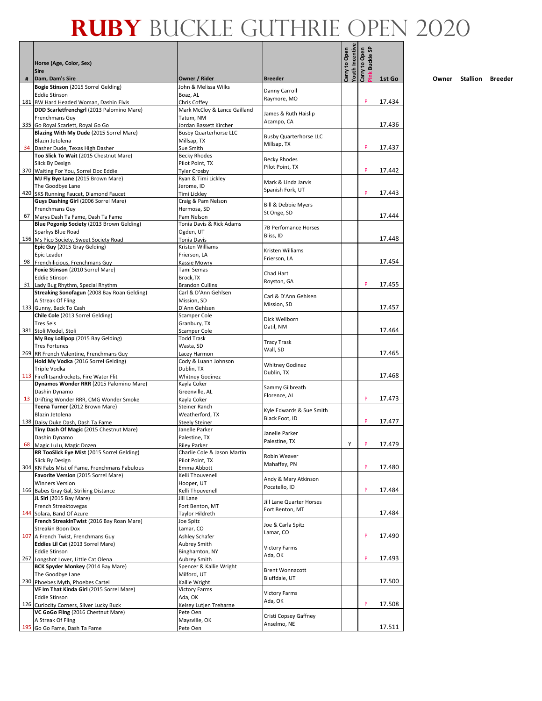|   | Horse (Age, Color, Sex)                                                        |                                                |                                       |                                  | <b>Buckle SP</b><br>Carry to Open |        |
|---|--------------------------------------------------------------------------------|------------------------------------------------|---------------------------------------|----------------------------------|-----------------------------------|--------|
| # | <b>Sire</b><br>Dam, Dam's Sire                                                 | Owner / Rider                                  | <b>Breeder</b>                        |                                  |                                   | 1st Go |
|   | Bogie Stinson (2015 Sorrel Gelding)<br><b>Eddie Stinson</b>                    | John & Melissa Wilks<br>Boaz, AL               | Danny Carroll                         | Youth Incentive<br>Carry to Open |                                   |        |
|   | 181 BW Hard Headed Woman, Dashin Elvis                                         | Chris Coffey                                   | Raymore, MO                           |                                  | P                                 | 17.434 |
|   | DDD Scarletfrenchgrl (2013 Palomino Mare)                                      | Mark McCloy & Lance Gailland                   |                                       |                                  |                                   |        |
|   | Frenchmans Guy                                                                 | Tatum, NM                                      | James & Ruth Haislip<br>Acampo, CA    |                                  |                                   |        |
|   | 335 Go Royal Scarlett, Royal Go Go                                             | Jordan Bassett Kircher                         |                                       |                                  |                                   | 17.436 |
|   | Blazing With My Dude (2015 Sorrel Mare)                                        | <b>Busby Quarterhorse LLC</b>                  | <b>Busby Quarterhorse LLC</b>         |                                  |                                   |        |
|   | Blazin Jetolena<br>34 Dasher Dude, Texas High Dasher                           | Millsap, TX<br>Sue Smith                       | Millsap, TX                           |                                  | P                                 | 17.437 |
|   | Too Slick To Wait (2015 Chestnut Mare)                                         | <b>Becky Rhodes</b>                            |                                       |                                  |                                   |        |
|   | Slick By Design                                                                | Pilot Point, TX                                | <b>Becky Rhodes</b>                   |                                  |                                   |        |
|   | 370 Waiting For You, Sorrel Doc Eddie                                          | <b>Tyler Crosby</b>                            | Pilot Point, TX                       |                                  | P                                 | 17.442 |
|   | MJ Fly Bye Lane (2015 Brown Mare)                                              | Ryan & Timi Lickley                            | Mark & Linda Jarvis                   |                                  |                                   |        |
|   | The Goodbye Lane                                                               | Jerome, ID                                     | Spanish Fork, UT                      |                                  | P                                 | 17.443 |
|   | 420 SKS Running Faucet, Diamond Faucet<br>Guys Dashing Girl (2006 Sorrel Mare) | Timi Lickley<br>Craig & Pam Nelson             |                                       |                                  |                                   |        |
|   | Frenchmans Guy                                                                 | Hermosa, SD                                    | Bill & Debbie Myers                   |                                  |                                   |        |
|   | 67 Marys Dash Ta Fame, Dash Ta Fame                                            | Pam Nelson                                     | St Onge, SD                           |                                  |                                   | 17.444 |
|   | Blue Pogonip Society (2013 Brown Gelding)                                      | Tonia Davis & Rick Adams                       | 7B Perfomance Horses                  |                                  |                                   |        |
|   | Sparkys Blue Road                                                              | Ogden, UT                                      | Bliss, ID                             |                                  |                                   |        |
|   | 156 Ms Pico Society, Sweet Society Road                                        | <b>Tonia Davis</b>                             |                                       |                                  |                                   | 17.448 |
|   | Epic Guy (2015 Gray Gelding)<br>Epic Leader                                    | Kristen Williams<br>Frierson. LA               | Kristen Williams                      |                                  |                                   |        |
|   | 98 Frenchilicious, Frenchmans Guy                                              | Kassie Mowry                                   | Frierson, LA                          |                                  |                                   | 17.454 |
|   | Foxie Stinson (2010 Sorrel Mare)                                               | Tami Semas                                     |                                       |                                  |                                   |        |
|   | <b>Eddie Stinson</b>                                                           | Brock, TX                                      | Chad Hart                             |                                  |                                   |        |
|   | 31 Lady Bug Rhythm, Special Rhythm                                             | <b>Brandon Cullins</b>                         | Royston, GA                           |                                  | P                                 | 17.455 |
|   | Streaking Sonofagun (2008 Bay Roan Gelding)                                    | Carl & D'Ann Gehlsen                           | Carl & D'Ann Gehlsen                  |                                  |                                   |        |
|   | A Streak Of Fling                                                              | Mission, SD                                    | Mission, SD                           |                                  |                                   | 17.457 |
|   | 133 Gunny, Back To Cash<br>Chile Cole (2013 Sorrel Gelding)                    | D'Ann Gehlsen<br>Scamper Cole                  |                                       |                                  |                                   |        |
|   | <b>Tres Seis</b>                                                               | Granbury, TX                                   | Dick Wellborn                         |                                  |                                   |        |
|   | 381 Stoli Model, Stoli                                                         | Scamper Cole                                   | Datil, NM                             |                                  |                                   | 17.464 |
|   | My Boy Lollipop (2015 Bay Gelding)                                             | <b>Todd Trask</b>                              | <b>Tracy Trask</b>                    |                                  |                                   |        |
|   | <b>Tres Fortunes</b>                                                           | Wasta, SD                                      | Wall, SD                              |                                  |                                   |        |
|   | 269 RR French Valentine, Frenchmans Guy<br>Hold My Vodka (2016 Sorrel Gelding) | Lacey Harmon<br>Cody & Luann Johnson           |                                       |                                  |                                   | 17.465 |
|   | <b>Triple Vodka</b>                                                            | Dublin, TX                                     | <b>Whitney Godinez</b>                |                                  |                                   |        |
|   | 113 Fireflitsandrockets, Fire Water Flit                                       | <b>Whitney Godinez</b>                         | Dublin, TX                            |                                  |                                   | 17.468 |
|   | Dynamos Wonder RRR (2015 Palomino Mare)                                        | Kayla Coker                                    | Sammy Gilbreath                       |                                  |                                   |        |
|   | Dashin Dynamo                                                                  | Greenville, AL                                 | Florence, AL                          |                                  |                                   |        |
|   | 13 Drifting Wonder RRR, CMG Wonder Smoke                                       | Kayla Coker                                    |                                       |                                  | P                                 | 17.473 |
|   | Teena Turner (2012 Brown Mare)<br>Blazin Jetolena                              | Steiner Ranch<br>Weatherford, TX               | Kyle Edwards & Sue Smith              |                                  |                                   |        |
|   | 138 Daisy Duke Dash, Dash Ta Fame                                              | <b>Steely Steiner</b>                          | Black Foot, ID                        |                                  | P                                 | 17.477 |
|   | Tiny Dash Of Magic (2015 Chestnut Mare)                                        | Janelle Parker                                 |                                       |                                  |                                   |        |
|   | Dashin Dynamo                                                                  | Palestine, TX                                  | Janelle Parker<br>Palestine, TX       |                                  |                                   |        |
|   | 68 Magic LuLu, Magic Dozen                                                     | <b>Riley Parker</b>                            |                                       | Υ                                | P                                 | 17.479 |
|   | RR TooSlick Eye Mist (2015 Sorrel Gelding)<br>Slick By Design                  | Charlie Cole & Jason Martin<br>Pilot Point, TX | Robin Weaver                          |                                  |                                   |        |
|   | 304 KN Fabs Mist of Fame, Frenchmans Fabulous                                  | Emma Abbott                                    | Mahaffey, PN                          |                                  | P                                 | 17.480 |
|   | Favorite Version (2015 Sorrel Mare)                                            | Kelli Thouvenell                               |                                       |                                  |                                   |        |
|   | <b>Winners Version</b>                                                         | Hooper, UT                                     | Andy & Mary Atkinson<br>Pocatello, ID |                                  |                                   |        |
|   | 166 Babes Gray Gal, Striking Distance                                          | Kelli Thouvenell                               |                                       |                                  | P                                 | 17.484 |
|   | JL Siri (2015 Bay Mare)                                                        | Jill Lane                                      | Jill Lane Quarter Horses              |                                  |                                   |        |
|   | French Streaktovegas<br>144 Solara, Band Of Azure                              | Fort Benton, MT<br>Taylor Hildreth             | Fort Benton, MT                       |                                  |                                   | 17.484 |
|   | French StreakinTwist (2016 Bay Roan Mare)                                      | Joe Spitz                                      |                                       |                                  |                                   |        |
|   | Streakin Boon Dox                                                              | Lamar, CO                                      | Joe & Carla Spitz                     |                                  |                                   |        |
|   | 107 A French Twist, Frenchmans Guy                                             | Ashley Schafer                                 | Lamar, CO                             |                                  | P                                 | 17.490 |
|   | Eddies Lil Cat (2013 Sorrel Mare)                                              | Aubrey Smith                                   | <b>Victory Farms</b>                  |                                  |                                   |        |
|   | <b>Eddie Stinson</b>                                                           | Binghamton, NY                                 | Ada, OK                               |                                  | P                                 | 17.493 |
|   | 267 Longshot Lover, Little Cat Olena<br>BCK Spyder Monkey (2014 Bay Mare)      | Aubrey Smith<br>Spencer & Kallie Wright        |                                       |                                  |                                   |        |
|   | The Goodbye Lane                                                               | Milford, UT                                    | <b>Brent Wonnacott</b>                |                                  |                                   |        |
|   | 230 Phoebes Myth, Phoebes Cartel                                               | Kallie Wright                                  | Bluffdale, UT                         |                                  |                                   | 17.500 |
|   | VF Im That Kinda Girl (2015 Sorrel Mare)                                       | <b>Victory Farms</b>                           | <b>Victory Farms</b>                  |                                  |                                   |        |
|   | <b>Eddie Stinson</b>                                                           | Ada, OK                                        | Ada, OK                               |                                  |                                   |        |
|   | 126 Curiocity Corners, Silver Lucky Buck                                       | Kelsey Lutjen Treharne                         |                                       |                                  | P                                 | 17.508 |
|   | VC GoGo Fling (2016 Chestnut Mare)<br>A Streak Of Fling                        | Pete Oen<br>Maysville, OK                      | Cristi Copsey Gaffney                 |                                  |                                   |        |
|   | 195 Go Go Fame, Dash Ta Fame                                                   | Pete Oen                                       | Anselmo, NE                           |                                  |                                   | 17.511 |
|   |                                                                                |                                                |                                       |                                  |                                   |        |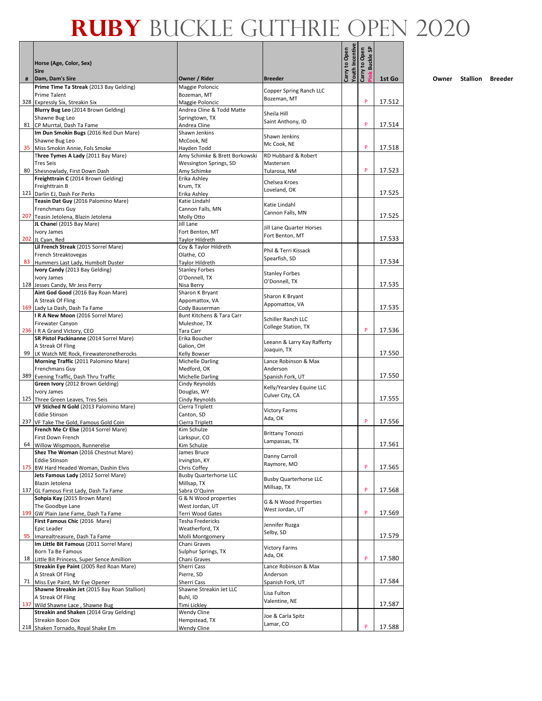|    |                                                                                  |                                               | Carry to Open                               |                 | <b>Buckle SP</b>     |        |
|----|----------------------------------------------------------------------------------|-----------------------------------------------|---------------------------------------------|-----------------|----------------------|--------|
|    | Horse (Age, Color, Sex)<br><b>Sire</b>                                           |                                               | <b>Breeder</b>                              |                 | Carry to Open<br>ink |        |
| #  | Dam, Dam's Sire                                                                  | Owner / Rider                                 |                                             | Youth Incentive |                      | 1st Go |
|    | Prime Time Ta Streak (2013 Bay Gelding)<br><b>Prime Talent</b>                   | Maggie Poloncic<br>Bozeman, MT                | Copper Spring Ranch LLC                     |                 |                      |        |
|    | 328 Expressly Six, Streakin Six                                                  | Maggie Poloncic                               | Bozeman, MT                                 |                 | P                    | 17.512 |
|    | Blurry Bug Leo (2014 Brown Gelding)                                              | Andrea Cline & Todd Matte                     |                                             |                 |                      |        |
|    | Shawne Bug Leo                                                                   | Springtown, TX                                | Sheila Hill                                 |                 |                      |        |
|    | 81 CP Murrtal, Dash Ta Fame                                                      | Andrea Cline                                  | Saint Anthony, ID                           |                 | P                    | 17.514 |
|    | Im Dun Smokin Bugs (2016 Red Dun Mare)                                           | Shawn Jenkins                                 | Shawn Jenkins                               |                 |                      |        |
|    | Shawne Bug Leo                                                                   | McCook, NE                                    | Mc Cook, NE                                 |                 | P                    | 17.518 |
|    | 35 Miss Smokin Annie, Fols Smoke<br>Three Tymes A Lady (2011 Bay Mare)           | Hayden Todd<br>Amy Schimke & Brett Borkowski  | RD Hubbard & Robert                         |                 |                      |        |
|    | <b>Tres Seis</b>                                                                 | Wessington Springs, SD                        | Mastersen                                   |                 |                      |        |
|    | 80 Shesnowlady, First Down Dash                                                  | Amy Schimke                                   | Tularosa, NM                                |                 | P                    | 17.523 |
|    | Freighttrain C (2014 Brown Gelding)                                              | Erika Ashley                                  | Chelsea Kroes                               |                 |                      |        |
|    | Freighttrain B                                                                   | Krum, TX                                      | Loveland, OK                                |                 |                      |        |
|    | 121 Darlin EJ, Dash For Perks                                                    | Erika Ashley<br>Katie Lindahl                 |                                             |                 |                      | 17.525 |
|    | Teasin Dat Guy (2016 Palomino Mare)<br>Frenchmans Guy                            | Cannon Falls, MN                              | Katie Lindahl                               |                 |                      |        |
|    | 207 Teasin Jetolena, Blazin Jetolena                                             | Molly Otto                                    | Cannon Falls, MN                            |                 |                      | 17.525 |
|    | JL Chanel (2015 Bay Mare)                                                        | Jill Lane                                     |                                             |                 |                      |        |
|    | Ivory James                                                                      | Fort Benton, MT                               | Jill Lane Quarter Horses<br>Fort Benton, MT |                 |                      |        |
|    | 202 JL Cyan, Red                                                                 | <b>Tavlor Hildreth</b>                        |                                             |                 |                      | 17.533 |
|    | Lil French Streak (2015 Sorrel Mare)                                             | Coy & Taylor Hildreth                         | Phil & Terri Kissack                        |                 |                      |        |
|    | French Streaktovegas<br>83 Hummers Last Lady, Humbolt Duster                     | Olathe, CO<br>Taylor Hildreth                 | Spearfish, SD                               |                 |                      | 17.534 |
|    | Ivory Candy (2013 Bay Gelding)                                                   | <b>Stanley Forbes</b>                         |                                             |                 |                      |        |
|    | Ivory James                                                                      | O'Donnell, TX                                 | <b>Stanley Forbes</b>                       |                 |                      |        |
|    | 128 Jesses Candy, Mr Jess Perry                                                  | Nisa Berry                                    | O'Donnell, TX                               |                 |                      | 17.535 |
|    | Aint God Good (2016 Bay Roan Mare)                                               | Sharon K Bryant                               | Sharon K Bryant                             |                 |                      |        |
|    | A Streak Of Fling                                                                | Appomattox, VA                                | Appomattox, VA                              |                 |                      |        |
|    | 169 Lady La Dash, Dash Ta Fame                                                   | Cody Bauserman                                |                                             |                 |                      | 17.535 |
|    | IRA New Moon (2016 Sorrel Mare)<br>Firewater Canyon                              | Bunt Kitchens & Tara Carr<br>Muleshoe, TX     | Schiller Ranch LLC                          |                 |                      |        |
|    | 236   R A Grand Victory, CEO                                                     | Tara Carr                                     | College Station, TX                         |                 | P                    | 17.536 |
|    | SR Pistol Packinanne (2014 Sorrel Mare)                                          | Erika Boucher                                 |                                             |                 |                      |        |
|    | A Streak Of Fling                                                                | Galion, OH                                    | Leeann & Larry Kay Rafferty<br>Joaquin, TX  |                 |                      |        |
|    | 99 LK Watch ME Rock, Firewateronetherocks                                        | Kelly Bowser                                  |                                             |                 |                      | 17.550 |
|    | Morning Traffic (2011 Palomino Mare)                                             | Michelle Darling                              | Lance Robinson & Max                        |                 |                      |        |
|    | Frenchmans Guy<br>389 Evening Traffic, Dash Thru Traffic                         | Medford, OK<br>Michelle Darling               | Anderson<br>Spanish Fork, UT                |                 |                      | 17.550 |
|    | Green Ivory (2012 Brown Gelding)                                                 | Cindy Reynolds                                |                                             |                 |                      |        |
|    | Ivory James                                                                      | Douglas, WY                                   | Kelly/Yearsley Equine LLC                   |                 |                      |        |
|    | 125 Three Green Leaves, Tres Seis                                                | Cindy Reynolds                                | Culver City, CA                             |                 |                      | 17.555 |
|    | VF Stiched N Gold (2013 Palomino Mare)                                           | Cierra Triplett                               | <b>Victory Farms</b>                        |                 |                      |        |
|    | <b>Eddie Stinson</b>                                                             | Canton, SD                                    | Ada, OK                                     |                 | P                    |        |
|    | 237 VF Take The Gold, Famous Gold Coin<br>French Me Cr Else (2014 Sorrel Mare)   | Cierra Triplett<br>Kim Schulze                |                                             |                 |                      | 17.556 |
|    | First Down French                                                                | Larkspur, CO                                  | <b>Brittany Tonozzi</b>                     |                 |                      |        |
|    | 64 Willow Wispmoon, Runnerelse                                                   | Kim Schulze                                   | Lampassas, TX                               |                 |                      | 17.561 |
|    | Shez The Woman (2016 Chestnut Mare)                                              | James Bruce                                   | Danny Carroll                               |                 |                      |        |
|    | <b>Eddie Stinson</b>                                                             | Irvington, KY                                 | Raymore, MO                                 |                 | P                    |        |
|    | 175 BW Hard Headed Woman, Dashin Elvis<br>Jets Famous Lady (2012 Sorrel Mare)    | Chris Coffey<br><b>Busby Quarterhorse LLC</b> |                                             |                 |                      | 17.565 |
|    | Blazin Jetolena                                                                  | Millsap, TX                                   | <b>Busby Quarterhorse LLC</b>               |                 |                      |        |
|    | 137 GL Famous First Lady, Dash Ta Fame                                           | Sabra O'Quinn                                 | Millsap, TX                                 |                 | P                    | 17.568 |
|    | Sohpia Kay (2015 Brown Mare)                                                     | G & N Wood properties                         | G & N Wood Properties                       |                 |                      |        |
|    | The Goodbye Lane                                                                 | West Jordan, UT                               | West Jordan, UT                             |                 |                      |        |
|    | 199 GW Plain Jane Fame, Dash Ta Fame                                             | Terri Wood Gates                              |                                             |                 | P                    | 17.569 |
|    | First Famous Chic (2016 Mare)<br>Epic Leader                                     | Tesha Fredericks<br>Weatherford, TX           | Jennifer Ruzga                              |                 |                      |        |
| 95 | Imarealtreasure, Dash Ta Fame                                                    | Molli Montgomery                              | Selby, SD                                   |                 |                      | 17.579 |
|    | Im Little Bit Famous (2011 Sorrel Mare)                                          | Chani Graves                                  |                                             |                 |                      |        |
|    | Born Ta Be Famous                                                                | Sulphur Springs, TX                           | <b>Victory Farms</b><br>Ada, OK             |                 |                      |        |
|    | 18 Little Bit Princess, Super Sence Amillion                                     | Chani Graves                                  |                                             |                 | P                    | 17.580 |
|    | Streakin Eye Paint (2005 Red Roan Mare)                                          | Sherri Cass                                   | Lance Robinson & Max                        |                 |                      |        |
|    | A Streak Of Fling                                                                | Pierre, SD                                    | Anderson                                    |                 |                      | 17.584 |
|    | 71 Miss Eye Paint, Mr Eye Opener<br>Shawne Streakin Jet (2015 Bay Roan Stallion) | Sherri Cass<br>Shawne Streakin Jet LLC        | Spanish Fork, UT                            |                 |                      |        |
|    | A Streak Of Fling                                                                | Buhl, ID                                      | Lisa Fulton                                 |                 |                      |        |
|    | 137 Wild Shawne Lace, Shawne Bug                                                 | Timi Lickley                                  | Valentine, NE                               |                 |                      | 17.587 |
|    | Streakin and Shaken (2014 Gray Gelding)                                          | Wendy Cline                                   | Joe & Carla Spitz                           |                 |                      |        |
|    | Streakin Boon Dox                                                                | Hempstead, TX                                 | Lamar, CO                                   |                 | P                    |        |
|    | 218 Shaken Tornado, Royal Shake Em                                               | Wendy Cline                                   |                                             |                 |                      | 17.588 |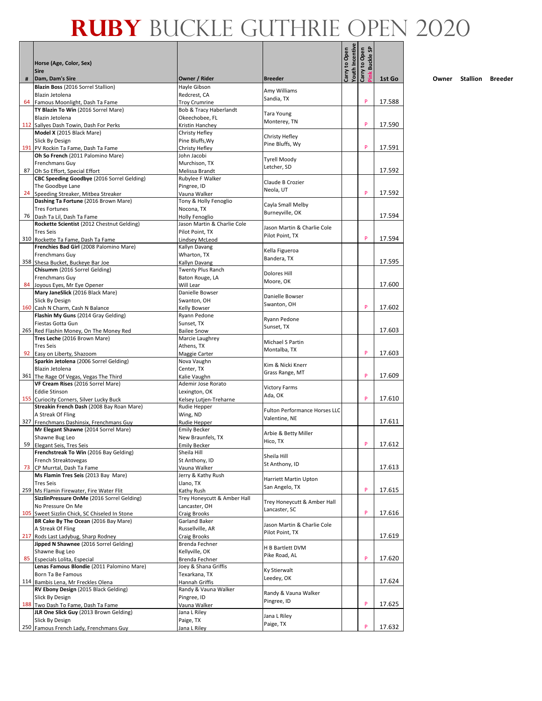|   | Horse (Age, Color, Sex)                                                       |                                                |                                                |                                  | ink Buckle SP<br>Carry to Open |        |
|---|-------------------------------------------------------------------------------|------------------------------------------------|------------------------------------------------|----------------------------------|--------------------------------|--------|
|   | <b>Sire</b>                                                                   | Owner / Rider                                  |                                                | Youth Incentive<br>Carry to Open |                                |        |
| # | Dam, Dam's Sire<br>Blazin Boss (2016 Sorrel Stallion)                         | Hayle Gibson                                   | <b>Breeder</b>                                 |                                  |                                | 1st Go |
|   | Blazin Jetolena                                                               | Redcrest, CA                                   | Amy Williams<br>Sandia, TX                     |                                  | P                              |        |
|   | 64 Famous Moonlight, Dash Ta Fame<br>TY Blazin To Win (2016 Sorrel Mare)      | <b>Troy Crumrine</b><br>Bob & Tracy Haberlandt |                                                |                                  |                                | 17.588 |
|   | Blazin Jetolena                                                               | Okeechobee, FL                                 | <b>Tara Young</b><br>Monterey, TN              |                                  |                                |        |
|   | 112 Sallyes Dash Towin, Dash For Perks                                        | Kristin Hanchey                                |                                                |                                  | P                              | 17.590 |
|   | Model X (2015 Black Mare)<br>Slick By Design                                  | Christy Hefley<br>Pine Bluffs, Wy              | Christy Hefley                                 |                                  |                                |        |
|   | 191 PV Rockin Ta Fame, Dash Ta Fame                                           | Christy Hefley                                 | Pine Bluffs, Wy                                |                                  | P                              | 17.591 |
|   | Oh So French (2011 Palomino Mare)                                             | John Jacobi                                    | <b>Tyrell Moody</b>                            |                                  |                                |        |
|   | Frenchmans Guy<br>87 Oh So Effort, Special Effort                             | Murchison, TX<br>Melissa Brandt                | Letcher, SD                                    |                                  |                                | 17.592 |
|   | CBC Speeding Goodbye (2016 Sorrel Gelding)                                    | Rubylee F Walker                               | Claude B Crozier                               |                                  |                                |        |
|   | The Goodbye Lane                                                              | Pingree, ID                                    | Neola, UT                                      |                                  |                                |        |
|   | 24 Speeding Streaker, Mitbea Streaker<br>Dashing Ta Fortune (2016 Brown Mare) | Vauna Walker<br>Tony & Holly Fenoglio          |                                                |                                  | P                              | 17.592 |
|   | <b>Tres Fortunes</b>                                                          | Nocona, TX                                     | Cayla Small Melby                              |                                  |                                |        |
|   | 76   Dash Ta Lil, Dash Ta Fame                                                | Holly Fenoglio                                 | Burneyville, OK                                |                                  |                                | 17.594 |
|   | Rockette Scientist (2012 Chestnut Gelding)                                    | Jason Martin & Charlie Cole                    | Jason Martin & Charlie Cole                    |                                  |                                |        |
|   | <b>Tres Seis</b><br>310 Rockette Ta Fame, Dash Ta Fame                        | Pilot Point, TX<br>Lindsey McLeod              | Pilot Point, TX                                |                                  | P                              | 17.594 |
|   | Frenchies Bad Girl (2008 Palomino Mare)                                       | Kallyn Davang                                  |                                                |                                  |                                |        |
|   | Frenchmans Guv                                                                | Wharton, TX                                    | Kella Figueroa<br>Bandera, TX                  |                                  |                                |        |
|   | 358 Shesa Bucket, Buckeye Bar Joe<br>Chisumm (2016 Sorrel Gelding)            | Kallyn Davang                                  |                                                |                                  |                                | 17.595 |
|   | Frenchmans Guy                                                                | Twenty Plus Ranch<br>Baton Rouge, LA           | <b>Dolores Hill</b>                            |                                  |                                |        |
|   | 84 Joyous Eyes, Mr Eye Opener                                                 | Will Lear                                      | Moore, OK                                      |                                  |                                | 17.600 |
|   | Mary JaneSlick (2016 Black Mare)                                              | Danielle Bowser                                | Danielle Bowser                                |                                  |                                |        |
|   | Slick By Design<br>160 Cash N Charm, Cash N Balance                           | Swanton, OH<br>Kelly Bowser                    | Swanton, OH                                    |                                  | P                              | 17.602 |
|   | Flashin My Guns (2014 Gray Gelding)                                           | Ryann Pedone                                   |                                                |                                  |                                |        |
|   | Fiestas Gotta Gun                                                             | Sunset, TX                                     | Ryann Pedone<br>Sunset, TX                     |                                  |                                |        |
|   | 265 Red Flashin Money, On The Money Red<br>Tres Leche (2016 Brown Mare)       | <b>Bailee Snow</b>                             |                                                |                                  |                                | 17.603 |
|   | <b>Tres Seis</b>                                                              | Marcie Laughrey<br>Athens, TX                  | Michael S Partin                               |                                  |                                |        |
|   | 92 Easy on Liberty, Shazoom                                                   | Maggie Carter                                  | Montalba, TX                                   |                                  | P                              | 17.603 |
|   | Sparkin Jetolena (2006 Sorrel Gelding)                                        | Nova Vaughn                                    | Kim & Nicki Knerr                              |                                  |                                |        |
|   | Blazin Jetolena<br>361 The Rage Of Vegas, Vegas The Third                     | Center, TX<br>Kalie Vaughn                     | Grass Range, MT                                |                                  | P                              | 17.609 |
|   | VF Cream Rises (2016 Sorrel Mare)                                             | Ademir Jose Rorato                             |                                                |                                  |                                |        |
|   | <b>Eddie Stinson</b>                                                          | Lexington, OK                                  | <b>Victory Farms</b><br>Ada, OK                |                                  |                                |        |
|   | 155 Curiocity Corners, Silver Lucky Buck                                      | Kelsey Lutjen-Treharne                         |                                                |                                  | P                              | 17.610 |
|   | Streakin French Dash (2008 Bay Roan Mare)<br>A Streak Of Fling                | Rudie Hepper<br>Wing, ND                       | Fulton Performance Horses LLC                  |                                  |                                |        |
|   | 327 Frenchmans Dashinsix, Frenchmans Guy                                      | Rudie Hepper                                   | Valentine, NE                                  |                                  |                                | 17.611 |
|   | Mr Elegant Shawne (2014 Sorrel Mare)                                          | <b>Emily Becker</b>                            | Arbie & Betty Miller                           |                                  |                                |        |
|   | Shawne Bug Leo                                                                | New Braunfels, TX<br><b>Emily Becker</b>       | Hico, TX                                       |                                  | P                              | 17.612 |
|   | 59 Elegant Seis, Tres Seis<br>Frenchstreak To Win (2016 Bay Gelding)          | Sheila Hill                                    |                                                |                                  |                                |        |
|   | French Streaktovegas                                                          | St Anthony, ID                                 | Sheila Hill<br>St Anthony, ID                  |                                  |                                |        |
|   | 73 CP Murrtal, Dash Ta Fame<br>Ms Flamin Tres Seis (2013 Bay Mare)            | Vauna Walker<br>Jerry & Kathy Rush             |                                                |                                  |                                | 17.613 |
|   | <b>Tres Seis</b>                                                              | Llano, TX                                      | Harriett Martin Upton                          |                                  |                                |        |
|   | 259 Ms Flamin Firewater, Fire Water Flit                                      | Kathy Rush                                     | San Angelo, TX                                 |                                  | P                              | 17.615 |
|   | SizzlinPressure OnMe (2016 Sorrel Gelding)                                    | Trey Honeycutt & Amber Hall                    | Trey Honeycutt & Amber Hall                    |                                  |                                |        |
|   | No Pressure On Me<br>105 Sweet Sizzlin Chick, SC Chiseled In Stone            | Lancaster, OH<br>Craig Brooks                  | Lancaster, SC                                  |                                  | P                              | 17.616 |
|   | BR Cake By The Ocean (2016 Bay Mare)                                          | Garland Baker                                  |                                                |                                  |                                |        |
|   | A Streak Of Fling                                                             | Russellville, AR                               | Jason Martin & Charlie Cole<br>Pilot Point, TX |                                  |                                |        |
|   | 217 Rods Last Ladybug, Sharp Rodney                                           | Craig Brooks                                   |                                                |                                  |                                | 17.619 |
|   | Jipped N Shawnee (2016 Sorrel Gelding)<br>Shawne Bug Leo                      | Brenda Fechner<br>Kellyville, OK               | H B Bartlett DVM                               |                                  |                                |        |
|   | 85 Especials Lolita, Especial                                                 | Brenda Fechner                                 | Pike Road, AL                                  |                                  | P                              | 17.620 |
|   | Lenas Famous Blondie (2011 Palomino Mare)                                     | Joey & Shana Griffis                           | Ky Stierwalt                                   |                                  |                                |        |
|   | Born Ta Be Famous<br>114 Bambis Lena, Mr Freckles Olena                       | Texarkana, TX<br>Hannah Griffis                | Leedey, OK                                     |                                  |                                | 17.624 |
|   | RV Ebony Design (2015 Black Gelding)                                          | Randy & Vauna Walker                           |                                                |                                  |                                |        |
|   | Slick By Design                                                               | Pingree, ID                                    | Randy & Vauna Walker<br>Pingree, ID            |                                  |                                |        |
|   | 188 Two Dash To Fame, Dash Ta Fame                                            | Vauna Walker                                   |                                                |                                  | P                              | 17.625 |
|   | JLR One Slick Guy (2013 Brown Gelding)<br>Slick By Design                     | Jana L Riley<br>Paige, TX                      | Jana L Riley                                   |                                  |                                |        |
|   | 250 Famous French Lady, Frenchmans Guy                                        | Jana L Riley                                   | Paige, TX                                      |                                  | P                              | 17.632 |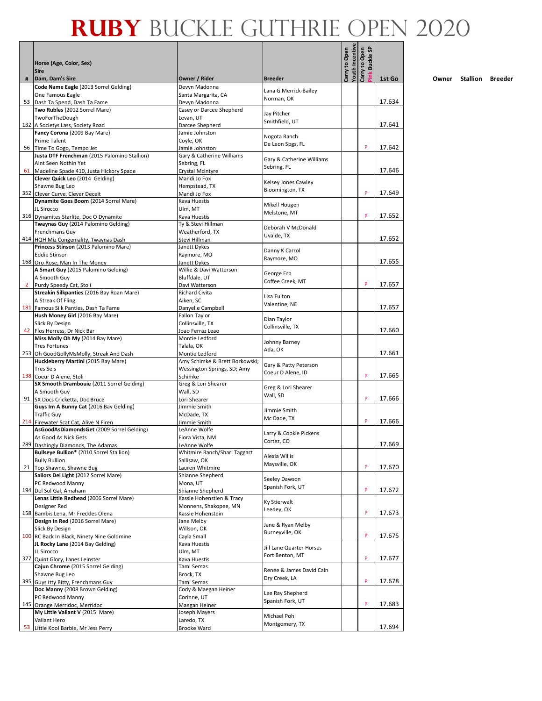|              | Horse (Age, Color, Sex)                                               |                                               |                                          |                                  | <b>Buckle SP</b><br>Carry to Open |        |
|--------------|-----------------------------------------------------------------------|-----------------------------------------------|------------------------------------------|----------------------------------|-----------------------------------|--------|
|              | <b>Sire</b>                                                           |                                               |                                          | Carry to Open<br>Youth Incentive | <sup>s</sup> ink                  |        |
| #            | Dam, Dam's Sire<br>Code Name Eagle (2013 Sorrel Gelding)              | Owner / Rider<br>Devyn Madonna                | <b>Breeder</b>                           |                                  |                                   | 1st Go |
|              | One Famous Eagle                                                      | Santa Margarita, CA                           | Lana G Merrick-Bailey                    |                                  |                                   |        |
|              | 53 Dash Ta Spend, Dash Ta Fame                                        | Devyn Madonna                                 | Norman, OK                               |                                  |                                   | 17.634 |
|              | Two Rubles (2012 Sorrel Mare)                                         | Casey or Darcee Shepherd                      | Jay Pitcher                              |                                  |                                   |        |
|              | TwoForTheDough                                                        | Levan, UT                                     | Smithfield, UT                           |                                  |                                   |        |
|              | 132 A Societys Lass, Society Road<br>Fancy Corona (2009 Bay Mare)     | Darcee Shepherd<br>Jamie Johnston             |                                          |                                  |                                   | 17.641 |
|              | <b>Prime Talent</b>                                                   | Coyle, OK                                     | Nogota Ranch                             |                                  |                                   |        |
|              | 56 Time To Gogo, Tempo Jet                                            | Jamie Johnston                                | De Leon Spgs, FL                         |                                  | P                                 | 17.642 |
|              | Justa DTF Frenchman (2015 Palomino Stallion)                          | Gary & Catherine Williams                     |                                          |                                  |                                   |        |
|              | Aint Seen Nothin Yet                                                  | Sebring, FL                                   | Gary & Catherine Williams<br>Sebring, FL |                                  |                                   |        |
|              | 61 Madeline Spade 410, Justa Hickory Spade                            | Crystal Mcintyre                              |                                          |                                  |                                   | 17.646 |
|              | Clever Quick Leo (2014 Gelding)                                       | Mandi Jo Fox                                  | Kelsey Jones Cawley                      |                                  |                                   |        |
|              | Shawne Bug Leo<br>352 Clever Curve, Clever Deceit                     | Hempstead, TX<br>Mandi Jo Fox                 | Bloomington, TX                          |                                  | P                                 | 17.649 |
|              | Dynamite Goes Boom (2014 Sorrel Mare)                                 | Kava Huestis                                  |                                          |                                  |                                   |        |
|              | JL Sirocco                                                            | Ulm, MT                                       | Mikell Hougen                            |                                  |                                   |        |
|              | 316 Dynamites Starlite, Doc O Dynamite                                | Kava Huestis                                  | Melstone, MT                             |                                  | P                                 | 17.652 |
|              | Twaynas Guy (2014 Palomino Gelding)                                   | Ty & Stevi Hillman                            | Deborah V McDonald                       |                                  |                                   |        |
|              | Frenchmans Guy                                                        | Weatherford, TX                               | Uvalde, TX                               |                                  |                                   |        |
|              | 414 HQH Miz Congeniality, Twaynas Dash                                | Stevi Hillman                                 |                                          |                                  |                                   | 17.652 |
|              | Princess Stinson (2013 Palomino Mare)                                 | Janett Dykes                                  | Danny K Carrol                           |                                  |                                   |        |
|              | <b>Eddie Stinson</b><br>168 Oro Rose, Man In The Money                | Raymore, MO<br>Janett Dykes                   | Raymore, MO                              |                                  |                                   | 17.655 |
|              | A Smart Guy (2015 Palomino Gelding)                                   | Willie & Davi Watterson                       |                                          |                                  |                                   |        |
|              | A Smooth Guy                                                          | Bluffdale, UT                                 | George Erb                               |                                  |                                   |        |
| $\mathbf{2}$ | Purdy Speedy Cat, Stoli                                               | Davi Watterson                                | Coffee Creek, MT                         |                                  | P                                 | 17.657 |
|              | Streakin Silkpanties (2016 Bay Roan Mare)                             | <b>Richard Civita</b>                         | Lisa Fulton                              |                                  |                                   |        |
|              | A Streak Of Fling                                                     | Aiken, SC                                     | Valentine, NE                            |                                  |                                   |        |
|              | 181 Famous Silk Panties, Dash Ta Fame                                 | Danyelle Campbell                             |                                          |                                  |                                   | 17.657 |
|              | Hush Money Girl (2016 Bay Mare)<br>Slick By Design                    | Fallon Taylor<br>Collinsville, TX             | Dian Taylor                              |                                  |                                   |        |
|              | 42 Flos Herress, Dr Nick Bar                                          | Joao Ferraz Leao                              | Collinsville, TX                         |                                  |                                   | 17.660 |
|              | Miss Molly Oh My (2014 Bay Mare)                                      | Montie Ledford                                |                                          |                                  |                                   |        |
|              | <b>Tres Fortunes</b>                                                  | Talala, OK                                    | Johnny Barney                            |                                  |                                   |        |
|              | 253 Oh GoodGollyMsMolly, Streak And Dash                              | Montie Ledford                                | Ada, OK                                  |                                  |                                   | 17.661 |
|              | Huckleberry Martini (2015 Bay Mare)                                   | Amy Schimke & Brett Borkowski;                | Gary & Patty Peterson                    |                                  |                                   |        |
|              | <b>Tres Seis</b>                                                      | Wessington Springs, SD; Amy                   | Coeur D Alene, ID                        |                                  | P                                 | 17.665 |
|              | 138 Coeur D Alene, Stoli<br>SX Smooth Drambouie (2011 Sorrel Gelding) | Schimke<br>Greg & Lori Shearer                |                                          |                                  |                                   |        |
|              | A Smooth Guy                                                          | Wall, SD                                      | Greg & Lori Shearer                      |                                  |                                   |        |
|              | 91 SX Docs Cricketta, Doc Bruce                                       | Lori Shearer                                  | Wall, SD                                 |                                  | P                                 | 17.666 |
|              | Guys Im A Bunny Cat (2016 Bay Gelding)                                | Jimmie Smith                                  | Jimmie Smith                             |                                  |                                   |        |
|              | <b>Traffic Guy</b>                                                    | McDade, TX                                    | Mc Dade, TX                              |                                  |                                   |        |
|              | 214 Firewater Scat Cat, Alive N Firen                                 | Jimmie Smith                                  |                                          |                                  | P                                 | 17.666 |
|              | AsGoodAsDiamondsGet (2009 Sorrel Gelding)<br>As Good As Nick Gets     | LeAnne Wolfe                                  | Larry & Cookie Pickens                   |                                  |                                   |        |
|              | 289 Dashingly Diamonds, The Adamas                                    | Flora Vista, NM<br>LeAnne Wolfe               | Cortez, CO                               |                                  |                                   | 17.669 |
|              | Bullseye Bullion* (2010 Sorrel Stallion)                              | Whitmire Ranch/Shari Taggart                  |                                          |                                  |                                   |        |
|              | <b>Bully Bullion</b>                                                  | Sallisaw, OK                                  | Alexia Willis                            |                                  |                                   |        |
|              | 21 Top Shawne, Shawne Bug                                             | Lauren Whitmire                               | Maysville, OK                            |                                  | P                                 | 17.670 |
|              | Sailors Del Light (2012 Sorrel Mare)                                  | Shianne Shepherd                              | Seeley Dawson                            |                                  |                                   |        |
|              | PC Redwood Manny                                                      | Mona, UT                                      | Spanish Fork, UT                         |                                  | P                                 |        |
|              | 194 Del Sol Gal, Amaham<br>Lenas Little Redhead (2006 Sorrel Mare)    | Shianne Shepherd<br>Kassie Hohenstien & Tracy |                                          |                                  |                                   | 17.672 |
|              | Designer Red                                                          | Monnens, Shakopee, MN                         | Ky Stierwalt                             |                                  |                                   |        |
|              | 158 Bambis Lena, Mr Freckles Olena                                    | Kassie Hohenstein                             | Leedey, OK                               |                                  | P                                 | 17.673 |
|              | Design In Red (2016 Sorrel Mare)                                      | Jane Melby                                    |                                          |                                  |                                   |        |
|              | Slick By Design                                                       | Willson, OK                                   | Jane & Ryan Melby<br>Burneyville, OK     |                                  |                                   |        |
|              | 100 RC Back In Black, Ninety Nine Goldmine                            | Cayla Small                                   |                                          |                                  | P                                 | 17.675 |
|              | JL Rocky Lane (2014 Bay Gelding)                                      | Kava Huestis                                  | Jill Lane Quarter Horses                 |                                  |                                   |        |
|              | JL Sirocco                                                            | Ulm, MT                                       | Fort Benton, MT                          |                                  | P                                 | 17.677 |
|              | 377 Quint Glory, Lanes Leinster<br>Cajun Chrome (2015 Sorrel Gelding) | Kava Huestis<br>Tami Semas                    |                                          |                                  |                                   |        |
|              | Shawne Bug Leo                                                        | Brock, TX                                     | Renee & James David Cain                 |                                  |                                   |        |
|              | 395 Guys Itty Bitty, Frenchmans Guy                                   | Tami Semas                                    | Dry Creek, LA                            |                                  | P                                 | 17.678 |
|              | Doc Manny (2008 Brown Gelding)                                        | Cody & Maegan Heiner                          | Lee Ray Shepherd                         |                                  |                                   |        |
|              | PC Redwood Manny                                                      | Corinne, UT                                   | Spanish Fork, UT                         |                                  |                                   |        |
|              | 145 Orange Merridoc, Merridoc                                         | Maegan Heiner                                 |                                          |                                  | P                                 | 17.683 |
|              | My Little Valiant V (2015 Mare)                                       | Joseph Mayers                                 | Michael Pohl                             |                                  |                                   |        |
|              | Valiant Hero<br>53 Little Kool Barbie, Mr Jess Perry                  | Laredo, TX<br>Brooke Ward                     | Montgomery, TX                           |                                  |                                   | 17.694 |
|              |                                                                       |                                               |                                          |                                  |                                   |        |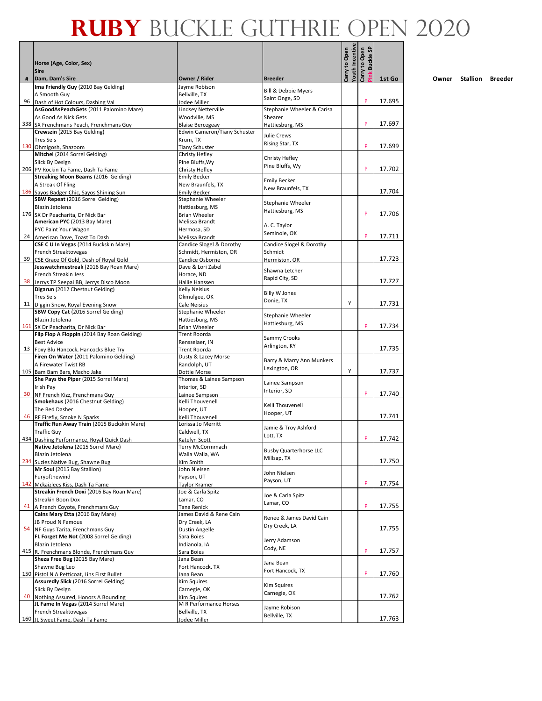|    | Horse (Age, Color, Sex)                                                              |                                                                |                                                  |                                         | <b>Buckle SP</b><br>Carry to Open |        |
|----|--------------------------------------------------------------------------------------|----------------------------------------------------------------|--------------------------------------------------|-----------------------------------------|-----------------------------------|--------|
|    | <b>Sire</b>                                                                          |                                                                |                                                  | <b>Youth Incentive</b><br>Carry to Open |                                   |        |
| #  | Dam, Dam's Sire<br>Ima Friendly Guy (2010 Bay Gelding)                               | Owner / Rider<br>Jayme Robison                                 | <b>Breeder</b><br><b>Bill &amp; Debbie Myers</b> |                                         |                                   | 1st Go |
|    | A Smooth Guy                                                                         | Bellville, TX                                                  | Saint Onge, SD                                   |                                         | P                                 |        |
|    | 96 Dash of Hot Colours, Dashing Val<br>AsGoodAsPeachGets (2011 Palomino Mare)        | Jodee Miller<br>Lindsey Netterville                            | Stephanie Wheeler & Carisa                       |                                         |                                   | 17.695 |
|    | As Good As Nick Gets                                                                 | Woodville, MS                                                  | Shearer                                          |                                         |                                   |        |
|    | 338 SX Frenchmans Peach, Frenchmans Guy<br>Crewszin (2015 Bay Gelding)               | <b>Blaise Bercegeay</b><br><b>Edwin Cameron/Tiany Schuster</b> | Hattiesburg, MS                                  |                                         | P                                 | 17.697 |
|    | <b>Tres Seis</b>                                                                     | Krum, TX                                                       | Julie Crews                                      |                                         |                                   |        |
|    | 130 Ohmigosh, Shazoom                                                                | <b>Tiany Schuster</b>                                          | Rising Star, TX                                  |                                         | P                                 | 17.699 |
|    | Mitchel (2014 Sorrel Gelding)<br>Slick By Design                                     | Christy Hefley<br>Pine Bluffs, Wy                              | Christy Hefley                                   |                                         |                                   |        |
|    | 206 PV Rockin Ta Fame, Dash Ta Fame                                                  | Christy Hefley                                                 | Pine Bluffs, Wy                                  |                                         | P                                 | 17.702 |
|    | <b>Streaking Moon Beams (2016 Gelding)</b>                                           | <b>Emily Becker</b>                                            | <b>Emily Becker</b>                              |                                         |                                   |        |
|    | A Streak Of Fling<br>186 Sayos Badger Chic, Sayos Shining Sun                        | New Braunfels, TX<br><b>Emily Becker</b>                       | New Braunfels, TX                                |                                         |                                   | 17.704 |
|    | <b>SBW Repeat (2016 Sorrel Gelding)</b>                                              | <b>Stephanie Wheeler</b>                                       | Stephanie Wheeler                                |                                         |                                   |        |
|    | Blazin Jetolena                                                                      | Hattiesburg, MS                                                | Hattiesburg, MS                                  |                                         | P                                 | 17.706 |
|    | 176 SX Dr Peacharita, Dr Nick Bar<br>American PYC (2013 Bay Mare)                    | <b>Brian Wheeler</b><br>Melissa Brandt                         |                                                  |                                         |                                   |        |
|    | PYC Paint Your Wagon                                                                 | Hermosa, SD                                                    | A. C. Taylor<br>Seminole, OK                     |                                         |                                   |        |
|    | 24 American Dove, Toast To Dash<br>CSE C U In Vegas (2014 Buckskin Mare)             | Melissa Brandt<br>Candice Slogel & Dorothy                     | Candice Slogel & Dorothy                         |                                         | P                                 | 17.711 |
|    | French Streaktovegas                                                                 | Schmidt, Hermiston, OR                                         | Schmidt                                          |                                         |                                   |        |
| 39 | CSE Grace Of Gold, Dash of Royal Gold                                                | Candice Osborne                                                | Hermiston, OR                                    |                                         |                                   | 17.723 |
|    | Jesswatchmestreak (2016 Bay Roan Mare)<br>French Streakin Jess                       | Dave & Lori Zabel<br>Horace, ND                                | Shawna Letcher                                   |                                         |                                   |        |
|    | 38 Jerrys TP Seepai BB, Jerrys Disco Moon                                            | Hallie Hanssen                                                 | Rapid City, SD                                   |                                         |                                   | 17.727 |
|    | Digarun (2012 Chestnut Gelding)                                                      | <b>Kelly Neisius</b>                                           | <b>Billy W Jones</b>                             |                                         |                                   |        |
|    | <b>Tres Seis</b><br>11 Diggin Snow, Royal Evening Snow                               | Okmulgee, OK<br>Cale Neisius                                   | Donie, TX                                        | Y                                       |                                   | 17.731 |
|    | SBW Copy Cat (2016 Sorrel Gelding)                                                   | <b>Stephanie Wheeler</b>                                       | Stephanie Wheeler                                |                                         |                                   |        |
|    | Blazin Jetolena                                                                      | Hattiesburg, MS                                                | Hattiesburg, MS                                  |                                         | P                                 | 17.734 |
|    | 161 SX Dr Peacharita, Dr Nick Bar<br>Flip Flop A Floppin (2014 Bay Roan Gelding)     | <b>Brian Wheeler</b><br>Trent Roorda                           |                                                  |                                         |                                   |        |
|    | <b>Best Advice</b>                                                                   | Rensselaer, IN                                                 | Sammy Crooks<br>Arlington, KY                    |                                         |                                   |        |
|    | 13 Foxy Blu Hancock, Hancocks Blue Try<br>Firen On Water (2011 Palomino Gelding)     | Trent Roorda<br>Dusty & Lacey Morse                            |                                                  |                                         |                                   | 17.735 |
|    | A Firewater Twist RB                                                                 | Randolph, UT                                                   | Barry & Marry Ann Munkers                        |                                         |                                   |        |
|    | 105 Bam Bam Bars, Macho Jake                                                         | Dottie Morse                                                   | Lexington, OR                                    | Υ                                       |                                   | 17.737 |
|    | She Pays the Piper (2015 Sorrel Mare)<br>Irish Pay                                   | Thomas & Lainee Sampson<br>Interior. SD                        | Lainee Sampson                                   |                                         |                                   |        |
|    | 30 NF French Kizz, Frenchmans Guy                                                    | Lainee Sampson                                                 | Interior, SD                                     |                                         | P                                 | 17.740 |
|    | Smokehaus (2016 Chestnut Gelding)                                                    | Kelli Thouvenell                                               | Kelli Thouvenell                                 |                                         |                                   |        |
|    | The Red Dasher<br>46 RF Firefly, Smoke N Sparks                                      | Hooper, UT<br>Kelli Thouvenell                                 | Hooper, UT                                       |                                         |                                   | 17.741 |
|    | Traffic Run Away Train (2015 Buckskin Mare)                                          | Lorissa Jo Merritt                                             | Jamie & Troy Ashford                             |                                         |                                   |        |
|    | <b>Traffic Guy</b><br>434 Dashing Performance, Royal Quick Dash                      | Caldwell, TX                                                   | Lott, TX                                         |                                         | P                                 | 17.742 |
|    | Native Jetolena (2015 Sorrel Mare)                                                   | Katelyn Scott<br>Terry McCormmach                              |                                                  |                                         |                                   |        |
|    | Blazin Jetolena                                                                      | Walla Walla, WA                                                | <b>Busby Quarterhorse LLC</b><br>Millsap, TX     |                                         |                                   |        |
|    | 234 Suzies Native Bug, Shawne Bug<br>Mr Soul (2015 Bay Stallion)                     | Kim Smith<br>John Nielsen                                      |                                                  |                                         |                                   | 17.750 |
|    | Furyofthewind                                                                        | Payson, UT                                                     | John Nielsen                                     |                                         |                                   |        |
|    | 142 Mckaizlees Kiss, Dash Ta Fame                                                    | Taylor Kramer                                                  | Payson, UT                                       |                                         | P                                 | 17.754 |
|    | Streakin French Doxi (2016 Bay Roan Mare)<br>Streakin Boon Dox                       | Joe & Carla Spitz<br>Lamar, CO                                 | Joe & Carla Spitz                                |                                         |                                   |        |
|    | 41 A French Coyote, Frenchmans Guy                                                   | Tana Renick                                                    | Lamar, CO                                        |                                         | P                                 | 17.755 |
|    | Cains Mary Etta (2016 Bay Mare)                                                      | James David & Rene Cain                                        | Renee & James David Cain                         |                                         |                                   |        |
|    | JB Proud N Famous<br>54 NF Guys Tarita, Frenchmans Guy                               | Dry Creek, LA<br>Dustin Angelle                                | Dry Creek, LA                                    |                                         |                                   | 17.755 |
|    | FL Forget Me Not (2008 Sorrel Gelding)                                               | Sara Boies                                                     | Jerry Adamson                                    |                                         |                                   |        |
|    | Blazin Jetolena<br>415 RJ Frenchmans Blonde, Frenchmans Guy                          | Indianola, IA                                                  | Cody, NE                                         |                                         | P                                 | 17.757 |
|    | Sheza Free Bug (2015 Bay Mare)                                                       | Sara Boies<br>Jana Bean                                        |                                                  |                                         |                                   |        |
|    | Shawne Bug Leo                                                                       | Fort Hancock, TX                                               | Jana Bean<br>Fort Hancock, TX                    |                                         |                                   |        |
|    | 150 Pistol N A Petticoat, Lins First Bullet<br>Assuredly Slick (2016 Sorrel Gelding) | Jana Bean<br>Kim Squires                                       |                                                  |                                         | P                                 | 17.760 |
|    | Slick By Design                                                                      | Carnegie, OK                                                   | <b>Kim Squires</b>                               |                                         |                                   |        |
|    | 40 Nothing Assured, Honors A Bounding                                                | Kim Squires                                                    | Carnegie, OK                                     |                                         |                                   | 17.762 |
|    | JL Fame In Vegas (2014 Sorrel Mare)<br>French Streaktovegas                          | M R Performance Horses<br>Bellville, TX                        | Jayme Robison                                    |                                         |                                   |        |
|    | 160 JL Sweet Fame, Dash Ta Fame                                                      | Jodee Miller                                                   | Bellville, TX                                    |                                         |                                   | 17.763 |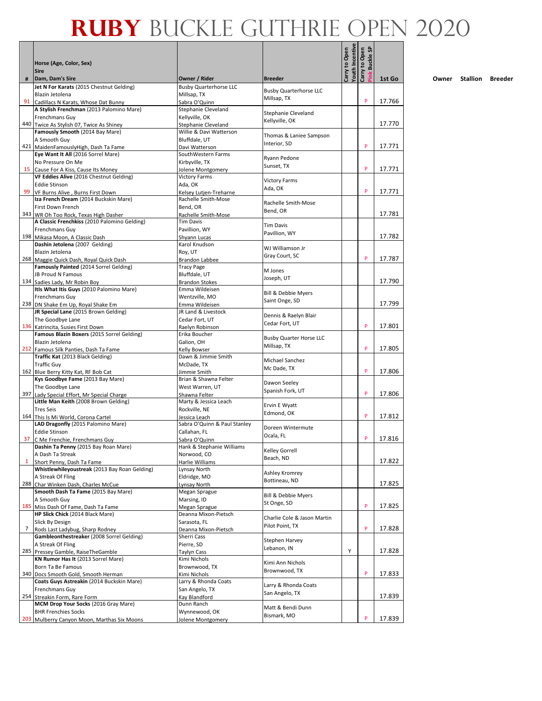|    | Horse (Age, Color, Sex)                                                            |                                              |                                | Youth Incentive<br>Carry to Open | <b>Buckle SP</b><br>Carry to Open |        |
|----|------------------------------------------------------------------------------------|----------------------------------------------|--------------------------------|----------------------------------|-----------------------------------|--------|
| #  | <b>Sire</b><br>Dam, Dam's Sire                                                     | Owner / Rider                                | <b>Breeder</b>                 |                                  | ink                               | 1st Go |
|    | Jet N For Karats (2015 Chestnut Gelding)                                           | <b>Busby Quarterhorse LLC</b>                | <b>Busby Quarterhorse LLC</b>  |                                  |                                   |        |
|    | Blazin Jetolena                                                                    | Millsap, TX                                  | Millsap, TX                    |                                  | P                                 | 17.766 |
|    | 91 Cadillacs N Karats, Whose Dat Bunny<br>A Stylish Frenchman (2013 Palomino Mare) | Sabra O'Quinn<br>Stephanie Cleveland         |                                |                                  |                                   |        |
|    | <b>Frenchmans Guy</b>                                                              | Kellyville, OK                               | Stephanie Cleveland            |                                  |                                   |        |
|    | 440 Twice As Stylish 07, Twice As Shiney                                           | Stephanie Cleveland                          | Kellyville, OK                 |                                  |                                   | 17.770 |
|    | Famously Smooth (2014 Bay Mare)                                                    | Willie & Davi Watterson                      | Thomas & Laniee Sampson        |                                  |                                   |        |
|    | A Smooth Guy                                                                       | Bluffdale, UT                                | Interior, SD                   |                                  | P                                 |        |
|    | 421 MaidenFamouslyHigh, Dash Ta Fame<br>Eye Want It All (2016 Sorrel Mare)         | Davi Watterson<br>SouthWestern Farms         |                                |                                  |                                   | 17.771 |
|    | No Pressure On Me                                                                  | Kirbyville, TX                               | Ryann Pedone                   |                                  |                                   |        |
|    | 15 Cause For A Kiss, Cause Its Money                                               | Jolene Montgomery                            | Sunset, TX                     |                                  | P                                 | 17.771 |
|    | VF Eddies Alive (2016 Chestnut Gelding)                                            | <b>Victory Farms</b>                         | <b>Victory Farms</b>           |                                  |                                   |        |
|    | <b>Eddie Stinson</b>                                                               | Ada, OK                                      | Ada, OK                        |                                  |                                   |        |
| 99 | VF Burns Alive, Burns First Down                                                   | Kelsey Lutjen-Treharne                       |                                |                                  | P                                 | 17.771 |
|    | Iza French Dream (2014 Buckskin Mare)                                              | Rachelle Smith-Mose                          | Rachelle Smith-Mose            |                                  |                                   |        |
|    | First Down French<br>343 WR Oh Too Rock, Texas High Dasher                         | Bend, OR<br>Rachelle Smith-Mose              | Bend, OR                       |                                  |                                   | 17.781 |
|    | A Classic Frenchkiss (2010 Palomino Gelding)                                       | <b>Tim Davis</b>                             |                                |                                  |                                   |        |
|    | Frenchmans Guy                                                                     | Pavillion, WY                                | <b>Tim Davis</b>               |                                  |                                   |        |
|    | 198 Mikasa Moon, A Classic Dash                                                    | Shvann Lucas                                 | Pavillion, WY                  |                                  |                                   | 17.782 |
|    | Dashin Jetolena (2007 Gelding)                                                     | Karol Knudson                                | WJ Williamson Jr               |                                  |                                   |        |
|    | Blazin Jetolena                                                                    | Roy, UT                                      | Gray Court, SC                 |                                  | P                                 | 17.787 |
|    | 268 Maggie Quick Dash, Royal Quick Dash<br>Famously Painted (2014 Sorrel Gelding)  | <b>Brandon Labbee</b><br><b>Tracy Page</b>   |                                |                                  |                                   |        |
|    | <b>JB Proud N Famous</b>                                                           | Bluffdale, UT                                | M Jones                        |                                  |                                   |        |
|    | 134 Sadies Lady, Mr Robin Boy                                                      | <b>Brandon Stokes</b>                        | Joseph, UT                     |                                  |                                   | 17.790 |
|    | Itls What Itis Guys (2010 Palomino Mare)                                           | Emma Wildeisen                               | <b>Bill &amp; Debbie Myers</b> |                                  |                                   |        |
|    | Frenchmans Guy                                                                     | Wentzville, MO                               | Saint Onge, SD                 |                                  |                                   |        |
|    | 238 DN Shake Em Up, Royal Shake Em                                                 | Emma Wildeisen                               |                                |                                  |                                   | 17.799 |
|    | JR Special Lane (2015 Brown Gelding)                                               | JR Land & Livestock<br>Cedar Fort, UT        | Dennis & Raelyn Blair          |                                  |                                   |        |
|    | The Goodbye Lane<br>136 Katrincita, Susies First Down                              | Raelyn Robinson                              | Cedar Fort, UT                 |                                  | P                                 | 17.801 |
|    | Famous Blazin Boxers (2015 Sorrel Gelding)                                         | Erika Boucher                                |                                |                                  |                                   |        |
|    | Blazin Jetolena                                                                    | Galion, OH                                   | <b>Busby Quarter Horse LLC</b> |                                  |                                   |        |
|    | 212 Famous Silk Panties, Dash Ta Fame                                              | Kelly Bowser                                 | Millsap, TX                    |                                  | P                                 | 17.805 |
|    | Traffic Kat (2013 Black Gelding)                                                   | Dawn & Jimmie Smith                          | Michael Sanchez                |                                  |                                   |        |
|    | <b>Traffic Guy</b>                                                                 | McDade, TX                                   | Mc Dade, TX                    |                                  | P                                 | 17.806 |
|    | 162 Blue Berry Kitty Kat, RF Bob Cat<br>Kys Goodbye Fame (2013 Bay Mare)           | Jimmie Smith<br>Brian & Shawna Felter        |                                |                                  |                                   |        |
|    | The Goodbye Lane                                                                   | West Warren. UT                              | Dawon Seeley                   |                                  |                                   |        |
|    | 397 Lady Special Effort, Mr Special Charge                                         | Shawna Felter                                | Spanish Fork, UT               |                                  | P                                 | 17.806 |
|    | Little Man Keith (2008 Brown Gelding)                                              | Marty & Jessica Leach                        | Ervin E Wyatt                  |                                  |                                   |        |
|    | <b>Tres Seis</b>                                                                   | Rockville, NE                                | Edmond, OK                     |                                  |                                   |        |
|    | 164 This Is Mi World, Corona Cartel                                                | Jessica Leach                                |                                |                                  | P                                 | 17.812 |
|    | LAD Dragonfly (2015 Palomino Mare)<br><b>Eddie Stinson</b>                         | Sabra O'Quinn & Paul Stanley<br>Callahan, FL | Doreen Wintermute              |                                  |                                   |        |
| 37 | C Me Frenchie, Frenchmans Guy                                                      | Sabra O'Quinn                                | Ocala, FL                      |                                  | P                                 | 17.816 |
|    | Dashin Ta Penny (2015 Bay Roan Mare)                                               | Hank & Stephanie Williams                    | Kelley Gorrell                 |                                  |                                   |        |
|    | A Dash Ta Streak                                                                   | Norwood, CO                                  | Beach, ND                      |                                  |                                   |        |
| 1  | Short Penny, Dash Ta Fame                                                          | Harlie Williams                              |                                |                                  |                                   | 17.822 |
|    | Whistlewhileyoustreak (2013 Bay Roan Gelding)                                      | Lynsay North                                 | Ashley Kromrey                 |                                  |                                   |        |
|    | A Streak Of Fling<br>288 Char Winken Dash, Charles McCue                           | Eldridge, MO<br>Lynsay North                 | Bottineau, ND                  |                                  |                                   | 17.825 |
|    | Smooth Dash Ta Fame (2015 Bay Mare)                                                | Megan Sprague                                |                                |                                  |                                   |        |
|    | A Smooth Guy                                                                       | Marsing, ID                                  | Bill & Debbie Myers            |                                  |                                   |        |
|    | 185 Miss Dash Of Fame, Dash Ta Fame                                                | Megan Sprague                                | St Onge, SD                    |                                  | P                                 | 17.825 |
|    | HP Slick Chick (2014 Black Mare)                                                   | Deanna Mixon-Pietsch                         | Charlie Cole & Jason Martin    |                                  |                                   |        |
|    | Slick By Design                                                                    | Sarasota, FL                                 | Pilot Point, TX                |                                  | P                                 | 17.828 |
| 7  | Rods Last Ladybug, Sharp Rodney<br>Gambleonthestreaker (2008 Sorrel Gelding)       | Deanna Mixon-Pietsch<br>Sherri Cass          |                                |                                  |                                   |        |
|    | A Streak Of Fling                                                                  | Pierre, SD                                   | Stephen Harvey                 |                                  |                                   |        |
|    | 285 Pressey Gamble, RaiseTheGamble                                                 | <b>Taylyn Cass</b>                           | Lebanon, IN                    | Υ                                |                                   | 17.828 |
|    | KN Rumor Has It (2013 Sorrel Mare)                                                 | Kimi Nichols                                 | Kimi Ann Nichols               |                                  |                                   |        |
|    | Born Ta Be Famous                                                                  | Brownwood, TX                                | Brownwood, TX                  |                                  |                                   |        |
|    | 340 Docs Smooth Gold, Smooth Herman                                                | Kimi Nichols                                 |                                |                                  | P                                 | 17.833 |
|    | Coats Guys Astreakin (2014 Buckskin Mare)                                          | Larry & Rhonda Coats                         | Larry & Rhonda Coats           |                                  |                                   |        |
|    | Frenchmans Guy<br>254 Streakin Form, Rare Form                                     | San Angelo, TX<br>Kay Blandford              | San Angelo, TX                 |                                  |                                   | 17.839 |
|    | MCM Drop Your Socks (2016 Gray Mare)                                               | Dunn Ranch                                   |                                |                                  |                                   |        |
|    | <b>BHR Frenchies Socks</b>                                                         | Wynnewood, OK                                | Matt & Bendi Dunn              |                                  |                                   |        |
|    | 203 Mulberry Canyon Moon, Marthas Six Moons                                        | Jolene Montgomery                            | Bismark, MO                    |                                  | P                                 | 17.839 |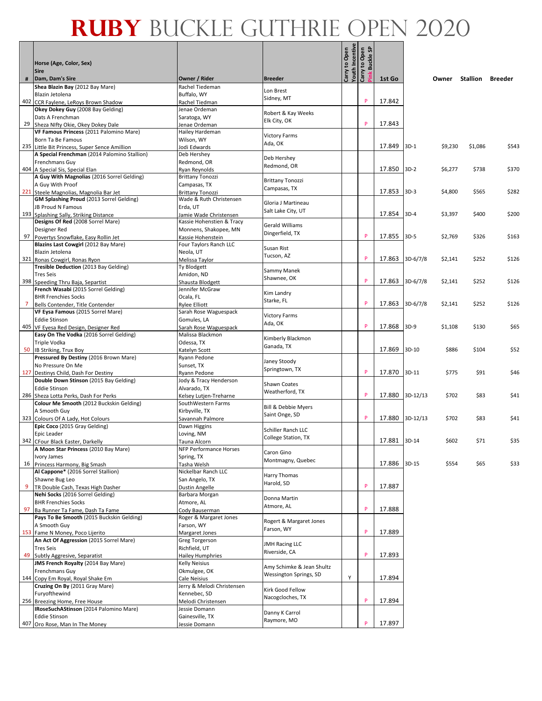|     | Horse (Age, Color, Sex)<br><b>Sire</b>                                             |                                                    |                                                     | Youth Incentive<br>Carry to Open | Carry to Open<br>Pink Buckle SP |                 |            |         |          |         |
|-----|------------------------------------------------------------------------------------|----------------------------------------------------|-----------------------------------------------------|----------------------------------|---------------------------------|-----------------|------------|---------|----------|---------|
|     | Dam, Dam's Sire                                                                    | Owner / Rider                                      | <b>Breeder</b>                                      |                                  |                                 | 1st Go          |            | Owner   | Stallion | Breeder |
|     | Shea Blazin Bay (2012 Bay Mare)<br>Blazin Jetolena                                 | Rachel Tiedeman<br>Buffalo, WY                     | Lon Brest                                           |                                  |                                 |                 |            |         |          |         |
| 402 | CCR Faylene, LeRoys Brown Shadow                                                   | Rachel Tiedman                                     | Sidney, MT                                          |                                  | P                               | 17.842          |            |         |          |         |
|     | Okey Dokey Guy (2008 Bay Gelding)                                                  | Jenae Ordeman                                      |                                                     |                                  |                                 |                 |            |         |          |         |
|     | Dats A Frenchman                                                                   | Saratoga, WY                                       | Robert & Kay Weeks<br>Elk City, OK                  |                                  |                                 |                 |            |         |          |         |
| 29  | Sheza Nifty Okie, Okey Dokey Dale                                                  | Jenae Ordeman                                      |                                                     |                                  | P                               | 17.843          |            |         |          |         |
|     | VF Famous Princess (2011 Palomino Mare)                                            | Hailey Hardeman                                    | <b>Victory Farms</b>                                |                                  |                                 |                 |            |         |          |         |
|     | Born Ta Be Famous<br>235 Little Bit Princess, Super Sence Amillion                 | Wilson, WY<br>Jodi Edwards                         | Ada, OK                                             |                                  |                                 | 17.849          | $3D-1$     | \$9,230 | \$1,086  | \$543   |
|     | A Special Frenchman (2014 Palomino Stallion)                                       | Deb Hershey                                        |                                                     |                                  |                                 |                 |            |         |          |         |
|     | Frenchmans Guy                                                                     | Redmond, OR                                        | Deb Hershey                                         |                                  |                                 |                 |            |         |          |         |
|     | 404 A Special Sis, Special Elan                                                    | Ryan Reynolds                                      | Redmond, OR                                         |                                  |                                 | 17.850          | $3D-2$     | \$6,277 | \$738    | \$370   |
|     | A Guy With Magnolias (2016 Sorrel Gelding)                                         | <b>Brittany Tonozzi</b>                            | <b>Brittany Tonozzi</b>                             |                                  |                                 |                 |            |         |          |         |
|     | A Guy With Proof                                                                   | Campasas, TX                                       | Campasas, TX                                        |                                  |                                 |                 |            |         |          |         |
|     | 221 Steele Magnolias, Magnolia Bar Jet<br>GM Splashing Proud (2013 Sorrel Gelding) | <b>Brittany Tonozzi</b><br>Wade & Ruth Christensen |                                                     |                                  |                                 | 17.853          | $3D-3$     | \$4,800 | \$565    | \$282   |
|     | JB Proud N Famous                                                                  | Erda, UT                                           | Gloria J Martineau                                  |                                  |                                 |                 |            |         |          |         |
|     | 193 Splashing Sally, Striking Distance                                             | Jamie Wade Christensen                             | Salt Lake City, UT                                  |                                  |                                 | 17.854          | $3D-4$     | \$3,397 | \$400    | \$200   |
|     | Designs Of Red (2008 Sorrel Mare)                                                  | Kassie Hohenstien & Tracy                          | <b>Gerald Williams</b>                              |                                  |                                 |                 |            |         |          |         |
|     | Designer Red                                                                       | Monnens, Shakopee, MN                              | Dingerfield, TX                                     |                                  |                                 |                 |            |         |          |         |
|     | 97 Povertys Snowflake, Easy Rollin Jet                                             | Kassie Hohenstein                                  |                                                     |                                  | P                               | 17.855          | $3D-5$     | \$2,769 | \$326    | \$163   |
|     | Blazins Last Cowgirl (2012 Bay Mare)                                               | Four Taylors Ranch LLC                             | Susan Rist                                          |                                  |                                 |                 |            |         |          |         |
|     | Blazin Jetolena<br>321 Ronas Cowgirl, Ronas Ryon                                   | Neola, UT<br>Melissa Taylor                        | Tucson, AZ                                          |                                  | P                               | 17.863          | $3D-6/7/8$ | \$2,141 | \$252    | \$126   |
|     | Tresible Deduction (2013 Bay Gelding)                                              | Ty Blodgett                                        |                                                     |                                  |                                 |                 |            |         |          |         |
|     | <b>Tres Seis</b>                                                                   | Amidon, ND                                         | Sammy Manek                                         |                                  |                                 |                 |            |         |          |         |
|     | 398 Speeding Thru Baja, Separtist                                                  | Shausta Blodgett                                   | Shawnee, OK                                         |                                  | P                               | 17.863          | $3D-6/7/8$ | \$2,141 | \$252    | \$126   |
|     | French Wasabi (2015 Sorrel Gelding)                                                | Jennifer McGraw                                    | Kim Landry                                          |                                  |                                 |                 |            |         |          |         |
|     | <b>BHR Frenchies Socks</b>                                                         | Ocala, FL                                          | Starke, FL                                          |                                  | P                               |                 |            |         |          |         |
|     | Bells Contender, Title Contender<br>VF Eysa Famous (2015 Sorrel Mare)              | <b>Rylee Elliott</b><br>Sarah Rose Waguespack      |                                                     |                                  |                                 | 17.863          | $3D-6/7/8$ | \$2,141 | \$252    | \$126   |
|     | <b>Eddie Stinson</b>                                                               | Gomules, LA                                        | <b>Victory Farms</b>                                |                                  |                                 |                 |            |         |          |         |
|     | 405 VF Eyesa Red Design, Designer Red                                              | Sarah Rose Waguespack                              | Ada, OK                                             |                                  | P                               | 17.868          | $3D-9$     | \$1,108 | \$130    | \$65    |
|     | Easy On The Vodka (2016 Sorrel Gelding)                                            | Malissa Blackmon                                   |                                                     |                                  |                                 |                 |            |         |          |         |
|     | <b>Triple Vodka</b>                                                                | Odessa, TX                                         | Kimberly Blackmon<br>Ganada, TX                     |                                  |                                 |                 |            |         |          |         |
|     | 50 IB Striking, Trux Boy                                                           | Katelyn Scott                                      |                                                     |                                  |                                 | 17.869          | $3D-10$    | \$886   | \$104    | \$52    |
|     | Pressured By Destiny (2016 Brown Mare)                                             | Ryann Pedone                                       | Janey Stoody                                        |                                  |                                 |                 |            |         |          |         |
|     | No Pressure On Me<br>127 Destinys Child, Dash For Destiny                          | Sunset, TX<br>Ryann Pedone                         | Springtown, TX                                      |                                  | P                               | 17.870          | $3D-11$    | \$775   | \$91     | \$46    |
|     | Double Down Stinson (2015 Bay Gelding)                                             | Jody & Tracy Henderson                             |                                                     |                                  |                                 |                 |            |         |          |         |
|     | <b>Eddie Stinson</b>                                                               | Alvarado, TX                                       | Shawn Coates                                        |                                  |                                 |                 |            |         |          |         |
|     | 286 Sheza Lotta Perks, Dash For Perks                                              | Kelsey Lutjen-Treharne                             | Weatherford, TX                                     |                                  | P                               | 17.880          | 3D-12/13   | \$702   | \$83     | \$41    |
|     | Colour Me Smooth (2012 Buckskin Gelding)                                           | SouthWestern Farms                                 | <b>Bill &amp; Debbie Myers</b>                      |                                  |                                 |                 |            |         |          |         |
|     | A Smooth Guy                                                                       | Kirbyville, TX                                     | Saint Onge, SD                                      |                                  |                                 |                 |            |         |          |         |
|     | 323 Colours Of A Lady, Hot Colours<br>Epic Coco (2015 Gray Gelding)                | Savannah Palmore                                   |                                                     |                                  | P                               | 17.880 3D-12/13 |            | \$702   | \$83     | \$41    |
|     | Epic Leader                                                                        | Dawn Higgins<br>Loving, NM                         | Schiller Ranch LLC                                  |                                  |                                 |                 |            |         |          |         |
|     | 342 CFour Black Easter, Darkelly                                                   | Tauna Alcorn                                       | College Station, TX                                 |                                  |                                 | 17.881 3D-14    |            | \$602   | \$71     | \$35    |
|     | A Moon Star Princess (2010 Bay Mare)                                               | NFP Performance Horses                             | Caron Gino                                          |                                  |                                 |                 |            |         |          |         |
|     | Ivory James                                                                        | Spring, TX                                         | Montmagny, Quebec                                   |                                  |                                 |                 |            |         |          |         |
|     | 16 Princess Harmony, Big Smash                                                     | Tasha Welsh                                        |                                                     |                                  |                                 | 17.886          | $3D-15$    | \$554   | \$65     | \$33    |
|     | Al Cappone* (2016 Sorrel Stallion)                                                 | Nickelbar Ranch LLC                                | Harry Thomas                                        |                                  |                                 |                 |            |         |          |         |
| 9   | Shawne Bug Leo<br>TR Double Cash, Texas High Dasher                                | San Angelo, TX<br>Dustin Angelle                   | Harold, SD                                          |                                  | P                               | 17.887          |            |         |          |         |
|     | Nehi Socks (2016 Sorrel Gelding)                                                   | Barbara Morgan                                     |                                                     |                                  |                                 |                 |            |         |          |         |
|     | <b>BHR Frenchies Socks</b>                                                         | Atmore, AL                                         | Donna Martin                                        |                                  |                                 |                 |            |         |          |         |
|     | 97 Ba Runner Ta Fame, Dash Ta Fame                                                 | Cody Bauserman                                     | Atmore, AL                                          |                                  | P                               | 17.888          |            |         |          |         |
|     | Pays To Be Smooth (2015 Buckskin Gelding)                                          | Roger & Margaret Jones                             | Rogert & Margaret Jones                             |                                  |                                 |                 |            |         |          |         |
|     | A Smooth Guy                                                                       | Farson, WY                                         | Farson, WY                                          |                                  | P                               |                 |            |         |          |         |
|     | 153 Fame N Money, Poco Lijerito<br>An Act Of Aggression (2015 Sorrel Mare)         | Margaret Jones<br>Greg Torgerson                   |                                                     |                                  |                                 | 17.889          |            |         |          |         |
|     | <b>Tres Seis</b>                                                                   | Richfield, UT                                      | <b>JMH Racing LLC</b>                               |                                  |                                 |                 |            |         |          |         |
|     | 49 Subtly Aggresive, Separatist                                                    | <b>Hailey Humphries</b>                            | Riverside, CA                                       |                                  | P                               | 17.893          |            |         |          |         |
|     | JMS French Royalty (2014 Bay Mare)                                                 | Kelly Neisius                                      |                                                     |                                  |                                 |                 |            |         |          |         |
|     | Frenchmans Guy                                                                     | Okmulgee, OK                                       | Amy Schimke & Jean Shultz<br>Wessington Springs, SD |                                  |                                 |                 |            |         |          |         |
|     | 144 Copy Em Royal, Royal Shake Em                                                  | Cale Neisius                                       |                                                     | Υ                                |                                 | 17.894          |            |         |          |         |
|     | Cruzing On By (2011 Gray Mare)                                                     | Jerry & Melodi Christensen                         | Kirk Good Fellow                                    |                                  |                                 |                 |            |         |          |         |
|     | Furyofthewind                                                                      | Kennebec, SD                                       | Nacogcloches, TX                                    |                                  |                                 | 17.894          |            |         |          |         |
|     | 256 Breezing Home, Free House<br>IRoseSuchAStinson (2014 Palomino Mare)            | Melodi Christensen<br>Jessie Domann                |                                                     |                                  |                                 |                 |            |         |          |         |
|     | <b>Eddie Stinson</b>                                                               | Gainesville, TX                                    | Danny K Carrol                                      |                                  |                                 |                 |            |         |          |         |
|     | 407 Oro Rose, Man In The Money                                                     | Jessie Domann                                      | Raymore, MO                                         |                                  | P                               | 17.897          |            |         |          |         |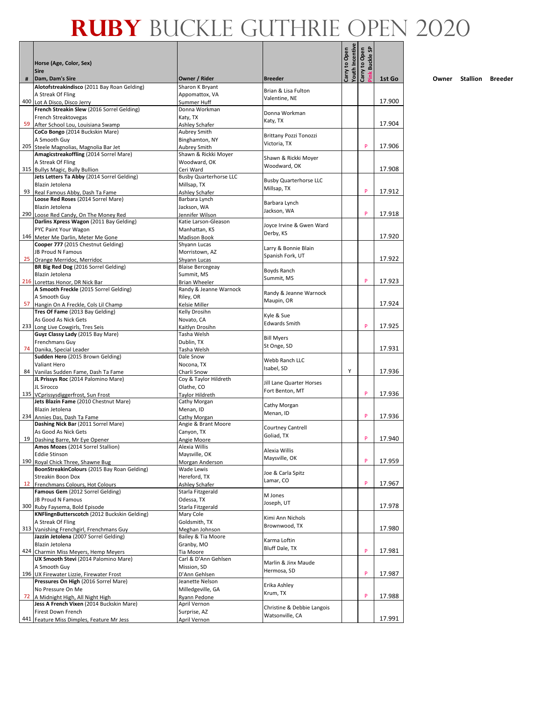|   |                                                                                |                                   |                               | Youth Incentive<br>Carry to Open | <b>Buckle SP</b><br>Carry to Open |        |
|---|--------------------------------------------------------------------------------|-----------------------------------|-------------------------------|----------------------------------|-----------------------------------|--------|
|   | Horse (Age, Color, Sex)<br><b>Sire</b>                                         |                                   |                               |                                  | ink                               |        |
| # | Dam, Dam's Sire                                                                | Owner / Rider                     | <b>Breeder</b>                |                                  |                                   | 1st Go |
|   | Alotofstreakindisco (2011 Bay Roan Gelding)<br>A Streak Of Fling               | Sharon K Bryant<br>Appomattox, VA | Brian & Lisa Fulton           |                                  |                                   |        |
|   | 400 Lot A Disco, Disco Jerry                                                   | Summer Huff                       | Valentine, NE                 |                                  |                                   | 17.900 |
|   | French Streakin Slew (2016 Sorrel Gelding)                                     | Donna Workman                     |                               |                                  |                                   |        |
|   | French Streaktovegas                                                           | Katy, TX                          | Donna Workman                 |                                  |                                   |        |
|   | 59 After School Lou, Louisiana Swamp                                           | Ashley Schafer                    | Katy, TX                      |                                  |                                   | 17.904 |
|   | CoCo Bongo (2014 Buckskin Mare)                                                | Aubrey Smith                      | Brittany Pozzi Tonozzi        |                                  |                                   |        |
|   | A Smooth Guy                                                                   | Binghamton, NY                    | Victoria, TX                  |                                  |                                   |        |
|   | 205 Steele Magnolias, Magnolia Bar Jet                                         | <b>Aubrey Smith</b>               |                               |                                  | P                                 | 17.906 |
|   | Amagicstreakoffling (2014 Sorrel Mare)                                         | Shawn & Rickki Moyer              | Shawn & Rickki Moyer          |                                  |                                   |        |
|   | A Streak Of Fling                                                              | Woodward, OK                      | Woodward, OK                  |                                  |                                   |        |
|   | 315 Bullys Magic, Bully Bullion                                                | Ceri Ward                         |                               |                                  |                                   | 17.908 |
|   | Jets Letters Ta Abby (2014 Sorrel Gelding)                                     | <b>Busby Quarterhorse LLC</b>     | <b>Busby Quarterhorse LLC</b> |                                  |                                   |        |
|   | Blazin Jetolena                                                                | Millsap, TX                       | Millsap, TX                   |                                  | P                                 | 17.912 |
|   | 93 Real Famous Abby, Dash Ta Fame<br>Loose Red Roses (2014 Sorrel Mare)        | Ashley Schafer<br>Barbara Lynch   |                               |                                  |                                   |        |
|   | Blazin Jetolena                                                                | Jackson, WA                       | Barbara Lynch                 |                                  |                                   |        |
|   | 290 Loose Red Candy, On The Money Red                                          | Jennifer Wilson                   | Jackson, WA                   |                                  | P                                 | 17.918 |
|   | Darlins Xpress Wagon (2011 Bay Gelding)                                        | Katie Larson-Gleason              |                               |                                  |                                   |        |
|   | PYC Paint Your Wagon                                                           | Manhattan, KS                     | Joyce Irvine & Gwen Ward      |                                  |                                   |        |
|   | 146 Meter Me Darlin, Meter Me Gone                                             | <b>Madison Book</b>               | Derby, KS                     |                                  |                                   | 17.920 |
|   | Cooper 777 (2015 Chestnut Gelding)                                             | Shyann Lucas                      |                               |                                  |                                   |        |
|   | JB Proud N Famous                                                              | Morristown, AZ                    | Larry & Bonnie Blain          |                                  |                                   |        |
|   | 25 Orange Merridoc, Merridoc                                                   | Shyann Lucas                      | Spanish Fork, UT              |                                  |                                   | 17.922 |
|   | BR Big Red Dog (2016 Sorrel Gelding)                                           | <b>Blaise Bercegeay</b>           | Boyds Ranch                   |                                  |                                   |        |
|   | Blazin Jetolena                                                                | Summit, MS                        | Summit, MS                    |                                  |                                   |        |
|   | 216 Lorettas Honor, DR Nick Bar                                                | <b>Brian Wheeler</b>              |                               |                                  | P                                 | 17.923 |
|   | A Smooth Freckle (2015 Sorrel Gelding)                                         | Randy & Jeanne Warnock            | Randy & Jeanne Warnock        |                                  |                                   |        |
|   | A Smooth Guy                                                                   | Riley, OR                         | Maupin, OR                    |                                  |                                   |        |
|   | 57 Hangin On A Freckle, Cols Lil Champ                                         | Kelsie Miller                     |                               |                                  |                                   | 17.924 |
|   | Tres Of Fame (2013 Bay Gelding)                                                | Kelly Drosihn                     | Kyle & Sue                    |                                  |                                   |        |
|   | As Good As Nick Gets<br>233 Long Live Cowgirls, Tres Seis                      | Novato, CA                        | <b>Edwards Smith</b>          |                                  | P                                 | 17.925 |
|   | Guyz Classy Lady (2015 Bay Mare)                                               | Kaitlyn Drosihn<br>Tasha Welsh    |                               |                                  |                                   |        |
|   | Frenchmans Guy                                                                 | Dublin, TX                        | <b>Bill Myers</b>             |                                  |                                   |        |
|   | 74 Danika, Special Leader                                                      | Tasha Welsh                       | St Onge, SD                   |                                  |                                   | 17.931 |
|   | Sudden Hero (2015 Brown Gelding)                                               | Dale Snow                         |                               |                                  |                                   |        |
|   | Valiant Hero                                                                   | Nocona, TX                        | Webb Ranch LLC                |                                  |                                   |        |
|   | 84 Vanilas Sudden Fame, Dash Ta Fame                                           | Charli Snow                       | Isabel, SD                    | Υ                                |                                   | 17.936 |
|   | JL Prissys Roc (2014 Palomino Mare)                                            | Coy & Taylor Hildreth             |                               |                                  |                                   |        |
|   | JL Sirocco                                                                     | Olathe, CO                        | Jill Lane Quarter Horses      |                                  |                                   |        |
|   | 135 VCprissysdiggerfrost, Sun Frost                                            | Taylor Hildreth                   | Fort Benton, MT               |                                  | P                                 | 17.936 |
|   | Jets Blazin Fame (2010 Chestnut Mare)                                          | Cathy Morgan                      | Cathy Morgan                  |                                  |                                   |        |
|   | Blazin Jetolena                                                                | Menan, ID                         | Menan, ID                     |                                  |                                   |        |
|   | 234 Annies Das, Dash Ta Fame                                                   | Cathy Morgan                      |                               |                                  | P                                 | 17.936 |
|   | Dashing Nick Bar (2011 Sorrel Mare)                                            | Angie & Brant Moore               | <b>Courtney Cantrell</b>      |                                  |                                   |        |
|   | As Good As Nick Gets                                                           | Canyon, TX                        | Goliad, TX                    |                                  |                                   |        |
|   | 19 Dashing Barre, Mr Eye Opener                                                | Angie Moore                       |                               |                                  | P                                 | 17.940 |
|   | Amos Mozes (2014 Sorrel Stallion)                                              | Alexia Willis                     | Alexia Willis                 |                                  |                                   |        |
|   | <b>Eddie Stinson</b><br>190 Royal Chick Three, Shawne Bug                      | Maysville, OK                     | Maysville, OK                 |                                  | P                                 | 17.959 |
|   | BoonStreakinColours (2015 Bay Roan Gelding)                                    | Morgan Anderson<br>Wade Lewis     |                               |                                  |                                   |        |
|   | Streakin Boon Dox                                                              | Hereford, TX                      | Joe & Carla Spitz             |                                  |                                   |        |
|   | 12 Frenchmans Colours, Hot Colours                                             | Ashley Schafer                    | Lamar, CO                     |                                  | P                                 | 17.967 |
|   | Famous Gem (2012 Sorrel Gelding)                                               | Starla Fitzgerald                 |                               |                                  |                                   |        |
|   | <b>JB Proud N Famous</b>                                                       | Odessa, TX                        | M Jones                       |                                  |                                   |        |
|   | 300 Ruby Faysema, Bold Episode                                                 | Starla Fitzgerald                 | Joseph, UT                    |                                  |                                   | 17.978 |
|   | KNFlingnButterscotch (2012 Buckskin Gelding)                                   | Mary Cole                         |                               |                                  |                                   |        |
|   | A Streak Of Fling                                                              | Goldsmith, TX                     | Kimi Ann Nichols              |                                  |                                   |        |
|   | 313 Vanishing Frenchgirl, Frenchmans Guy                                       | Meghan Johnson                    | Brownwood, TX                 |                                  |                                   | 17.980 |
|   | Jazzin Jetolena (2007 Sorrel Gelding)                                          | Bailey & Tia Moore                | Karma Loftin                  |                                  |                                   |        |
|   | Blazin Jetolena                                                                | Granby, MO                        | Bluff Dale, TX                |                                  |                                   |        |
|   | 424 Charmin Miss Meyers, Hemp Meyers                                           | Tia Moore                         |                               |                                  | P                                 | 17.981 |
|   | UX Smooth Stevi (2014 Palomino Mare)                                           | Carl & D'Ann Gehlsen              | Marlin & Jinx Maude           |                                  |                                   |        |
|   | A Smooth Guy                                                                   | Mission, SD                       | Hermosa, SD                   |                                  |                                   |        |
|   | 196 UX Firewater Lizzie, Firewater Frost                                       | D'Ann Gehlsen                     |                               |                                  | P                                 | 17.987 |
|   | Pressures On High (2016 Sorrel Mare)                                           | Jeanette Nelson                   | Erika Ashley                  |                                  |                                   |        |
|   | No Pressure On Me                                                              | Milledgeville, GA                 | Krum, TX                      |                                  | P                                 | 17.988 |
|   | 72 A Midnight High, All Night High<br>Jess A French Vixen (2014 Buckskin Mare) | Ryann Pedone<br>April Vernon      |                               |                                  |                                   |        |
|   | Firest Down French                                                             | Surprise, AZ                      | Christine & Debbie Langois    |                                  |                                   |        |
|   | 441 Feature Miss Dimples, Feature Mr Jess                                      | April Vernon                      | Watsonville, CA               |                                  |                                   | 17.991 |
|   |                                                                                |                                   |                               |                                  |                                   |        |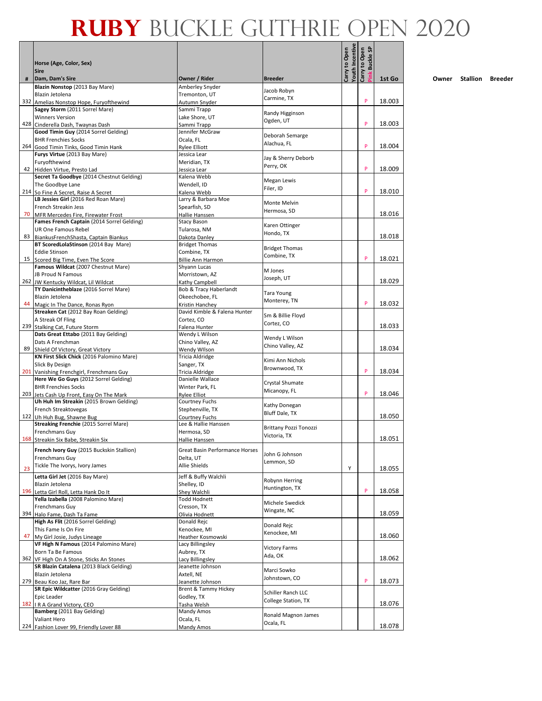|    | Horse (Age, Color, Sex)                                                             |                                          | Carry to Open                    |                 | <b>Buckle SP</b><br>Carry to Open |        |
|----|-------------------------------------------------------------------------------------|------------------------------------------|----------------------------------|-----------------|-----------------------------------|--------|
|    | <b>Sire</b>                                                                         |                                          | <b>Breeder</b>                   |                 |                                   |        |
| #  | Dam, Dam's Sire<br>Blazin Nonstop (2013 Bay Mare)                                   | Owner / Rider<br>Amberley Snyder         |                                  | Youth Incentive |                                   | 1st Go |
|    | Blazin Jetolena                                                                     | Tremonton, UT                            | Jacob Robyn<br>Carmine, TX       |                 |                                   |        |
|    | 332 Amelias Nonstop Hope, Furyofthewind<br>Sagey Storm (2011 Sorrel Mare)           | Autumn Snyder<br>Sammi Trapp             |                                  |                 | P                                 | 18.003 |
|    | <b>Winners Version</b>                                                              | Lake Shore, UT                           | Randy Higginson                  |                 |                                   |        |
|    | 428 Cinderella Dash, Twaynas Dash                                                   | Sammi Trapp                              | Ogden, UT                        |                 | P                                 | 18.003 |
|    | Good Timin Guy (2014 Sorrel Gelding)                                                | Jennifer McGraw                          | Deborah Semarge                  |                 |                                   |        |
|    | <b>BHR Frenchies Socks</b><br>264 Good Timin Tinks, Good Timin Hank                 | Ocala, FL<br>Rylee Elliott               | Alachua, FL                      |                 | P                                 | 18.004 |
|    | Furys Virtue (2013 Bay Mare)                                                        | Jessica Lear                             | Jay & Sherry Deborb              |                 |                                   |        |
|    | Furyofthewind                                                                       | Meridian, TX                             | Perry, OK                        |                 | P                                 |        |
|    | 42 Hidden Virtue, Presto Lad<br>Secret Ta Goodbye (2014 Chestnut Gelding)           | Jessica Lear<br>Kalena Webb              |                                  |                 |                                   | 18.009 |
|    | The Goodbye Lane                                                                    | Wendell, ID                              | Megan Lewis                      |                 |                                   |        |
|    | 214 So Fine A Secret, Raise A Secret                                                | Kalena Webb                              | Filer, ID                        |                 | P                                 | 18.010 |
|    | LB Jessies Girl (2016 Red Roan Mare)                                                | Larry & Barbara Moe                      | Monte Melvin                     |                 |                                   |        |
|    | French Streakin Jess<br>70 MFR Mercedes Fire, Firewater Frost                       | Spearfish, SD<br>Hallie Hanssen          | Hermosa, SD                      |                 |                                   | 18.016 |
|    | Fames French Captain (2014 Sorrel Gelding)                                          | <b>Stacy Bason</b>                       |                                  |                 |                                   |        |
|    | UR One Famous Rebel                                                                 | Tularosa, NM                             | Karen Ottinger<br>Hondo, TX      |                 |                                   |        |
| 83 | BiankusFrenchShasta, Captain Biankus                                                | Dakota Danley                            |                                  |                 |                                   | 18.018 |
|    | BT ScoredLolaStinson (2014 Bay Mare)<br><b>Eddie Stinson</b>                        | <b>Bridget Thomas</b><br>Combine, TX     | <b>Bridget Thomas</b>            |                 |                                   |        |
|    | 15 Scored Big Time, Even The Score                                                  | <b>Billie Ann Harmon</b>                 | Combine, TX                      |                 | P                                 | 18.021 |
|    | Famous Wildcat (2007 Chestnut Mare)                                                 | Shyann Lucas                             | M Jones                          |                 |                                   |        |
|    | <b>JB Proud N Famous</b>                                                            | Morristown, AZ                           | Joseph, UT                       |                 |                                   | 18.029 |
|    | 262 JW Kentucky Wildcat, Lil Wildcat<br>TY Danicintheblaze (2016 Sorrel Mare)       | Kathy Campbell<br>Bob & Tracy Haberlandt |                                  |                 |                                   |        |
|    | Blazin Jetolena                                                                     | Okeechobee, FL                           | <b>Tara Young</b>                |                 |                                   |        |
|    | 44 Magic In The Dance, Ronas Ryon                                                   | Kristin Hanchey                          | Monterey, TN                     |                 | P                                 | 18.032 |
|    | Streaken Cat (2012 Bay Roan Gelding)                                                | David Kimble & Falena Hunter             | Sm & Billie Floyd                |                 |                                   |        |
|    | A Streak Of Fling<br>239 Stalking Cat, Future Storm                                 | Cortez, CO<br>Falena Hunter              | Cortez, CO                       |                 |                                   | 18.033 |
|    | Dats Great Ettabo (2011 Bay Gelding)                                                | Wendy L Wilson                           | Wendy L Wilson                   |                 |                                   |        |
|    | Dats A Frenchman                                                                    | Chino Valley, AZ                         | Chino Valley, AZ                 |                 |                                   |        |
|    | 89 Shield Of Victory, Great Victory<br>KN First Slick Chick (2016 Palomino Mare)    | Wendy Wilson<br>Tricia Aldridge          |                                  |                 |                                   | 18.034 |
|    | Slick By Design                                                                     | Sanger, TX                               | Kimi Ann Nichols                 |                 |                                   |        |
|    | 201 Vanishing Frenchgirl, Frenchmans Guy                                            | <b>Tricia Aldridge</b>                   | Brownwood, TX                    |                 | P                                 | 18.034 |
|    | Here We Go Guys (2012 Sorrel Gelding)                                               | Danielle Wallace                         | Crystal Shumate                  |                 |                                   |        |
|    | <b>BHR Frenchies Socks</b><br>203 Jets Cash Up Front, Easy On The Mark              | Winter Park, FL<br>Rylee Elliot          | Micanopy, FL                     |                 | P                                 | 18.046 |
|    | Uh Huh Im Streakin (2015 Brown Gelding)                                             | Courtney Fuchs                           |                                  |                 |                                   |        |
|    | French Streaktovegas                                                                | Stephenville, TX                         | Kathy Donegan<br>Bluff Dale, TX  |                 |                                   |        |
|    | 122 Uh Huh Bug, Shawne Bug<br>Streaking Frenchie (2015 Sorrel Mare)                 | Courtney Fuchs<br>Lee & Hallie Hanssen   |                                  |                 |                                   | 18.050 |
|    | Frenchmans Guy                                                                      | Hermosa, SD                              | Brittany Pozzi Tonozzi           |                 |                                   |        |
|    | 168 Streakin Six Babe, Streakin Six                                                 | Hallie Hanssen                           | Victoria, TX                     |                 |                                   | 18.051 |
|    | French Ivory Guy (2015 Buckskin Stallion)                                           | Great Basin Performance Horses           |                                  |                 |                                   |        |
|    | Frenchmans Guy                                                                      | Delta. UT                                | John G Johnson<br>Lemmon, SD     |                 |                                   |        |
| 23 | Tickle The Ivorys, Ivory James                                                      | Allie Shields                            |                                  | Υ               |                                   | 18.055 |
|    | Letta Girl Jet (2016 Bay Mare)                                                      | Jeff & Buffy Walchli                     | Robynn Herring                   |                 |                                   |        |
|    | Blazin Jetolena                                                                     | Shelley, ID                              | Huntington, TX                   |                 | P                                 |        |
|    | 196 Letta Girl Roll, Letta Hank Do It<br>Yella Izabella (2008 Palomino Mare)        | Shey Walchli<br><b>Todd Hodnett</b>      |                                  |                 |                                   | 18.058 |
|    | <b>Frenchmans Guy</b>                                                               | Cresson, TX                              | Michele Swedick                  |                 |                                   |        |
|    | 394 Halo Fame, Dash Ta Fame                                                         | Olivia Hodnett                           | Wingate, NC                      |                 |                                   | 18.059 |
|    | High As Flit (2016 Sorrel Gelding)<br>This Fame Is On Fire                          | Donald Rejc<br>Kenockee, MI              | Donald Rejc                      |                 |                                   |        |
| 47 | My Girl Josie, Judys Lineage                                                        | Heather Kosmowski                        | Kenockee, MI                     |                 |                                   | 18.060 |
|    | VF High N Famous (2014 Palomino Mare)                                               | Lacy Billingsley                         | <b>Victory Farms</b>             |                 |                                   |        |
|    | Born Ta Be Famous                                                                   | Aubrey, TX                               | Ada, OK                          |                 |                                   |        |
|    | 362 VF High On A Stone, Sticks An Stones<br>SR Blazin Catalena (2013 Black Gelding) | Lacy Billingsley<br>Jeanette Johnson     |                                  |                 |                                   | 18.062 |
|    | Blazin Jetolena                                                                     | Axtell, NE                               | Marci Sowko                      |                 |                                   |        |
|    | 279 Beau Koo Jaz, Rare Bar                                                          | Jeanette Johnson                         | Johnstown, CO                    |                 | P                                 | 18.073 |
|    | SR Epic Wildcatter (2016 Gray Gelding)                                              | Brent & Tammy Hickey                     | Schiller Ranch LLC               |                 |                                   |        |
|    | Epic Leader<br>182   R A Grand Victory, CEO                                         | Godley, TX<br>Tasha Welsh                | College Station, TX              |                 |                                   | 18.076 |
|    | Bamberg (2011 Bay Gelding)                                                          | Mandy Amos                               |                                  |                 |                                   |        |
|    | Valiant Hero                                                                        | Ocala, FL                                | Ronald Magnon James<br>Ocala, FL |                 |                                   |        |
|    | 224 Fashion Lover 99, Friendly Lover 88                                             | Mandy Amos                               |                                  |                 |                                   | 18.078 |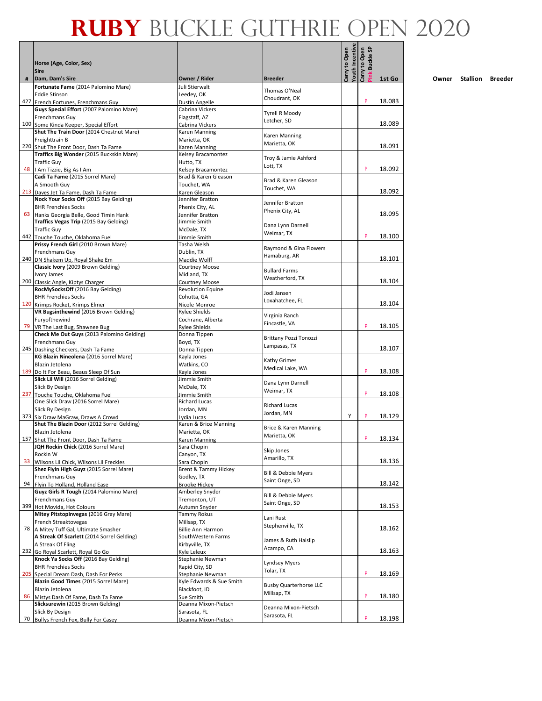|    | Horse (Age, Color, Sex)                                                           |                                           |                                   | Youth Incentive<br>Carry to Open | ink Buckle SP<br>Carry to Open |        |
|----|-----------------------------------------------------------------------------------|-------------------------------------------|-----------------------------------|----------------------------------|--------------------------------|--------|
|    | <b>Sire</b>                                                                       |                                           |                                   |                                  |                                |        |
| #  | Dam, Dam's Sire<br>Fortunate Fame (2014 Palomino Mare)                            | Owner / Rider<br>Juli Stierwalt           | <b>Breeder</b>                    |                                  |                                | 1st Go |
|    | <b>Eddie Stinson</b>                                                              | Leedey, OK                                | Thomas O'Neal<br>Choudrant, OK    |                                  |                                |        |
|    | 427 French Fortunes, Frenchmans Guy                                               | Dustin Angelle                            |                                   |                                  | P                              | 18.083 |
|    | Guys Special Effort (2007 Palomino Mare)                                          | Cabrina Vickers                           | <b>Tyrell R Moody</b>             |                                  |                                |        |
|    | Frenchmans Guy<br>100 Some Kinda Keeper, Special Effort                           | Flagstaff, AZ<br>Cabrina Vickers          | Letcher, SD                       |                                  |                                | 18.089 |
|    | Shut The Train Door (2014 Chestnut Mare)                                          | Karen Manning                             |                                   |                                  |                                |        |
|    | Freighttrain B                                                                    | Marietta, OK                              | Karen Manning<br>Marietta, OK     |                                  |                                |        |
|    | 220 Shut The Front Door, Dash Ta Fame<br>Traffics Big Wonder (2015 Buckskin Mare) | Karen Manning                             |                                   |                                  |                                | 18.091 |
|    | <b>Traffic Guy</b>                                                                | Kelsey Bracamontez<br>Hutto, TX           | Troy & Jamie Ashford              |                                  |                                |        |
|    | 48   Am Tizzie, Big As I Am                                                       | Kelsey Bracamontez                        | Lott, TX                          |                                  | P                              | 18.092 |
|    | Cadi Ta Fame (2015 Sorrel Mare)                                                   | Brad & Karen Gleason                      | Brad & Karen Gleason              |                                  |                                |        |
|    | A Smooth Guy                                                                      | Touchet, WA                               | Touchet, WA                       |                                  |                                |        |
|    | 213 Daves Jet Ta Fame, Dash Ta Fame<br>Nock Your Socks Off (2015 Bay Gelding)     | Karen Gleason<br>Jennifer Bratton         |                                   |                                  |                                | 18.092 |
|    | <b>BHR Frenchies Socks</b>                                                        | Phenix City, AL                           | Jennifer Bratton                  |                                  |                                |        |
|    | 63 Hanks Georgia Belle, Good Timin Hank                                           | Jennifer Bratton                          | Phenix City, AL                   |                                  |                                | 18.095 |
|    | Traffics Vegas Trip (2015 Bay Gelding)                                            | Jimmie Smith                              | Dana Lynn Darnell                 |                                  |                                |        |
|    | <b>Traffic Guy</b>                                                                | McDale, TX                                | Weimar, TX                        |                                  | P                              | 18.100 |
|    | 442 Touche Touche, Oklahoma Fuel<br>Prissy French Girl (2010 Brown Mare)          | Jimmie Smith<br>Tasha Welsh               |                                   |                                  |                                |        |
|    | Frenchmans Guy                                                                    | Dublin, TX                                | Raymond & Gina Flowers            |                                  |                                |        |
|    | 240 DN Shakem Up, Royal Shake Em                                                  | Maddie Wolff                              | Hamaburg, AR                      |                                  |                                | 18.101 |
|    | Classic Ivory (2009 Brown Gelding)                                                | Courtney Moose                            | <b>Bullard Farms</b>              |                                  |                                |        |
|    | Ivory James<br>200 Classic Angle, Kiptys Charger                                  | Midland, TX<br><b>Courtney Moose</b>      | Weatherford, TX                   |                                  |                                | 18.104 |
|    | RocMySocksOff (2016 Bay Gelding)                                                  | <b>Revolution Equine</b>                  |                                   |                                  |                                |        |
|    | <b>BHR Frenchies Socks</b>                                                        | Cohutta, GA                               | Jodi Jansen<br>Loxahatchee, FL    |                                  |                                |        |
|    | 120 Krimps Rocket, Krimps Elmer                                                   | Nicole Monroe                             |                                   |                                  |                                | 18.104 |
|    | VR Bugsinthewind (2016 Brown Gelding)<br>Furyofthewind                            | <b>Rylee Shields</b><br>Cochrane, Alberta | Virginia Ranch                    |                                  |                                |        |
|    | 79 VR The Last Bug, Shawnee Bug                                                   | <b>Rylee Shields</b>                      | Fincastle, VA                     |                                  | P                              | 18.105 |
|    | Check Me Out Guys (2013 Palomino Gelding)                                         | Donna Tippen                              | Brittany Pozzi Tonozzi            |                                  |                                |        |
|    | Frenchmans Guy                                                                    | Boyd, TX                                  | Lampasas, TX                      |                                  |                                |        |
|    | 245 Dashing Checkers, Dash Ta Fame<br>KG Blazin Nineolena (2016 Sorrel Mare)      | Donna Tippen<br>Kayla Jones               |                                   |                                  |                                | 18.107 |
|    | Blazin Jetolena                                                                   | Watkins, CO                               | Kathy Grimes                      |                                  |                                |        |
|    | 189 Do It For Beau, Beaus Sleep Of Sun                                            | Kayla Jones                               | Medical Lake, WA                  |                                  | P                              | 18.108 |
|    | Slick Lil Will (2016 Sorrel Gelding)                                              | Jimmie Smith                              | Dana Lynn Darnell                 |                                  |                                |        |
|    | Slick By Design<br>237 Touche Touche, Oklahoma Fuel                               | McDale, TX<br>Jimmie Smith                | Weimar, TX                        |                                  | P                              | 18.108 |
|    | One Slick Draw (2016 Sorrel Mare)                                                 | <b>Richard Lucas</b>                      |                                   |                                  |                                |        |
|    | Slick By Design                                                                   | Jordan, MN                                | <b>Richard Lucas</b>              |                                  |                                |        |
|    | 373 Six Draw MaGraw, Draws A Crowd                                                | Lydia Lucas                               | Jordan, MN                        | Υ                                | P                              | 18.129 |
|    | Shut The Blazin Door (2012 Sorrel Gelding)                                        | Karen & Brice Manning                     | Brice & Karen Manning             |                                  |                                |        |
|    | Blazin Jetolena<br>157 Shut The Front Door, Dash Ta Fame                          | Marietta, OK<br>Karen Manning             | Marietta, OK                      |                                  | P                              | 18.134 |
|    | JQH Rockin Chick (2016 Sorrel Mare)                                               | Sara Chopin                               |                                   |                                  |                                |        |
|    | Rockin W                                                                          | Canyon, TX                                | Skip Jones<br>Amarillo, TX        |                                  |                                |        |
| 33 | Wilsons Lil Chick, Wilsons Lil Freckles                                           | Sara Chopin                               |                                   |                                  |                                | 18.136 |
|    | Shez Flyin High Guyz (2015 Sorrel Mare)<br>Frenchmans Guy                         | Brent & Tammy Hickey<br>Godley, TX        | Bill & Debbie Myers               |                                  |                                |        |
|    | 94 Flyin To Holland, Holland Ease                                                 | <b>Brooke Hickey</b>                      | Saint Onge, SD                    |                                  |                                | 18.142 |
|    | Guyz Girls R Tough (2014 Palomino Mare)                                           | Amberley Snyder                           | <b>Bill &amp; Debbie Myers</b>    |                                  |                                |        |
|    | Frenchmans Guy                                                                    | Tremonton, UT                             | Saint Onge, SD                    |                                  |                                | 18.153 |
|    | 399 Hot Movida, Hot Colours<br>Mitey Pitstopinvegas (2016 Gray Mare)              | Autumn Snyder<br>Tammy Rokus              |                                   |                                  |                                |        |
|    | French Streaktovegas                                                              | Millsap, TX                               | Lani Rust                         |                                  |                                |        |
|    | 78 A Mitey Tuff Gal, Ultimate Smasher                                             | <b>Billie Ann Harmon</b>                  | Stephenville, TX                  |                                  |                                | 18.162 |
|    | A Streak Of Scarlett (2014 Sorrel Gelding)                                        | SouthWestern Farms                        | James & Ruth Haislip              |                                  |                                |        |
|    | A Streak Of Fling<br>232 Go Royal Scarlett, Royal Go Go                           | Kirbyville, TX<br>Kvle Leleux             | Acampo, CA                        |                                  |                                | 18.163 |
|    | Knock Ya Socks Off (2016 Bay Gelding)                                             | Stephanie Newman                          |                                   |                                  |                                |        |
|    | <b>BHR Frenchies Socks</b>                                                        | Rapid City, SD                            | <b>Lyndsey Myers</b><br>Tolar, TX |                                  |                                |        |
|    | 205 Special Dream Dash, Dash For Perks                                            | Stephanie Newman                          |                                   |                                  | P                              | 18.169 |
|    | Blazin Good Times (2015 Sorrel Mare)<br>Blazin Jetolena                           | Kyle Edwards & Sue Smith<br>Blackfoot, ID | <b>Busby Quarterhorse LLC</b>     |                                  |                                |        |
| 86 | Mistys Dash Of Fame, Dash Ta Fame                                                 | Sue Smith                                 | Millsap, TX                       |                                  | P                              | 18.180 |
|    | Slicksurewin (2015 Brown Gelding)                                                 | Deanna Mixon-Pietsch                      | Deanna Mixon-Pietsch              |                                  |                                |        |
|    | Slick By Design                                                                   | Sarasota, FL                              | Sarasota, FL                      |                                  |                                |        |
|    | 70 Bullys French Fox, Bully For Casey                                             | Deanna Mixon-Pietsch                      |                                   |                                  | P                              | 18.198 |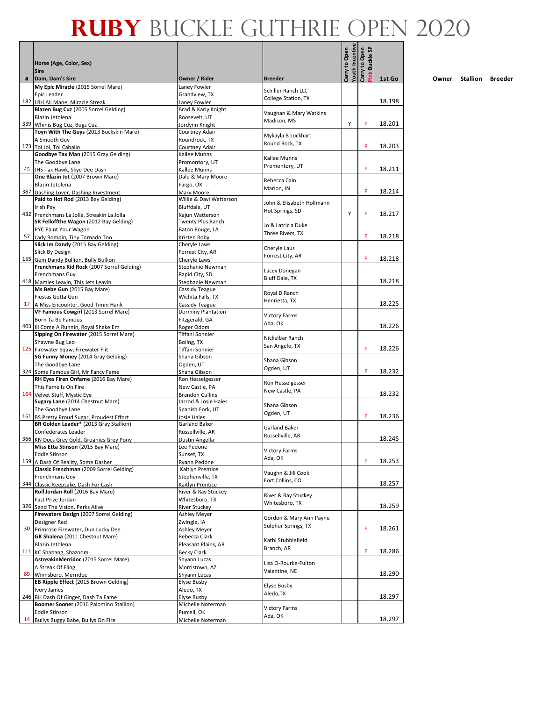|   | Horse (Age, Color, Sex)<br><b>Sire</b>                                            |                                                |                                                | <b>Youth Incentive</b><br>Carry to Open | <b>Buckle SP</b><br>Carry to Open |        |
|---|-----------------------------------------------------------------------------------|------------------------------------------------|------------------------------------------------|-----------------------------------------|-----------------------------------|--------|
| # | Dam, Dam's Sire                                                                   | Owner / Rider                                  | <b>Breeder</b>                                 |                                         |                                   | 1st Go |
|   | My Epic Miracle (2015 Sorrel Mare)                                                | Laney Fowler                                   | <b>Schiller Ranch LLC</b>                      |                                         |                                   |        |
|   | Epic Leader<br>182 LRH Ali Mane, Miracle Streak                                   | Grandview, TX<br>Laney Fowler                  | College Station, TX                            |                                         |                                   | 18.198 |
|   | Blazen Bug Cuz (2005 Sorrel Gelding)                                              | Brad & Karly Knight                            |                                                |                                         |                                   |        |
|   | Blazin Jetolena                                                                   | Roosevelt, UT                                  | Vaughan & Mary Watkins<br>Madison, MS          |                                         |                                   |        |
|   | 339 Whinis Bug Cuz, Bugs Cuz<br>Toyn With The Guys (2013 Buckskin Mare)           | Jordynn Knight<br>Courtney Adair               |                                                | Υ                                       | P                                 | 18.201 |
|   | A Smooth Guy                                                                      | Roundrock, TX                                  | Mykayla B Lockhart                             |                                         |                                   |        |
|   | 173 Toi Joi, Toi Caballo                                                          | Courtney Adair                                 | Round Rock, TX                                 |                                         | P                                 | 18.203 |
|   | Goodbye Tax Man (2015 Gray Gelding)                                               | Kallee Munns                                   | Kallee Munns                                   |                                         |                                   |        |
|   | The Goodbye Lane<br>45 JHS Tax Hawk, Skye Dee Dash                                | Promontory, UT<br>Kallee Munns                 | Promontory, UT                                 |                                         | P                                 | 18.211 |
|   | One Blazin Jet (2007 Brown Mare)                                                  | Dale & Mary Moore                              |                                                |                                         |                                   |        |
|   | Blazin Jetolena                                                                   | Fargo, OK                                      | Rebecca Cain<br>Marion, IN                     |                                         |                                   |        |
|   | 387 Dashing Lover, Dashing Investment<br>Paid to Hot Rod (2013 Bay Gelding)       | Mary Moore<br>Willie & Davi Watterson          |                                                |                                         | P                                 | 18.214 |
|   | Irish Pay                                                                         | Bluffdale, UT                                  | John & Elisabeth Hollmann                      |                                         |                                   |        |
|   | 432 Frenchmans La Jolla, Streakin La Jolla                                        | Kajun Watterson                                | Hot Springs, SD                                | Υ                                       | P                                 | 18.217 |
|   | SR Felloffthe Wagon (2012 Bay Gelding)                                            | Twenty Plus Ranch                              | Jo & Latricia Duke                             |                                         |                                   |        |
|   | PYC Paint Your Wagon<br>57 Lady Rompin, Tiny Tornado Too                          | Baton Rouge, LA<br>Kristen Roby                | Three Rivers, TX                               |                                         | P                                 | 18.218 |
|   | Slick Im Dandy (2015 Bay Gelding)                                                 | Cheryle Laws                                   |                                                |                                         |                                   |        |
|   | Slick By Design                                                                   | Forrest City, AR                               | Cheryle Laus<br>Forrest City, AR               |                                         |                                   |        |
|   | 155 Gem Dandy Bullion, Bully Bullion<br>Frenchmans Kid Rock (2007 Sorrel Gelding) | Cheryle Laws                                   |                                                |                                         | P                                 | 18.218 |
|   | <b>Frenchmans Guy</b>                                                             | Stephanie Newman<br>Rapid City, SD             | Lacey Donegan                                  |                                         |                                   |        |
|   | 418 Mamies Leavin, This Jets Leavin                                               | Stephanie Newman                               | Bluff Dale, TX                                 |                                         |                                   | 18.218 |
|   | Ms Bebe Gun (2015 Bay Mare)                                                       | Cassidy Teague                                 | Royal D Ranch                                  |                                         |                                   |        |
|   | Fiestas Gotta Gun<br>17 A Miss Encounter, Good Timin Hank                         | Wichita Falls, TX<br>Cassidy Teague            | Henrietta, TX                                  |                                         |                                   | 18.225 |
|   | VF Famous Cowgirl (2013 Sorrel Mare)                                              | Dorminy Plantation                             |                                                |                                         |                                   |        |
|   | Born Ta Be Famous                                                                 | Fitzgerald, GA                                 | <b>Victory Farms</b><br>Ada, OK                |                                         |                                   |        |
|   | 403 III Come A Runnin, Royal Shake Em<br>Sipping On Firewater (2015 Sorrel Mare)  | Roger Odom<br>Tiffani Sonnier                  |                                                |                                         |                                   | 18.226 |
|   | Shawne Bug Leo                                                                    | Boling, TX                                     | Nickelbar Ranch                                |                                         |                                   |        |
|   | 125 Firewater Sqaw, Firewater Flit                                                | Tiffani Sonnier                                | San Angelo, TX                                 |                                         | P                                 | 18.226 |
|   | SG Funny Money (2014 Gray Gelding)                                                | Shana Gibson                                   | Shana Gibson                                   |                                         |                                   |        |
|   | The Goodbye Lane<br>324 Some Famous Girl, Mr Fancy Fame                           | Ogden, UT<br>Shana Gibson                      | Ogden, UT                                      |                                         | P                                 | 18.232 |
|   | RH Eyes Firen Onfame (2016 Bay Mare)                                              | Ron Hesselgesser                               |                                                |                                         |                                   |        |
|   | This Fame Is On Fire                                                              | New Castle, PA                                 | Ron Hesselgesser<br>New Castle, PA             |                                         |                                   |        |
|   | 164 Velvet Stuff, Mystic Eye<br>Sugary Lane (2014 Chestnut Mare)                  | <b>Brandon Cullins</b><br>Jarrod & Josie Hales |                                                |                                         |                                   | 18.232 |
|   | The Goodbye Lane                                                                  | Spanish Fork, UT                               | Shana Gibson                                   |                                         |                                   |        |
|   | 161 BS Pretty Proud Sugar, Proudest Effort                                        | Josie Hales                                    | Ogden, UT                                      |                                         | P                                 | 18.236 |
|   | BR Golden Leader* (2013 Gray Stallion)                                            | Garland Baker                                  | Garland Baker                                  |                                         |                                   |        |
|   | Confederates Leader<br>366 KN Docs Grey Gold, Groanies Grey Pony                  | Russellville, AR<br>Dustin Angella             | Russellville, AR                               |                                         |                                   | 18.245 |
|   | Miss Etta Stinson (2015 Bay Mare)                                                 | Lee Pedone                                     |                                                |                                         |                                   |        |
|   | <b>Eddie Stinson</b>                                                              | Sunset, TX                                     | <b>Victory Farms</b><br>Ada, OK                |                                         |                                   |        |
|   | 159 A Dash Of Reality, Some Dasher<br>Classic Frenchman (2009 Sorrel Gelding)     | Ryann Pedone<br>Kaitlyn Prentice               |                                                |                                         | P                                 | 18.253 |
|   | Frenchmans Guy                                                                    | Stephenville, TX                               | Vaughn & Jill Cook                             |                                         |                                   |        |
|   | 344 Classic Keepsake, Dash For Cash                                               | Kaitlyn Prentice                               | Fort Collins, CO                               |                                         |                                   | 18.257 |
|   | Roll Jordan Roll (2016 Bay Mare)                                                  | River & Ray Stuckey                            | River & Ray Stuckey                            |                                         |                                   |        |
|   | Fast Prize Jordan<br>326 Send The Vision, Perks Alive                             | Whitesboro, TX<br>River Stuckey                | Whitesboro, TX                                 |                                         |                                   | 18.259 |
|   | Firewaters Design (2007 Sorrel Gelding)                                           | Ashley Meyer                                   |                                                |                                         |                                   |        |
|   | Designer Red                                                                      | Zwingle, IA                                    | Gordon & Mary Ann Payne<br>Sulphur Springs, TX |                                         |                                   |        |
|   | 30 Primrose Firewater, Dun Lucky Dee                                              | Ashley Meyer<br>Rebecca Clark                  |                                                |                                         | P                                 | 18.261 |
|   | GK Shalena (2011 Chestnut Mare)<br>Blazin Jetolena                                | Pleasant Plains, AR                            | Kathi Stubblefield                             |                                         |                                   |        |
|   | 111 KC Shabang, Shazoom                                                           | <b>Becky Clark</b>                             | Branch, AR                                     |                                         | P                                 | 18.286 |
|   | AstreakinMerridoc (2015 Sorrel Mare)                                              | Shyann Lucas                                   | Lisa O-Rourke-Fulton                           |                                         |                                   |        |
|   | A Streak Of Fling<br>89 Winnsboro, Merridoc                                       | Morristown, AZ<br>Shyann Lucas                 | Valentine, NE                                  |                                         |                                   | 18.290 |
|   | EB Ripple Effect (2015 Brown Gelding)                                             | Elyse Busby                                    |                                                |                                         |                                   |        |
|   | Ivory James                                                                       | Aledo, TX                                      | Elyse Busby<br>Aledo, TX                       |                                         |                                   |        |
|   | 246 BH Dash Of Ginger, Dash Ta Fame                                               | Elyse Busby                                    |                                                |                                         |                                   | 18.297 |
|   | Boomer Sooner (2016 Palomino Stallion)<br><b>Eddie Stinson</b>                    | Michelle Noterman<br>Purcell, OK               | <b>Victory Farms</b>                           |                                         |                                   |        |
|   | 14 Bullys Buggy Babe, Bullys On Fire                                              | Michelle Noterman                              | Ada, OK                                        |                                         |                                   | 18.297 |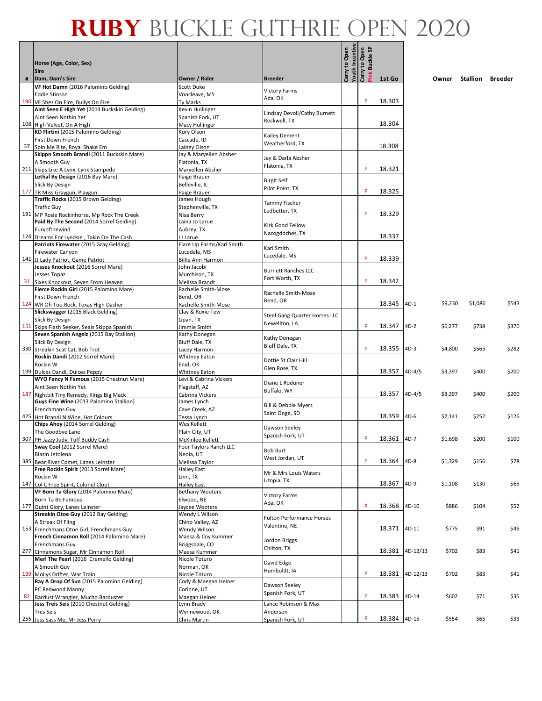|    | Horse (Age, Color, Sex)<br><b>Sire</b>                                                |                                         |                                       | Carry to Open<br>Youth Incentive<br>Carry to Open | ္တ<br><b>Buckle</b> |             |          |         |          |                |
|----|---------------------------------------------------------------------------------------|-----------------------------------------|---------------------------------------|---------------------------------------------------|---------------------|-------------|----------|---------|----------|----------------|
|    | Dam, Dam's Sire                                                                       | Owner / Rider                           | <b>Breeder</b>                        |                                                   |                     | 1st Go      |          | Owner   | Stallion | <b>Breeder</b> |
|    | VF Hot Damn (2016 Palomino Gelding)                                                   | <b>Scott Duke</b>                       | <b>Victory Farms</b>                  |                                                   |                     |             |          |         |          |                |
|    | <b>Eddie Stinson</b>                                                                  | Voncleave, MS                           | Ada, OK                               |                                                   |                     |             |          |         |          |                |
|    | 190 VF Shez On Fire, Bullys On Fire                                                   | Ty Marks                                |                                       |                                                   |                     | 18.303      |          |         |          |                |
|    | Aint Seen E High Yet (2014 Buckskin Gelding)                                          | Kevin Hullinger                         | Lindsay Devoll/Cathy Burnett          |                                                   |                     |             |          |         |          |                |
|    | Aint Seen Nothin Yet                                                                  | Spanish Fork, UT                        | Rockwell, TX                          |                                                   |                     | 18.304      |          |         |          |                |
|    | 108 High Velvet, On A High<br>KD Flirtini (2015 Palomino Gelding)                     | Macy Hullinger<br>Kory Olson            |                                       |                                                   |                     |             |          |         |          |                |
|    | First Down French                                                                     | Cascade, ID                             | Kailey Dement                         |                                                   |                     |             |          |         |          |                |
|    | 37 Spin Me Rite, Royal Shake Em                                                       | Lainey Olson                            | Weatherford, TX                       |                                                   |                     | 18.308      |          |         |          |                |
|    | Skippn Smooth Brandi (2011 Buckskin Mare)                                             | Jay & Maryellen Absher                  |                                       |                                                   |                     |             |          |         |          |                |
|    | A Smooth Guy                                                                          | Flatonia, TX                            | Jay & Darla Absher                    |                                                   |                     |             |          |         |          |                |
|    | 211 Skips Like A Lynx, Lynx Stampede                                                  | Maryellen Absher                        | Flatonia, TX                          |                                                   | P                   | 18.321      |          |         |          |                |
|    | Lethal By Design (2016 Bay Mare)                                                      | Paige Brauer                            |                                       |                                                   |                     |             |          |         |          |                |
|    | Slick By Design                                                                       | Belleville, IL                          | <b>Birgit Self</b><br>Pilot Point, TX |                                                   |                     |             |          |         |          |                |
|    | 177 TR Miss Graygun, Playgun                                                          | Paige Brauer                            |                                       |                                                   | P                   | 18.325      |          |         |          |                |
|    | Traffic Rocks (2015 Brown Gelding)                                                    | James Hough                             | Tammy Fischer                         |                                                   |                     |             |          |         |          |                |
|    | <b>Traffic Guy</b>                                                                    | Stephenville, TX                        | Ledbetter, TX                         |                                                   |                     |             |          |         |          |                |
|    | 191 MP Rosie Rockinhorse, Mp Rock The Creek                                           | Nisa Berry                              |                                       |                                                   | P                   | 18.329      |          |         |          |                |
|    | Paid By The Second (2014 Sorrel Gelding)                                              | Laina Jo Larue                          | Kirk Good Fellow                      |                                                   |                     |             |          |         |          |                |
|    | Furyofthewind                                                                         | Aubrey, TX                              | Nacogdoches, TX                       |                                                   |                     |             |          |         |          |                |
|    | 124 Dreams For Lyndsie, Takin On The Cash                                             | LJ Larue                                |                                       |                                                   |                     | 18.337      |          |         |          |                |
|    | Patriots Firewater (2015 Gray Gelding)                                                | Flare Up Farms/Karl Smith               | Karl Smith                            |                                                   |                     |             |          |         |          |                |
|    | Firewater Canyon                                                                      | Lucedale, MS                            | Lucedale, MS                          |                                                   | P                   | 18.339      |          |         |          |                |
|    | 141 JJ Lady Patriot, Game Patriot<br>Jesses Knockout (2016 Sorrel Mare)               | <b>Billie Ann Harmon</b><br>John Jacobi |                                       |                                                   |                     |             |          |         |          |                |
|    | Jesses Topaz                                                                          | Murchison, TX                           | <b>Burnett Ranches LLC</b>            |                                                   |                     |             |          |         |          |                |
|    | 31 Sixes Knockout, Seven From Heaven                                                  | Melissa Brandt                          | Fort Worth, TX                        |                                                   | P                   | 18.342      |          |         |          |                |
|    | Fierce Rockin Girl (2015 Palomino Mare)                                               | Rachelle Smith-Mose                     |                                       |                                                   |                     |             |          |         |          |                |
|    | First Down French                                                                     | Bend, OR                                | Rachelle Smith-Mose                   |                                                   |                     |             |          |         |          |                |
|    | 124 WR Oh Too Rock, Texas High Dasher                                                 | Rachelle Smith-Mose                     | Bend, OR                              |                                                   |                     | 18.345      | $4D-1$   | \$9,230 | \$1,086  | \$543          |
|    | Slickswagger (2015 Black Gelding)                                                     | Clay & Roxie Tew                        |                                       |                                                   |                     |             |          |         |          |                |
|    | Slick By Design                                                                       | Lipan, TX                               | Steel Gang Quarter Horses LLC         |                                                   |                     |             |          |         |          |                |
|    | 151 Skips Flash Seeker, Seals Skippa Spanish                                          | Jimmie Smith                            | Newellton, LA                         |                                                   | P                   | 18.347      | $4D-2$   | \$6,277 | \$738    | \$370          |
|    | Seven Spanish Angelz (2015 Bay Stallion)                                              | Kathy Donegan                           | Kathy Donegan                         |                                                   |                     |             |          |         |          |                |
|    | <b>Slick By Design</b>                                                                | Bluff Dale, TX                          | Bluff Dale, TX                        |                                                   |                     |             |          |         |          |                |
|    | 330 Streakin Scat Cat, Bob Trot                                                       | Lacey Harmon                            |                                       |                                                   | P                   | 18.355      | $4D-3$   | \$4,800 | \$565    | \$282          |
|    | Rockin Dandi (2012 Sorrel Mare)                                                       | <b>Whitney Eaton</b>                    | Dottie St Clair Hill                  |                                                   |                     |             |          |         |          |                |
|    | Rockin W                                                                              | Enid, OK                                | Glen Rose, TX                         |                                                   |                     |             |          |         |          |                |
|    | 199 Dulces Dandi, Dulces Peppy                                                        | <b>Whitney Eaton</b>                    |                                       |                                                   |                     | 18.357      | $4D-4/5$ | \$3,397 | \$400    | \$200          |
|    | WYO Fancy N Famous (2015 Chestnut Mare)                                               | Levi & Cabrina Vickers                  | Diane L Roduner                       |                                                   |                     |             |          |         |          |                |
|    | Aint Seen Nothin Yet                                                                  | Flagstaff, AZ                           | Buffalo, WY                           |                                                   |                     | 18.357      | $4D-4/5$ | \$3,397 | \$400    | \$200          |
|    | 187 Rightbit Tiny Remedy, Kings Big Mack<br>Guys Fine Wine (2013 Palomino Stallion)   | Cabrina Vickers<br>James Lynch          |                                       |                                                   |                     |             |          |         |          |                |
|    | Frenchmans Guy                                                                        | Cave Creek, AZ                          | Bill & Debbie Myers                   |                                                   |                     |             |          |         |          |                |
|    | 425 Hot Brandi N Wine, Hot Colours                                                    | Tessa Lynch                             | Saint Onge, SD                        |                                                   |                     | 18.359      | $4D-6$   | \$2,141 | \$252    | \$126          |
|    | Chips Ahoy (2014 Sorrel Gelding)                                                      | Wes Kellett                             |                                       |                                                   |                     |             |          |         |          |                |
|    | The Goodbye Lane                                                                      | Plain City, UT                          | Dawson Seeley                         |                                                   |                     |             |          |         |          |                |
|    | 307 PH Jazzy Judy, Tuff Buddy Cash                                                    | McKinlee Kellett                        | Spanish Fork, UT                      |                                                   | P                   | 18.361 4D-7 |          | \$1,698 | \$200    | \$100          |
|    | Sway Cool (2012 Sorrel Mare)                                                          | Four Taylors Ranch LLC                  | <b>Bob Burt</b>                       |                                                   |                     |             |          |         |          |                |
|    | Blazin Jetolena                                                                       | Neola, UT                               | West Jordan, UT                       |                                                   |                     |             |          |         |          |                |
|    | 385 Bear River Comet, Lanes Leinster                                                  | Melissa Taylor                          |                                       |                                                   | P                   | 18.364      | $4D-8$   | \$1,329 | \$156    | \$78           |
|    | Free Rockin Spirit (2013 Sorrel Mare)                                                 | <b>Hailey East</b>                      | Mr & Mrs Louis Waters                 |                                                   |                     |             |          |         |          |                |
|    | Rockin W                                                                              | Linn, TX                                | Utopia, TX                            |                                                   |                     |             |          |         |          |                |
|    | 147 Col C Free Spirit, Colonel Clout                                                  | <b>Hailey East</b>                      |                                       |                                                   |                     | 18.367      | 4D-9     | \$1,108 | \$130    | \$65           |
|    | VF Born Ta Glory (2014 Palomino Mare)                                                 | <b>Bethany Wooters</b>                  | <b>Victory Farms</b>                  |                                                   |                     |             |          |         |          |                |
|    | Born Ta Be Famous                                                                     | Elwood, NE                              | Ada, OK                               |                                                   |                     |             |          |         |          |                |
|    | 177 Quint Glory, Lanes Leinster                                                       | Jaycee Wooters                          |                                       |                                                   | P                   | 18.368      | 4D-10    | \$886   | \$104    | \$52           |
|    | Streakin Otoe Guy (2012 Bay Gelding)                                                  | Wendy L Wilson                          | <b>Fulton Performance Horses</b>      |                                                   |                     |             |          |         |          |                |
|    | A Streak Of Fling                                                                     | Chino Valley, AZ<br>Wendy Wilson        | Valentine, NE                         |                                                   |                     | 18.371      | 4D-11    | \$775   | \$91     | \$46           |
|    | 153 Frenchmans Otoe Girl, Frenchmans Guy<br>French Cinnamon Roll (2014 Palomino Mare) | Maesa & Coy Kummer                      |                                       |                                                   |                     |             |          |         |          |                |
|    | Frenchmans Guy                                                                        | Briggsdale, CO                          | Jordon Briggs                         |                                                   |                     |             |          |         |          |                |
|    | 277 Cinnamons Sugar, Mr Cinnamon Roll                                                 | Maesa Kummer                            | Chilton, TX                           |                                                   |                     | 18.381      | 4D-12/13 | \$702   | \$83     | \$41           |
|    | Merl The Pearl (2016 Cremello Gelding)                                                | Nicole Toturo                           |                                       |                                                   |                     |             |          |         |          |                |
|    | A Smooth Guy                                                                          | Norman, OK                              | David Edge                            |                                                   |                     |             |          |         |          |                |
|    | 139 Mollys Drifter, War Train                                                         | Nicole Toturo                           | Humboldt, IA                          |                                                   | P                   | 18.381      | 4D-12/13 | \$702   | \$83     | \$41           |
|    | Ray A Drop Of Sun (2015 Palomino Gelding)                                             | Cody & Maegan Heiner                    |                                       |                                                   |                     |             |          |         |          |                |
|    | PC Redwood Manny                                                                      | Corinne, UT                             | Dawson Seeley                         |                                                   |                     |             |          |         |          |                |
| 82 | Bardust Wrangler, Mucho Barduster                                                     | Maegan Heiner                           | Spanish Fork, UT                      |                                                   | P                   | 18.383      | 4D-14    | \$602   | \$71     | \$35           |
|    | Jess Treis Seis (2010 Chestnut Gelding)                                               | Lynn Brady                              | Lance Robinson & Max                  |                                                   |                     |             |          |         |          |                |
|    | <b>Tres Seis</b>                                                                      | Wynnewood, OK                           | Anderson                              |                                                   |                     |             |          |         |          |                |
|    | 255 Jess Sass Me, Mr Jess Perry                                                       | Chris Martin                            | Spanish Fork, UT                      |                                                   | P                   | 18.384      | 4D-15    | \$554   | \$65     | \$33           |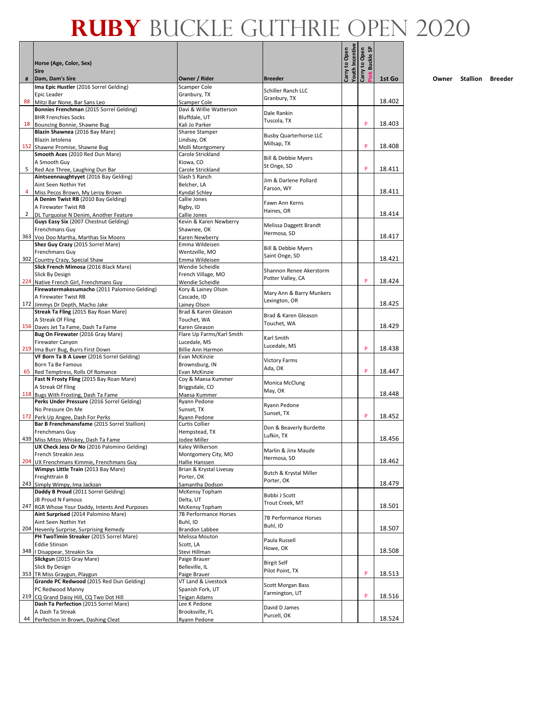|   |                                                                                   |                                      |                                               | Youth Incentive<br>Carry to Open | <b>Buckle SP</b><br>Carry to Open |        |
|---|-----------------------------------------------------------------------------------|--------------------------------------|-----------------------------------------------|----------------------------------|-----------------------------------|--------|
|   | Horse (Age, Color, Sex)<br><b>Sire</b>                                            |                                      |                                               |                                  | <sup>s</sup> ink                  |        |
| # | Dam, Dam's Sire<br>Ima Epic Hustler (2016 Sorrel Gelding)                         | Owner / Rider<br>Scamper Cole        | <b>Breeder</b>                                |                                  |                                   | 1st Go |
|   | Epic Leader                                                                       | Granbury, TX                         | Schiller Ranch LLC                            |                                  |                                   |        |
|   | 88 Mitzi Bar None, Bar Sans Leo                                                   | <b>Scamper Cole</b>                  | Granbury, TX                                  |                                  |                                   | 18.402 |
|   | Bonnies Frenchman (2015 Sorrel Gelding)                                           | Davi & Willie Watterson              | Dale Rankin                                   |                                  |                                   |        |
|   | <b>BHR Frenchies Socks</b>                                                        | Bluffdale, UT                        | Tuscola, TX                                   |                                  |                                   |        |
|   | 18 Bouncing Bonnie, Shawne Bug<br>Blazin Shawnea (2016 Bay Mare)                  | Kali Jo Parker                       |                                               |                                  | P                                 | 18.403 |
|   | Blazin Jetolena                                                                   | Sharee Stamper<br>Lindsay, OK        | <b>Busby Quarterhorse LLC</b>                 |                                  |                                   |        |
|   | 152 Shawne Promise, Shawne Bug                                                    | Molli Montgomery                     | Millsap, TX                                   |                                  | P                                 | 18.408 |
|   | Smooth Aces (2010 Red Dun Mare)                                                   | Carole Strickland                    |                                               |                                  |                                   |        |
|   | A Smooth Guy                                                                      | Kiowa, CO                            | <b>Bill &amp; Debbie Myers</b><br>St Onge, SD |                                  |                                   |        |
| 5 | Red Ace Three, Laughing Dun Bar                                                   | Carole Strickland                    |                                               |                                  | P                                 | 18.411 |
|   | Aintseennaughtyyet (2016 Bay Gelding)                                             | Slash S Ranch                        | Jim & Darlene Pollard                         |                                  |                                   |        |
| 4 | Aint Seen Nothin Yet                                                              | Belcher, LA                          | Farson, WY                                    |                                  |                                   | 18.411 |
|   | Miss Pecos Brown, My Leroy Brown<br>A Denim Twist RB (2010 Bay Gelding)           | Kyndal Schley<br>Callie Jones        |                                               |                                  |                                   |        |
|   | A Firewater Twist RB                                                              | Rigby, ID                            | Fawn Ann Kerns                                |                                  |                                   |        |
|   | 2 DL Turquoise N Denim, Another Feature                                           | Callie Jones                         | Haines, OR                                    |                                  |                                   | 18.414 |
|   | Guys Easy Six (2007 Chestnut Gelding)                                             | Kevin & Karen Newberry               | Melissa Daggett Brandt                        |                                  |                                   |        |
|   | Frenchmans Guy                                                                    | Shawnee, OK                          | Hermosa, SD                                   |                                  |                                   |        |
|   | 363 Voo Doo Martha, Marthas Six Moons                                             | Karen Newberry                       |                                               |                                  |                                   | 18.417 |
|   | Shez Guy Crazy (2015 Sorrel Mare)                                                 | Emma Wildeisen                       | <b>Bill &amp; Debbie Myers</b>                |                                  |                                   |        |
|   | Frenchmans Guy<br>302 Country Crazy, Special Shaw                                 | Wentzville, MO<br>Emma Wildeisen     | Saint Onge, SD                                |                                  |                                   | 18.421 |
|   | Slick French Mimosa (2016 Black Mare)                                             | Wendie Scheidle                      |                                               |                                  |                                   |        |
|   | Slick By Design                                                                   | French Village, MO                   | Shannon Renee Akerstorm                       |                                  |                                   |        |
|   | 224 Native French Girl, Frenchmans Guy                                            | Wendie Scheidle                      | Potter Valley, CA                             |                                  | P                                 | 18.424 |
|   | Firewatermakesumacho (2011 Palomino Gelding)                                      | Kory & Lainey Olson                  | Mary Ann & Barry Munkers                      |                                  |                                   |        |
|   | A Firewater Twist RB                                                              | Cascade, ID                          | Lexington, OR                                 |                                  |                                   |        |
|   | 172 Jimmys Dr Depth, Macho Jake<br>Streak Ta Fling (2015 Bay Roan Mare)           | Lainey Olson<br>Brad & Karen Gleason |                                               |                                  |                                   | 18.425 |
|   | A Streak Of Fling                                                                 | Touchet, WA                          | Brad & Karen Gleason                          |                                  |                                   |        |
|   | 156 Daves Jet Ta Fame, Dash Ta Fame                                               | Karen Gleason                        | Touchet, WA                                   |                                  |                                   | 18.429 |
|   | Bug On Firewater (2016 Gray Mare)                                                 | Flare Up Farms/Karl Smith            |                                               |                                  |                                   |        |
|   | Firewater Canyon                                                                  | Lucedale, MS                         | Karl Smith<br>Lucedale, MS                    |                                  |                                   |        |
|   | 219 Ima Burr Bug, Burrs First Down                                                | Billie Ann Harmon                    |                                               |                                  | P                                 | 18.438 |
|   | VF Born Ta B A Lover (2016 Sorrel Gelding)                                        | Evan McKinzie                        | <b>Victory Farms</b>                          |                                  |                                   |        |
|   | Born Ta Be Famous<br>65 Red Temptress, Rolls Of Romance                           | Brownsburg, IN<br>Evan McKinzie      | Ada, OK                                       |                                  | P                                 | 18.447 |
|   | Fast N Frosty Fling (2015 Bay Roan Mare)                                          | Coy & Maesa Kummer                   |                                               |                                  |                                   |        |
|   | A Streak Of Fling                                                                 | Briggsdale, CO                       | Monica McClung                                |                                  |                                   |        |
|   | 118 Bugs With Frosting, Dash Ta Fame                                              | Maesa Kummer                         | May, OK                                       |                                  |                                   | 18.448 |
|   | Perks Under Pressure (2016 Sorrel Gelding)                                        | Ryann Pedone                         | Ryann Pedone                                  |                                  |                                   |        |
|   | No Pressure On Me                                                                 | Sunset, TX                           | Sunset, TX                                    |                                  |                                   |        |
|   | 172 Perk Up Angee, Dash For Perks                                                 | Ryann Pedone                         |                                               |                                  | P                                 | 18.452 |
|   | Bar B Frenchmansfame (2015 Sorrel Stallion)<br>Frenchmans Guy                     | Curtis Collier<br>Hempstead, TX      | Don & Beaverly Burdette                       |                                  |                                   |        |
|   | 439 Miss Mitos Whiskey, Dash Ta Fame                                              | Jodee Miller                         | Lufkin, TX                                    |                                  |                                   | 18.456 |
|   | UX Check Jess Or No (2016 Palomino Gelding)                                       | Kaley Wilkerson                      |                                               |                                  |                                   |        |
|   | French Streakin Jess                                                              | Montgomery City, MO                  | Marlin & Jinx Maude<br>Hermosa, SD            |                                  |                                   |        |
|   | 204 UX Frenchmans Kimmie, Frenchmans Guy                                          | Hallie Hanssen                       |                                               |                                  |                                   | 18.462 |
|   | Wimpys Little Train (2013 Bay Mare)                                               | Brian & Krystal Livesay              | Butch & Krystal Miller                        |                                  |                                   |        |
|   | Freighttrain B                                                                    | Porter, OK                           | Porter, OK                                    |                                  |                                   | 18.479 |
|   | 243 Simply Wimpy, Ima Jackzan<br>Daddy B Proud (2011 Sorrel Gelding)              | Samantha Dodson<br>McKensy Topham    |                                               |                                  |                                   |        |
|   | JB Proud N Famous                                                                 | Delta, UT                            | Bobbi J Scott                                 |                                  |                                   |        |
|   | 247 RGR Whose Your Daddy, Intents And Purposes                                    | McKensy Topham                       | Trout Creek, MT                               |                                  |                                   | 18.501 |
|   | Aint Surprised (2014 Palomino Mare)                                               | 7B Performance Horses                | 7B Performance Horses                         |                                  |                                   |        |
|   | Aint Seen Nothin Yet                                                              | Buhl, ID                             | Buhl, ID                                      |                                  |                                   |        |
|   | 204 Hevenly Surprise, Surprising Remedy                                           | <b>Brandon Labbee</b>                |                                               |                                  |                                   | 18.507 |
|   | PH TwoTimin Streaker (2015 Sorrel Mare)<br><b>Eddie Stinson</b>                   | Melissa Mouton<br>Scott, LA          | Paula Russell                                 |                                  |                                   |        |
|   | 348   Disappear, Streakin Six                                                     | Stevi Hillman                        | Howe, OK                                      |                                  |                                   | 18.508 |
|   | Slickgun (2015 Gray Mare)                                                         | Paige Brauer                         |                                               |                                  |                                   |        |
|   | Slick By Design                                                                   | Belleville, IL                       | <b>Birgit Self</b>                            |                                  |                                   |        |
|   | 353 TR Miss Graygun, Playgun                                                      | Paige Brauer                         | Pilot Point, TX                               |                                  | P                                 | 18.513 |
|   | Grande PC Redwood (2015 Red Dun Gelding)                                          | VT Land & Livestock                  | Scott Morgan Bass                             |                                  |                                   |        |
|   | PC Redwood Manny                                                                  | Spanish Fork, UT                     | Farmington, UT                                |                                  | P                                 |        |
|   | 219 CQ Grand Daisy Hill, CQ Two Dot Hill<br>Dash Ta Perfection (2015 Sorrel Mare) | Teigan Adams<br>Lee K Pedone         |                                               |                                  |                                   | 18.516 |
|   | A Dash Ta Streak                                                                  | Brooksville, FL                      | David D James                                 |                                  |                                   |        |
|   | 44 Perfection In Brown, Dashing Cleat                                             | Ryann Pedone                         | Purcell, OK                                   |                                  |                                   | 18.524 |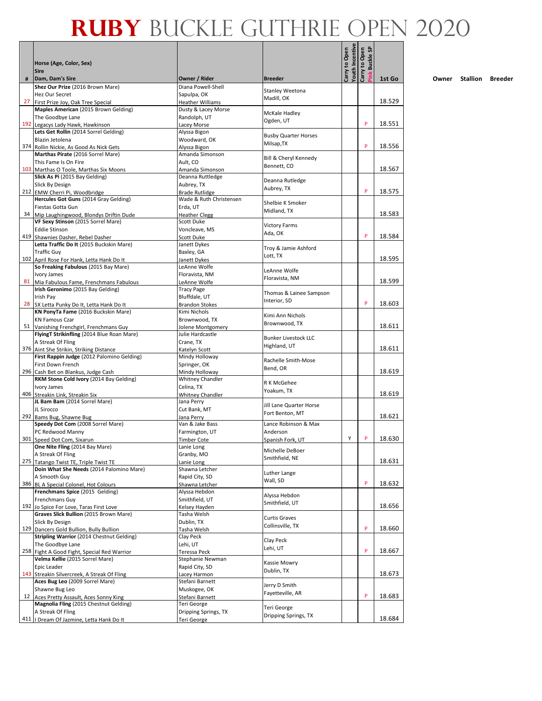|   | Horse (Age, Color, Sex)<br><b>Sire</b>                                         |                                    |                             | Carry to Open<br>Youth Incentive | <b>Buckle SP</b><br>Carry to Open |        |
|---|--------------------------------------------------------------------------------|------------------------------------|-----------------------------|----------------------------------|-----------------------------------|--------|
| # | Dam, Dam's Sire                                                                | Owner / Rider                      | <b>Breeder</b>              |                                  | ink                               | 1st Go |
|   | Shez Our Prize (2016 Brown Mare)                                               | Diana Powell-Shell                 | Stanley Weetona             |                                  |                                   |        |
|   | Hez Our Secret                                                                 | Sapulpa, OK                        | Madill, OK                  |                                  |                                   |        |
|   | 27 First Prize Joy, Oak Tree Special                                           | <b>Heather Williams</b>            |                             |                                  |                                   | 18.529 |
|   | Maples American (2015 Brown Gelding)                                           | Dusty & Lacey Morse                | McKale Hadley               |                                  |                                   |        |
|   | The Goodbye Lane                                                               | Randolph, UT                       | Ogden, UT                   |                                  | P                                 |        |
|   | 192 Legacys Lady Hawk, Hawkinson<br>Lets Get Rollin (2014 Sorrel Gelding)      | Lacey Morse                        |                             |                                  |                                   | 18.551 |
|   | Blazin Jetolena                                                                | Alyssa Bigon                       | <b>Busby Quarter Horses</b> |                                  |                                   |        |
|   | 374 Rollin Nickie, As Good As Nick Gets                                        | Woodward, OK<br>Alyssa Bigon       | Milsap, TX                  |                                  | P                                 | 18.556 |
|   | Marthas Pirate (2016 Sorrel Mare)                                              | Amanda Simonson                    |                             |                                  |                                   |        |
|   | This Fame Is On Fire                                                           | Ault, CO                           | Bill & Cheryl Kennedy       |                                  |                                   |        |
|   | 103 Marthas O Toole, Marthas Six Moons                                         | Amanda Simonson                    | Bennett, CO                 |                                  |                                   | 18.567 |
|   | Slick As Pi (2015 Bay Gelding)                                                 | Deanna Ruttledge                   |                             |                                  |                                   |        |
|   | Slick By Design                                                                | Aubrey, TX                         | Deanna Rutledge             |                                  |                                   |        |
|   | 212 EMW Cherri Pi, Woodbridge                                                  | <b>Brade Rutlidge</b>              | Aubrey, TX                  |                                  | P                                 | 18.575 |
|   | Hercules Got Guns (2014 Gray Gelding)                                          | Wade & Ruth Christensen            |                             |                                  |                                   |        |
|   | Fiestas Gotta Gun                                                              | Erda, UT                           | Shelbie K Smoker            |                                  |                                   |        |
|   | 34 Mip Laughingwood, Blondys Driftin Dude                                      | <b>Heather Clegg</b>               | Midland, TX                 |                                  |                                   | 18.583 |
|   | VF Sexy Stinson (2015 Sorrel Mare)                                             | Scott Duke                         |                             |                                  |                                   |        |
|   | <b>Eddie Stinson</b>                                                           | Voncleave, MS                      | <b>Victory Farms</b>        |                                  |                                   |        |
|   | 419 Shawnies Dasher, Rebel Dasher                                              | <b>Scott Duke</b>                  | Ada, OK                     |                                  | P                                 | 18.584 |
|   | Letta Traffic Do It (2015 Buckskin Mare)                                       | Janett Dykes                       | Troy & Jamie Ashford        |                                  |                                   |        |
|   | <b>Traffic Guy</b>                                                             | Baxley, GA                         | Lott, TX                    |                                  |                                   |        |
|   | 102 April Rose For Hank, Letta Hank Do It                                      | Janett Dykes                       |                             |                                  |                                   | 18.595 |
|   | So Freaking Fabulous (2015 Bay Mare)                                           | LeAnne Wolfe                       | LeAnne Wolfe                |                                  |                                   |        |
|   | Ivory James                                                                    | Floravista, NM                     | Floravista, NM              |                                  |                                   |        |
|   | 81 Mia Fabulous Fame, Frenchmans Fabulous                                      | LeAnne Wolfe                       |                             |                                  |                                   | 18.599 |
|   | Irish Geronimo (2015 Bay Gelding)                                              | <b>Tracy Page</b>                  | Thomas & Lainee Sampson     |                                  |                                   |        |
|   | Irish Pay                                                                      | Bluffdale, UT                      | Interior, SD                |                                  |                                   |        |
|   | 28 SX Letta Punky Do It, Letta Hank Do It                                      | <b>Brandon Stokes</b>              |                             |                                  | P                                 | 18.603 |
|   | KN PonyTa Fame (2016 Buckskin Mare)                                            | Kimi Nichols                       | Kimi Ann Nichols            |                                  |                                   |        |
|   | <b>KN Famous Czar</b>                                                          | Brownwood, TX                      | Brownwood, TX               |                                  |                                   |        |
|   | 51 Vanishing Frenchgirl, Frenchmans Guy                                        | Jolene Montgomery                  |                             |                                  |                                   | 18.611 |
|   | FlyingT Strikinfling (2014 Blue Roan Mare)                                     | Julie Hardcastle                   | <b>Bunker Livestock LLC</b> |                                  |                                   |        |
|   | A Streak Of Fling                                                              | Crane, TX                          | Highland, UT                |                                  |                                   | 18.611 |
|   | 376 Aint She Strikin, Striking Distance                                        | Katelyn Scott                      |                             |                                  |                                   |        |
|   | First Rappin Judge (2012 Palomino Gelding)                                     | Mindy Holloway                     | Rachelle Smith-Mose         |                                  |                                   |        |
|   | First Down French                                                              | Springer, OK                       | Bend, OR                    |                                  |                                   | 18.619 |
|   | 296 Cash Bet on Blankus, Judge Cash<br>RKM Stone Cold Ivory (2014 Bay Gelding) | Mindy Holloway<br>Whitney Chandler |                             |                                  |                                   |        |
|   | Ivory James                                                                    | Celina, TX                         | R K McGehee                 |                                  |                                   |        |
|   | 406 Streakin Link, Streakin Six                                                | Whitney Chandler                   | Yoakum, TX                  |                                  |                                   | 18.619 |
|   | JL Bam Bam (2014 Sorrel Mare)                                                  | Jana Perry                         |                             |                                  |                                   |        |
|   | JL Sirocco                                                                     | Cut Bank, MT                       | Jill Lane Quarter Horse     |                                  |                                   |        |
|   | 292 Bams Bug, Shawne Bug                                                       | Jana Perry                         | Fort Benton, MT             |                                  |                                   | 18.621 |
|   | Speedy Dot Com (2008 Sorrel Mare)                                              | Van & Jake Bass                    | Lance Robinson & Max        |                                  |                                   |        |
|   | PC Redwood Manny                                                               | Farmington, UT                     | Anderson                    |                                  |                                   |        |
|   | 301 Speed Dot Com, Sixarun                                                     | <b>Timber Cote</b>                 | Spanish Fork, UT            | Y                                | P                                 | 18.630 |
|   | One Nite Fling (2014 Bay Mare)                                                 | Lanie Long                         |                             |                                  |                                   |        |
|   | A Streak Of Fling                                                              | Granby, MO                         | Michelle DeBoer             |                                  |                                   |        |
|   | 275 Tatango Twist TE, Triple Twist TE                                          | Lanie Long                         | Smithfield, NE              |                                  |                                   | 18.631 |
|   | Doin What She Needs (2014 Palomino Mare)                                       | Shawna Letcher                     | Luther Lange                |                                  |                                   |        |
|   | A Smooth Guy                                                                   | Rapid City, SD                     | Wall, SD                    |                                  |                                   |        |
|   | 386 BL A Special Colonel, Hot Colours                                          | Shawna Letcher                     |                             |                                  | P                                 | 18.632 |
|   | Frenchmans Spice (2015 Gelding)                                                | Alyssa Hebdon                      | Alyssa Hebdon               |                                  |                                   |        |
|   | Frenchmans Guy                                                                 | Smithfield, UT                     | Smithfield, UT              |                                  |                                   |        |
|   | 192 Jo Spice For Love, Taras First Love                                        | Kelsey Hayden                      |                             |                                  |                                   | 18.656 |
|   | Graves Slick Bullion (2015 Brown Mare)                                         | Tasha Welsh                        | <b>Curtis Graves</b>        |                                  |                                   |        |
|   | Slick By Design                                                                | Dublin, TX                         | Collinsville, TX            |                                  | P                                 |        |
|   | 129 Dancers Gold Bullion, Bully Bullion                                        | Tasha Welsh                        |                             |                                  |                                   | 18.660 |
|   | Stripling Warrior (2014 Chestnut Gelding)                                      | Clay Peck                          | Clay Peck                   |                                  |                                   |        |
|   | The Goodbye Lane                                                               | Lehi, UT                           | Lehi, UT                    |                                  | P                                 | 18.667 |
|   | 258 Fight A Good Fight, Special Red Warrior                                    | Teressa Peck                       |                             |                                  |                                   |        |
|   | Velma Kellie (2015 Sorrel Mare)                                                | Stephanie Newman                   | Kassie Mowry                |                                  |                                   |        |
|   | Epic Leader                                                                    | Rapid City, SD                     | Dublin, TX                  |                                  |                                   | 18.673 |
|   | 143 Streakin Silvercreek, A Streak Of Fling<br>Aces Bug Leo (2009 Sorrel Mare) | Lacey Harmon<br>Stefani Barnett    |                             |                                  |                                   |        |
|   | Shawne Bug Leo                                                                 | Muskogee, OK                       | Jerry D Smith               |                                  |                                   |        |
|   | 12 Aces Pretty Assault, Aces Sonny King                                        | Stefani Barnett                    | Fayetteville, AR            |                                  | P                                 | 18.683 |
|   | Magnolia Fling (2015 Chestnut Gelding)                                         | Teri George                        |                             |                                  |                                   |        |
|   | A Streak Of Fling                                                              | Dripping Springs, TX               | Teri George                 |                                  |                                   |        |
|   | 411   Dream Of Jazmine, Letta Hank Do It                                       | Teri George                        | Dripping Springs, TX        |                                  |                                   | 18.684 |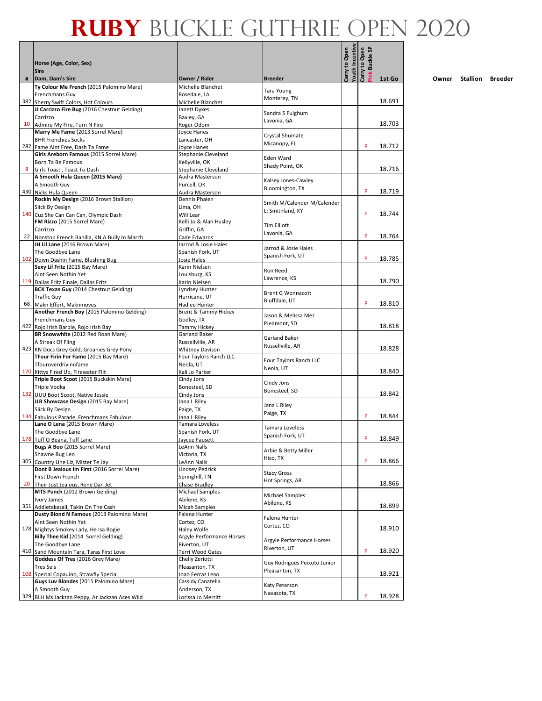|   | Horse (Age, Color, Sex)<br><b>Sire</b>                                               |                                                  |                                           | Youth Incentive<br>Carry to Open | <b>Buckle SP</b><br>Carry to Open |        |
|---|--------------------------------------------------------------------------------------|--------------------------------------------------|-------------------------------------------|----------------------------------|-----------------------------------|--------|
| # | Dam, Dam's Sire                                                                      | Owner / Rider                                    | <b>Breeder</b>                            |                                  |                                   | 1st Go |
|   | Ty Colour Me French (2015 Palomino Mare)                                             | Michelle Blanchet                                | <b>Tara Young</b>                         |                                  |                                   |        |
|   | Frenchmans Guy                                                                       | Rosedale, LA                                     | Monterey, TN                              |                                  |                                   |        |
|   | 382 Sherry Swift Colors, Hot Colours<br>JJ Carrizzo Fire Bug (2016 Chestnut Gelding) | Michelle Blanchet<br>Janett Dykes                |                                           |                                  |                                   | 18.691 |
|   | Carrizzo                                                                             | Baxley, GA                                       | Sandra S Fulghum                          |                                  |                                   |        |
|   | 10 Admire My Fire, Turn N Fire                                                       | Roger Odom                                       | Lavonia, GA                               |                                  |                                   | 18.703 |
|   | Marry Me Fame (2013 Sorrel Mare)                                                     | Joyce Hanes                                      |                                           |                                  |                                   |        |
|   | <b>BHR Frenchies Socks</b>                                                           | Lancaster, OH                                    | Crystal Shumate<br>Micanopy, FL           |                                  |                                   |        |
|   | 282 Fame Aint Free, Dash Ta Fame                                                     | Joyce Hanes                                      |                                           |                                  | P                                 | 18.712 |
|   | Girls Areborn Famous (2015 Sorrel Mare)                                              | Stephanie Cleveland                              | Eden Ward                                 |                                  |                                   |        |
| 8 | Born Ta Be Famous                                                                    | Kellyville, OK                                   | Shady Point, OK                           |                                  |                                   | 18.716 |
|   | Girls Toast, Toast To Dash<br>A Smooth Hula Queen (2015 Mare)                        | Stephanie Cleveland<br>Audra Masterson           |                                           |                                  |                                   |        |
|   | A Smooth Guy                                                                         | Purcell, OK                                      | Kalsey Jones-Cawley                       |                                  |                                   |        |
|   | 430 Nicks Hula Queen                                                                 | Audra Masterson                                  | Bloomington, TX                           |                                  | P                                 | 18.719 |
|   | Rockin My Design (2016 Brown Stallion)                                               | Dennis Phalen                                    | Smith M/Calender M/Calender               |                                  |                                   |        |
|   | Slick By Design                                                                      | Lima, OH                                         | L; Smithland, KY                          |                                  |                                   |        |
|   | 140 Cuz She Can Can Can, Olympic Dash                                                | Will Lear                                        |                                           |                                  | P                                 | 18.744 |
|   | FM Rizzo (2015 Sorrel Mare)<br>Carrizzo                                              | Kelli Jo & Alan Husley<br>Griffin. GA            | <b>Tim Elliott</b>                        |                                  |                                   |        |
|   | 22 Nonstop French Banilla, KN A Bully In March                                       | Cade Edwards                                     | Lavonia, GA                               |                                  | P                                 | 18.764 |
|   | JH Lil Lane (2016 Brown Mare)                                                        | Jarrod & Josie Hales                             |                                           |                                  |                                   |        |
|   | The Goodbye Lane                                                                     | Spanish Fork, UT                                 | Jarrod & Josie Hales                      |                                  |                                   |        |
|   | 102 Down Dashin Fame, Blushing Bug                                                   | Josie Hales                                      | Spanish Fork, UT                          |                                  | P                                 | 18.785 |
|   | Sexy Lil Fritz (2015 Bay Mare)                                                       | Karin Nielsen                                    | Ron Reed                                  |                                  |                                   |        |
|   | Aint Seen Nothin Yet                                                                 | Louisburg, KS                                    | Lawrence, KS                              |                                  |                                   |        |
|   | 119 Dallas Fritz Finale, Dallas Fritz                                                | Karin Nielsen                                    |                                           |                                  |                                   | 18.790 |
|   | <b>BCK Texas Guy (2014 Chestnut Gelding)</b><br><b>Traffic Guy</b>                   | Lyndsey Hunter<br>Hurricane, UT                  | <b>Brent G Wonnacott</b>                  |                                  |                                   |        |
|   | 68 Makn Effort, Maknmoves                                                            | Hadlee Hunter                                    | Bluffdale, UT                             |                                  | P                                 | 18.810 |
|   | Another French Boy (2015 Palomino Gelding)                                           | Brent & Tammy Hickey                             |                                           |                                  |                                   |        |
|   | Frenchmans Guy                                                                       | Godley, TX                                       | Jason & Melissa Mez<br>Piedmont, SD       |                                  |                                   |        |
|   | 422 Rojo Irish Barbie, Rojo Irish Bay                                                | <b>Tammy Hickey</b>                              |                                           |                                  |                                   | 18.818 |
|   | BR Snowwhite (2012 Red Roan Mare)                                                    | Garland Baker                                    | Garland Baker                             |                                  |                                   |        |
|   | A Streak Of Fling                                                                    | Russellville, AR                                 | Russellville, AR                          |                                  |                                   | 18.828 |
|   | 423 KN Docs Grey Gold, Groanies Grey Pony<br>TFour Firin For Fame (2015 Bay Mare)    | <b>Whitney Davison</b><br>Four Taylors Ranch LLC |                                           |                                  |                                   |        |
|   | Tfouroverdrivinnfame                                                                 | Neola, UT                                        | Four Taylors Ranch LLC                    |                                  |                                   |        |
|   | 170 Kittys Fired Up, Firewater Flit                                                  | Kali Jo Parker                                   | Neola, UT                                 |                                  |                                   | 18.840 |
|   | Triple Boot Scoot (2015 Buckskin Mare)                                               | Cindy Jons                                       | Cindy Jons                                |                                  |                                   |        |
|   | Triple Vodka                                                                         | Bonesteel, SD                                    | Bonesteel, SD                             |                                  |                                   |        |
|   | 132 UUU Boot Scoot, Native Jessie                                                    | Cindy Jons                                       |                                           |                                  |                                   | 18.842 |
|   | JLR Showcase Design (2015 Bay Mare)<br>Slick By Design                               | Jana L Riley<br>Paige, TX                        | Jana L Riley                              |                                  |                                   |        |
|   | 134 Fabulous Parade, Frenchmans Fabulous                                             | Jana L Riley                                     | Paige, TX                                 |                                  | P                                 | 18.844 |
|   | Lane O Lena (2015 Brown Mare)                                                        | Tamara Loveless                                  |                                           |                                  |                                   |        |
|   | The Goodbye Lane                                                                     | Spanish Fork, UT                                 | Tamara Loveless<br>Spanish Fork, UT       |                                  |                                   |        |
|   | 178 Tuff O Beana, Tuff Lane                                                          | Javcee Fausett                                   |                                           |                                  | P                                 | 18.849 |
|   | Bugs A Boo (2015 Sorrel Mare)                                                        | LeAnn Nalls                                      | Arbie & Betty Miller                      |                                  |                                   |        |
|   | Shawne Bug Leo                                                                       | Victoria, TX                                     | Hico, TX                                  |                                  | P                                 | 18.866 |
|   | 305 Country Line Liz, Mister Te Jay<br>Dont B Jealous Im First (2016 Sorrel Mare)    | LeAnn Nalls<br><b>Lindsey Pedrick</b>            |                                           |                                  |                                   |        |
|   | First Down French                                                                    | Springhill, TN                                   | <b>Stacy Gross</b>                        |                                  |                                   |        |
|   | 20 Their Just Jealous, Rene Dan Jet                                                  | Chase Bradley                                    | Hot Springs, AR                           |                                  |                                   | 18.866 |
|   | MTS Punch (2012 Brown Gelding)                                                       | Michael Samples                                  | <b>Michael Samples</b>                    |                                  |                                   |        |
|   | Ivory James                                                                          | Abilene, KS                                      | Abilene, KS                               |                                  |                                   |        |
|   | 351 Addietakesall, Takin On The Cash<br>Dusty Blond N Famous (2013 Palomino Mare)    | Micah Samples<br>Falena Hunter                   |                                           |                                  |                                   | 18.899 |
|   | Aint Seen Nothin Yet                                                                 | Cortez, CO                                       | Falena Hunter                             |                                  |                                   |        |
|   | 178 Mightys Smokey Lady, He Isa Bogie                                                | Haley Wolfe                                      | Cortez, CO                                |                                  |                                   | 18.910 |
|   | Billy Thee Kid (2014 Sorrel Gelding)                                                 | Argyle Performance Horses                        |                                           |                                  |                                   |        |
|   | The Goodbye Lane                                                                     | Riverton, UT                                     | Argyle Performance Horses<br>Riverton, UT |                                  |                                   |        |
|   | 410 Sand Mountain Tara, Taras First Love                                             | Terri Wood Gates                                 |                                           |                                  | P                                 | 18.920 |
|   | Goddess Of Tres (2016 Grey Mare)                                                     | Chelly Zeriotti                                  | Guy Rodrigues Peixoto Junior              |                                  |                                   |        |
|   | <b>Tres Seis</b><br>108 Special Copauino, Strawfly Special                           | Pleasanton, TX<br>Joao Ferraz Leao               | Pleasanton, TX                            |                                  |                                   | 18.921 |
|   | Guys Luv Blondes (2015 Palomino Mare)                                                | Cassidy Canatella                                |                                           |                                  |                                   |        |
|   | A Smooth Guy                                                                         | Anderson, TX                                     | Katy Peterson                             |                                  |                                   |        |
|   | 329 BLH Ms Jackzan Peppy, Ar Jackzan Aces Wild                                       | Lorissa Jo Merritt                               | Navasota, TX                              |                                  | P                                 | 18.928 |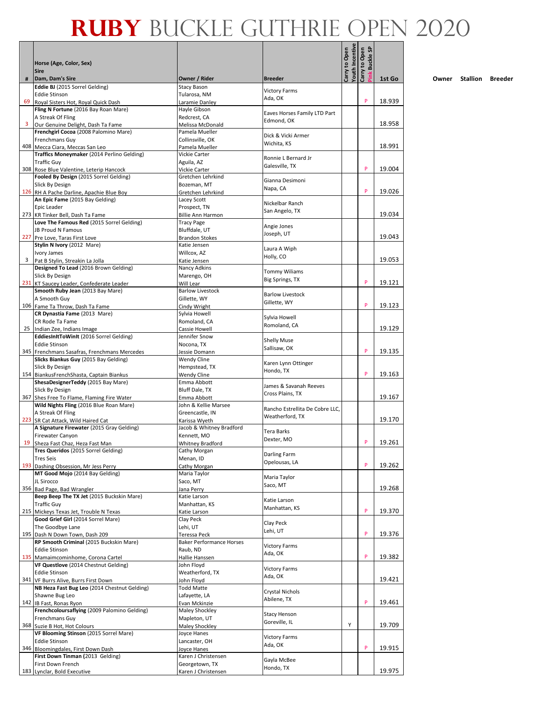|   | Horse (Age, Color, Sex)                                                            |                                                 |                                                    | Youth Incentive<br>Carry to Open | <b>Buckle SP</b><br>Carry to Open |        |
|---|------------------------------------------------------------------------------------|-------------------------------------------------|----------------------------------------------------|----------------------------------|-----------------------------------|--------|
| # | <b>Sire</b><br>Dam, Dam's Sire                                                     | Owner / Rider                                   | <b>Breeder</b>                                     |                                  | ink                               | 1st Go |
|   | Eddie BJ (2015 Sorrel Gelding)                                                     | <b>Stacy Bason</b>                              |                                                    |                                  |                                   |        |
|   | <b>Eddie Stinson</b>                                                               | Tularosa, NM                                    | <b>Victory Farms</b><br>Ada, OK                    |                                  |                                   |        |
|   | 69 Royal Sisters Hot, Royal Quick Dash<br>Fling N Fortune (2016 Bay Roan Mare)     | Laramie Danley<br>Hayle Gibson                  |                                                    |                                  | P                                 | 18.939 |
|   | A Streak Of Fling                                                                  | Redcrest, CA                                    | Eaves Horses Family LTD Part                       |                                  |                                   |        |
|   | 3 Our Genuine Delight, Dash Ta Fame                                                | Melissa McDonald                                | Edmond, OK                                         |                                  |                                   | 18.958 |
|   | Frenchgirl Cocoa (2008 Palomino Mare)                                              | Pamela Mueller                                  | Dick & Vicki Armer                                 |                                  |                                   |        |
|   | Frenchmans Guv<br>408 Mecca Ciara, Meccas San Leo                                  | Collinsville, OK<br>Pamela Mueller              | Wichita, KS                                        |                                  |                                   | 18.991 |
|   | Traffics Moneymaker (2014 Perlino Gelding)                                         | Vickie Carter                                   | Ronnie L Bernard Jr                                |                                  |                                   |        |
|   | <b>Traffic Guy</b>                                                                 | Aguila, AZ                                      | Galesville, TX                                     |                                  |                                   |        |
|   | 308 Rose Blue Valentine, Leterip Hancock<br>Fooled By Design (2015 Sorrel Gelding) | Vickie Carter<br>Gretchen Lehrkind              |                                                    |                                  | P                                 | 19.004 |
|   | Slick By Design                                                                    | Bozeman, MT                                     | Gianna Desimoni                                    |                                  |                                   |        |
|   | 126 RH A Pache Darline, Apachie Blue Boy                                           | Gretchen Lehrkind                               | Napa, CA                                           |                                  | P                                 | 19.026 |
|   | An Epic Fame (2015 Bay Gelding)                                                    | Lacey Scott                                     | Nickelbar Ranch                                    |                                  |                                   |        |
|   | Epic Leader<br>273 KR Tinker Bell, Dash Ta Fame                                    | Prospect, TN<br><b>Billie Ann Harmon</b>        | San Angelo, TX                                     |                                  |                                   | 19.034 |
|   | Love The Famous Red (2015 Sorrel Gelding)                                          | <b>Tracy Page</b>                               |                                                    |                                  |                                   |        |
|   | JB Proud N Famous                                                                  | Bluffdale, UT                                   | Angie Jones<br>Joseph, UT                          |                                  |                                   |        |
|   | 227 Pre Love, Taras First Love                                                     | <b>Brandon Stokes</b>                           |                                                    |                                  |                                   | 19.043 |
|   | Stylin N Ivory (2012 Mare)<br>Ivory James                                          | Katie Jensen<br>Willcox, AZ                     | Laura A Wiph                                       |                                  |                                   |        |
| 3 | Pat B Stylin, Streakin La Jolla                                                    | Katie Jensen                                    | Holly, CO                                          |                                  |                                   | 19.053 |
|   | Designed To Lead (2016 Brown Gelding)                                              | Nancy Adkins                                    | <b>Tommy Wiliams</b>                               |                                  |                                   |        |
|   | Slick By Design                                                                    | Marengo, OH                                     | Big Springs, TX                                    |                                  | P                                 | 19.121 |
|   | 231 KT Saucey Leader, Confederate Leader<br>Smooth Ruby Jean (2013 Bay Mare)       | Will Lear<br><b>Barlow Livestock</b>            |                                                    |                                  |                                   |        |
|   | A Smooth Guy                                                                       | Gillette, WY                                    | <b>Barlow Livestock</b>                            |                                  |                                   |        |
|   | 106 Fame Ta Throw, Dash Ta Fame                                                    | Cindy Wright                                    | Gillette, WY                                       |                                  | P                                 | 19.123 |
|   | CR Dynastia Fame (2013 Mare)                                                       | Sylvia Howell                                   | Sylvia Howell                                      |                                  |                                   |        |
|   | CR Rode Ta Fame<br>25 Indian Zee, Indians Image                                    | Romoland, CA<br>Cassie Howell                   | Romoland, CA                                       |                                  |                                   | 19.129 |
|   | EddiesInItToWinIt (2016 Sorrel Gelding)                                            | Jennifer Snow                                   |                                                    |                                  |                                   |        |
|   | <b>Eddie Stinson</b>                                                               | Nocona, TX                                      | <b>Shelly Muse</b><br>Sallisaw, OK                 |                                  |                                   |        |
|   | 345 Frenchmans Sasafras, Frenchmans Mercedes                                       | Jessie Domann                                   |                                                    |                                  | P                                 | 19.135 |
|   | Slicks Biankus Guy (2015 Bay Gelding)<br>Slick By Design                           | Wendy Cline<br>Hempstead, TX                    | Karen Lynn Ottinger                                |                                  |                                   |        |
|   | 154 BiankusFrenchShasta, Captain Biankus                                           | Wendy Cline                                     | Hondo, TX                                          |                                  | P                                 | 19.163 |
|   | ShesaDesignerTeddy (2015 Bay Mare)                                                 | Emma Abbott                                     | James & Savanah Reeves                             |                                  |                                   |        |
|   | Slick By Design<br>367 Shes Free To Flame, Flaming Fire Water                      | Bluff Dale, TX<br>Emma Abbott                   | Cross Plains, TX                                   |                                  |                                   | 19.167 |
|   | Wild Nights Fling (2016 Blue Roan Mare)                                            | John & Kellie Marsee                            |                                                    |                                  |                                   |        |
|   | A Streak Of Fling                                                                  | Greencastle, IN                                 | Rancho Estrellita De Cobre LLC,<br>Weatherford, TX |                                  |                                   |        |
|   | 223 SR Cat Attack, Wild Haired Cat                                                 | Karissa Wyeth                                   |                                                    |                                  |                                   | 19.170 |
|   | A Signature Firewater (2015 Gray Gelding)<br>Firewater Canyon                      | Jacob & Whitney Bradford<br>Kennett, MO         | Tera Barks                                         |                                  |                                   |        |
|   | 19 Sheza Fast Chaz, Heza Fast Man                                                  | Whitney Bradford                                | Dexter, MO                                         |                                  |                                   | 19.261 |
|   | Tres Queridos (2015 Sorrel Gelding)                                                | Cathy Morgan                                    | Darling Farm                                       |                                  |                                   |        |
|   | <b>Tres Seis</b>                                                                   | Menan, ID                                       | Opelousas, LA                                      |                                  | P                                 | 19.262 |
|   | 193 Dashing Obsession, Mr Jess Perry<br>MT Good Mojo (2014 Bay Gelding)            | Cathy Morgan<br>Maria Taylor                    |                                                    |                                  |                                   |        |
|   | JL Sirocco                                                                         | Saco, MT                                        | Maria Taylor                                       |                                  |                                   |        |
|   | 356 Bad Page, Bad Wrangler                                                         | Jana Perry                                      | Saco, MT                                           |                                  |                                   | 19.268 |
|   | Beep Beep The TX Jet (2015 Buckskin Mare)<br><b>Traffic Guy</b>                    | Katie Larson<br>Manhattan, KS                   | Katie Larson                                       |                                  |                                   |        |
|   | 215 Mickeys Texas Jet, Trouble N Texas                                             | Katie Larson                                    | Manhattan, KS                                      |                                  | P                                 | 19.370 |
|   | Good Grief Girl (2014 Sorrel Mare)                                                 | Clay Peck                                       | Clay Peck                                          |                                  |                                   |        |
|   | The Goodbye Lane                                                                   | Lehi, UT                                        | Lehi, UT                                           |                                  | P                                 |        |
|   | 195 Dash N Down Town, Dash 209<br>RP Smooth Criminal (2015 Buckskin Mare)          | Teressa Peck<br><b>Baker Performance Horses</b> |                                                    |                                  |                                   | 19.376 |
|   | <b>Eddie Stinson</b>                                                               | Raub, ND                                        | <b>Victory Farms</b>                               |                                  |                                   |        |
|   | 135 Mamaimcominhome, Corona Cartel                                                 | Hallie Hanssen                                  | Ada, OK                                            |                                  | P                                 | 19.382 |
|   | VF Questlove (2014 Chestnut Gelding)<br><b>Eddie Stinson</b>                       | John Floyd<br>Weatherford, TX                   | <b>Victory Farms</b>                               |                                  |                                   |        |
|   | 341 VF Burrs Alive, Burrs First Down                                               | John Floyd                                      | Ada, OK                                            |                                  |                                   | 19.421 |
|   | NB Heza Fast Bug Leo (2014 Chestnut Gelding)                                       | <b>Todd Matte</b>                               | Crystal Nichols                                    |                                  |                                   |        |
|   | Shawne Bug Leo                                                                     | Lafayette, LA                                   | Abilene, TX                                        |                                  |                                   |        |
|   | 142 IB Fast, Ronas Ryon<br>Frenchcoloursaflying (2009 Palomino Gelding)            | Evan Mckinzie<br>Maley Shockley                 |                                                    |                                  | P                                 | 19.461 |
|   | Frenchmans Guy                                                                     | Mapleton, UT                                    | Stacy Henson                                       |                                  |                                   |        |
|   | 368 Suzie B Hot, Hot Colours                                                       | Maley Shockley                                  | Goreville, IL                                      | Υ                                |                                   | 19.709 |
|   | VF Blooming Stinson (2015 Sorrel Mare)                                             | Joyce Hanes                                     | <b>Victory Farms</b>                               |                                  |                                   |        |
|   | <b>Eddie Stinson</b><br>346 Bloomingdales, First Down Dash                         | Lancaster, OH<br>Joyce Hanes                    | Ada, OK                                            |                                  | P                                 | 19.915 |
|   | First Down Tinman (2013 Gelding)                                                   | Karen J Christensen                             |                                                    |                                  |                                   |        |
|   | First Down French                                                                  | Georgetown, TX                                  | Gayla McBee<br>Hondo, TX                           |                                  |                                   |        |
|   | 183 Lynclar, Bold Executive                                                        | Karen J Christensen                             |                                                    |                                  |                                   | 19.975 |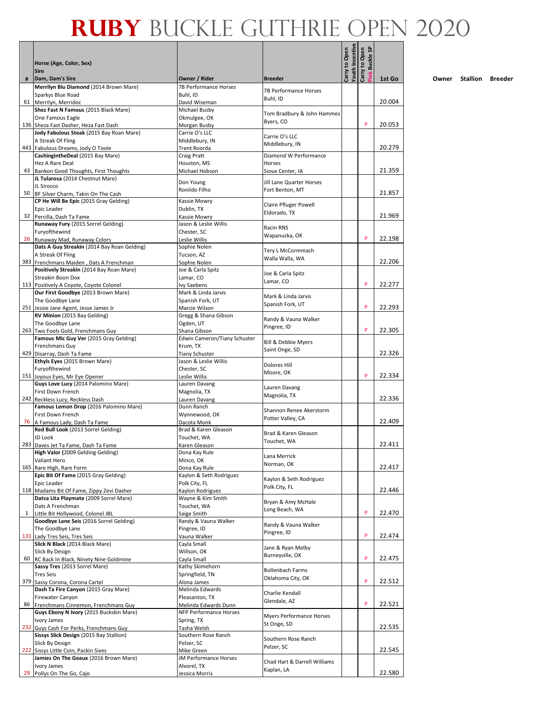|              |                                                                                     |                                       |                                             | Youth Incentive | <b>Buckle SP</b> |        |
|--------------|-------------------------------------------------------------------------------------|---------------------------------------|---------------------------------------------|-----------------|------------------|--------|
|              | Horse (Age, Color, Sex)<br><b>Sire</b>                                              |                                       |                                             | Carry to Open   | Carry to Open    |        |
| #            | Dam, Dam's Sire                                                                     | Owner / Rider                         | <b>Breeder</b>                              |                 | ink              | 1st Go |
|              | Merrilyn Blu Diamond (2014 Brown Mare)<br>Sparkys Blue Road                         | 7B Performance Horses<br>Buhl, ID     | 7B Performance Horses                       |                 |                  |        |
|              | 61 Merrilyn, Merridoc                                                               | David Wiseman                         | Buhl, ID                                    |                 |                  | 20.004 |
|              | Shez Fast N Famous (2015 Black Mare)                                                | Michael Busby                         | Tom Bradbury & John Hammes                  |                 |                  |        |
|              | One Famous Eagle                                                                    | Okmulgee, OK                          | Byers, CO                                   |                 |                  |        |
|              | 136 Sheza Fast Dasher, Heza Fast Dash<br>Jody Fabulous Steak (2015 Bay Roan Mare)   | Morgan Busby<br>Carrie O's LLC        |                                             |                 | P                | 20.053 |
|              | A Streak Of Fling                                                                   | Middlebury, IN                        | Carrie O's LLC                              |                 |                  |        |
|              | 443 Fabulous Dreams, Jody O Toole                                                   | Trent Roorda                          | Middlebury, IN                              |                 |                  | 20.279 |
|              | CashingintheDeal (2015 Bay Mare)                                                    | Craig Pratt                           | Diamond W Performance                       |                 |                  |        |
|              | Hez A Rare Deal<br>43 Bankon Good Thoughts, First Thoughts                          | Houston, MS<br>Michael Hobson         | <b>Horses</b><br>Sioux Center, IA           |                 |                  | 21.359 |
|              | JL Tularosa (2014 Chestnut Mare)                                                    |                                       |                                             |                 |                  |        |
|              | JL Sirocco                                                                          | Don Young<br>Ronildo Filho            | Jill Lane Quarter Horses<br>Fort Benton, MT |                 |                  |        |
|              | 50 BF Silver Charm, Takin On The Cash<br>CP He Will Be Epic (2015 Gray Gelding)     |                                       |                                             |                 |                  | 21.857 |
|              | Epic Leader                                                                         | Kassie Mowry<br>Dublin, TX            | Claire Pfluger Powell                       |                 |                  |        |
|              | 32 Percilla, Dash Ta Fame                                                           | Kassie Mowry                          | Eldorado, TX                                |                 |                  | 21.969 |
|              | Runaway Fury (2015 Sorrel Gelding)                                                  | Jason & Leslie Willis                 | Racin RNS                                   |                 |                  |        |
|              | Furyofthewind<br>26 Runaway Mad, Runaway Colors                                     | Chester, SC                           | Wapanucka, OK                               |                 | P                | 22.198 |
|              | Dats A Guy Streakin (2014 Bay Roan Gelding)                                         | Leslie Willis<br>Sophie Nolen         |                                             |                 |                  |        |
|              | A Streak Of Fling                                                                   | Tucson, AZ                            | Tery L McCormmach<br>Walla Walla, WA        |                 |                  |        |
|              | 383 Frenchmans Maiden, Dats A Frenchman                                             | Sophie Nolen                          |                                             |                 |                  | 22.206 |
|              | Positively Streakin (2014 Bay Roan Mare)<br>Streakin Boon Dox                       | Joe & Carla Spitz<br>Lamar, CO        | Joe & Carla Spitz                           |                 |                  |        |
|              | 113 Positively A Coyote, Coyote Colonel                                             | <b>Ivy Saebens</b>                    | Lamar, CO                                   |                 | P                | 22.277 |
|              | Our First Goodbye (2013 Brown Mare)                                                 | Mark & Linda Jarvis                   | Mark & Linda Jarvis                         |                 |                  |        |
|              | The Goodbye Lane                                                                    | Spanish Fork, UT                      | Spanish Fork, UT                            |                 |                  |        |
|              | 251 Jessie Jane Agent, Jesse James Jr<br>RV Minion (2015 Bay Gelding)               | Marcie Wilson<br>Gregg & Shana Gibson |                                             |                 | P                | 22.293 |
|              | The Goodbye Lane                                                                    | Ogden, UT                             | Randy & Vauna Walker                        |                 |                  |        |
|              | 263 Two Fools Gold, Frenchmans Guy                                                  | Shana Gibson                          | Pingree, ID                                 |                 | P                | 22.305 |
|              | Famous Mic Guy Ver (2015 Gray Gelding)                                              | Edwin Cameron/Tiany Schuster          | Bill & Debbie Myers                         |                 |                  |        |
|              | Frenchmans Guy<br>429 Disarray, Dash Ta Fame                                        | Krum, TX<br><b>Tiany Schuster</b>     | Saint Onge, SD                              |                 |                  | 22.326 |
|              | Ethyls Eyes (2015 Brown Mare)                                                       | Jason & Leslie Willis                 |                                             |                 |                  |        |
|              | Furyofthewind                                                                       | Chester, SC                           | Dolores Hill<br>Moore, OK                   |                 |                  |        |
|              | 151 Joyous Eyes, Mr Eye Opener                                                      | Leslie Willis                         |                                             |                 | P                | 22.334 |
|              | Guys Love Lucy (2014 Palomino Mare)<br><b>First Down French</b>                     | Lauren Davang<br>Magnolia, TX         | Lauren Davang                               |                 |                  |        |
|              | 242 Reckless Lucy, Reckless Dash                                                    | Lauren Davang                         | Magnolia, TX                                |                 |                  | 22.336 |
|              | Famous Lemon Drop (2016 Palomino Mare)                                              | Dunn Ranch                            | Shannon Renee Akerstorm                     |                 |                  |        |
|              | First Down French                                                                   | Wynnewood, OK                         | Potter Valley, CA                           |                 |                  | 22.409 |
|              | 76 A Famous Lady, Dash Ta Fame<br>Red Bull Look (2013 Sorrel Gelding)               | Dacota Monk<br>Brad & Karen Gleason   |                                             |                 |                  |        |
|              | JD Look                                                                             | Touchet. WA                           | Brad & Karen Gleason<br>Touchet, WA         |                 |                  |        |
|              | 283 Daves Jet Ta Fame, Dash Ta Fame                                                 | Karen Gleason                         |                                             |                 |                  | 22.411 |
|              | High Valor (2009 Gelding Gelding)<br>Valiant Hero                                   | Dona Kay Rule<br>Minco, OK            | Lana Merrick                                |                 |                  |        |
|              | 165 Rare High, Rare Form                                                            | Dona Kay Rule                         | Norman, OK                                  |                 |                  | 22.417 |
|              | Epic Bit Of Fame (2015 Gray Gelding)                                                | Kaylon & Seth Rodriguez               | Kaylon & Seth Rodriguez                     |                 |                  |        |
|              | Epic Leader                                                                         | Polk City, FL                         | Polk City, FL                               |                 |                  | 22.446 |
|              | 118 Madams Bit Of Fame, Zippy Zevi Dasher<br>Datsa Lita Playmate (2009 Sorrel Mare) | Kaylon Rodriguez<br>Wayne & Kim Smith |                                             |                 |                  |        |
|              | Dats A Frenchman                                                                    | Touchet, WA                           | Bryan & Amy McHale                          |                 |                  |        |
| $\mathbf{1}$ | Little Bit Hollywood, Colonel JBL                                                   | Saige Smith                           | Long Beach, WA                              |                 | P                | 22.470 |
|              | Goodbye Lane Seis (2016 Sorrel Gelding)<br>The Goodbye Lane                         | Randy & Vauna Walker<br>Pingree, ID   | Randy & Vauna Walker                        |                 |                  |        |
|              | 131 Lady Tres Seis, Tres Seis                                                       | Vauna Walker                          | Pingree, ID                                 |                 | P                | 22.474 |
|              | Slick N Black (2014 Black Mare)                                                     | Cayla Small                           | Jane & Ryan Melby                           |                 |                  |        |
|              | Slick By Design                                                                     | Willson, OK                           | Burneyville, OK                             |                 |                  |        |
|              | 60 RC Back In Black, Ninety Nine Goldmine<br>Sassy Tres (2013 Sorrel Mare)          | Cayla Small<br>Kathy Skimehorn        |                                             |                 | P                | 22.475 |
|              | <b>Tres Seis</b>                                                                    | Springfield, TN                       | <b>Bollenbach Farms</b>                     |                 |                  |        |
|              | 379 Sassy Corona, Corona Cartel                                                     | Alona James                           | Oklahoma City, OK                           |                 | P                | 22.512 |
|              | Dash Ta Fire Canyon (2015 Gray Mare)                                                | Melinda Edwards<br>Pleasanton, TX     | Charlie Kendall                             |                 |                  |        |
|              | Firewater Canyon<br>86 Frenchmans Cinnemon, Frenchmans Guy                          | Melinda Edwards Dunn                  | Glendale, AZ                                |                 | P                | 22.521 |
|              | Guys Ebony N Ivory (2015 Buckskin Mare)                                             | NFP Performance Horses                | Myers Performance Horses                    |                 |                  |        |
|              | Ivory James                                                                         | Spring, TX                            | St Onge, SD                                 |                 |                  |        |
|              | 232 Guys Cash For Perks, Frenchmans Guy<br>Sissys Slick Design (2015 Bay Stallion)  | Tasha Welsh<br>Southern Rose Ranch    |                                             |                 |                  | 22.535 |
|              | Slick By Design                                                                     | Pelzer, SC                            | Southern Rose Ranch                         |                 |                  |        |
|              | 222 Sissys Little Coin, Packin Sixes                                                | Mike Green                            | Pelzer, SC                                  |                 |                  | 22.545 |
|              | Jamies On The Geaux (2016 Brown Mare)<br>Ivory James                                | JM Performance Horses<br>Alvorel, TX  | Chad Hart & Darrell Williams                |                 |                  |        |
|              | 29 Pollys On The Go, Cajo                                                           | Jessica Morris                        | Kaplan, LA                                  |                 |                  | 22.580 |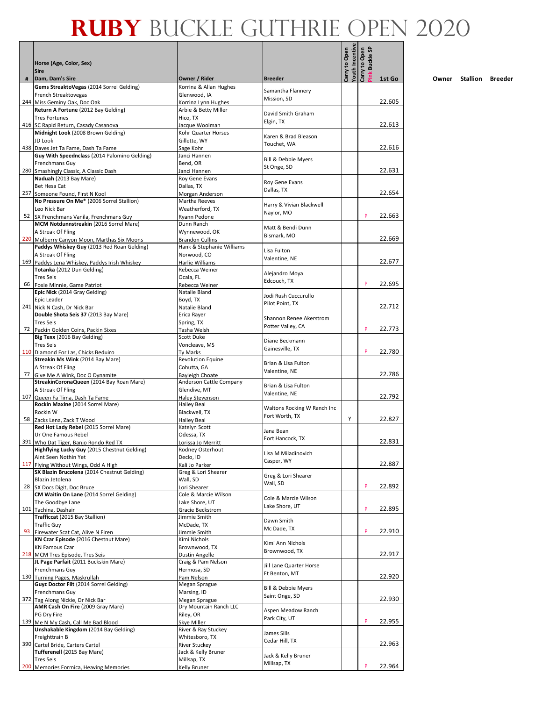|   |                                                                                           |                                                     |                                               | <b>Youth Incentive</b><br>Carry to Open | <b>Buckle SP</b><br>Carry to Open |        |
|---|-------------------------------------------------------------------------------------------|-----------------------------------------------------|-----------------------------------------------|-----------------------------------------|-----------------------------------|--------|
|   | Horse (Age, Color, Sex)<br><b>Sire</b>                                                    |                                                     |                                               |                                         | Ě                                 |        |
| # | Dam, Dam's Sire                                                                           | Owner / Rider                                       | <b>Breeder</b>                                |                                         |                                   | 1st Go |
|   | Gems StreaktoVegas (2014 Sorrel Gelding)<br>French Streaktovegas                          | Korrina & Allan Hughes<br>Glenwood, IA              | Samantha Flannery                             |                                         |                                   |        |
|   | 244 Miss Geminy Oak, Doc Oak                                                              | Korrina Lynn Hughes                                 | Mission, SD                                   |                                         |                                   | 22.605 |
|   | Return A Fortune (2012 Bay Gelding)                                                       | Arbie & Betty Miller                                | David Smith Graham                            |                                         |                                   |        |
|   | <b>Tres Fortunes</b><br>416 SC Rapid Return, Casady Casanova                              | Hico, TX<br>Jacque Woolman                          | Elgin, TX                                     |                                         |                                   | 22.613 |
|   | Midnight Look (2008 Brown Gelding)                                                        | Kohr Quarter Horses                                 | Karen & Brad Bleason                          |                                         |                                   |        |
|   | JD Look                                                                                   | Gillette, WY                                        | Touchet, WA                                   |                                         |                                   |        |
|   | 438 Daves Jet Ta Fame, Dash Ta Fame<br>Guy With Speednclass (2014 Palomino Gelding)       | Sage Kohr<br>Janci Hannen                           |                                               |                                         |                                   | 22.616 |
|   | Frenchmans Guy                                                                            | Bend, OR                                            | <b>Bill &amp; Debbie Myers</b>                |                                         |                                   |        |
|   | 280 Smashingly Classic, A Classic Dash                                                    | Janci Hannen                                        | St Onge, SD                                   |                                         |                                   | 22.631 |
|   | Naduah (2013 Bay Mare)<br>Bet Hesa Cat                                                    | Roy Gene Evans<br>Dallas, TX                        | Roy Gene Evans                                |                                         |                                   |        |
|   | 257 Someone Found, First N Kool                                                           | Morgan Anderson                                     | Dallas, TX                                    |                                         |                                   | 22.654 |
|   | No Pressure On Me* (2006 Sorrel Stallion)                                                 | Martha Reeves                                       | Harry & Vivian Blackwell                      |                                         |                                   |        |
|   | Leo Nick Bar<br>52 SX Frenchmans Vanila, Frenchmans Guy                                   | Weatherford, TX<br>Ryann Pedone                     | Naylor, MO                                    |                                         | P                                 | 22.663 |
|   | MCM Notdunnstreakin (2016 Sorrel Mare)                                                    | Dunn Ranch                                          |                                               |                                         |                                   |        |
|   | A Streak Of Fling                                                                         | Wynnewood, OK                                       | Matt & Bendi Dunn<br>Bismark, MO              |                                         |                                   |        |
|   | 220 Mulberry Canyon Moon, Marthas Six Moons<br>Paddys Whiskey Guy (2013 Red Roan Gelding) | <b>Brandon Cullins</b><br>Hank & Stephanie Williams |                                               |                                         |                                   | 22.669 |
|   | A Streak Of Fling                                                                         | Norwood, CO                                         | Lisa Fulton                                   |                                         |                                   |        |
|   | 169 Paddys Lena Whiskey, Paddys Irish Whiskey                                             | Harlie Williams                                     | Valentine, NE                                 |                                         |                                   | 22.677 |
|   | Totanka (2012 Dun Gelding)                                                                | Rebecca Weiner                                      | Alejandro Moya                                |                                         |                                   |        |
|   | <b>Tres Seis</b><br>66 Foxie Minnie, Game Patriot                                         | Ocala, FL<br>Rebecca Weiner                         | Edcouch, TX                                   |                                         | P                                 | 22.695 |
|   | Epic Nick (2014 Gray Gelding)                                                             | Natalie Bland                                       | Jodi Rush Cuccurullo                          |                                         |                                   |        |
|   | Epic Leader                                                                               | Boyd, TX                                            | Pilot Point, TX                               |                                         |                                   | 22.712 |
|   | 241 Nick N Cash, Dr Nick Bar<br>Double Shota Seis 37 (2013 Bay Mare)                      | Natalie Bland<br>Erica Rayer                        |                                               |                                         |                                   |        |
|   | <b>Tres Seis</b>                                                                          | Spring, TX                                          | Shannon Renee Akerstrom<br>Potter Valley, CA  |                                         |                                   |        |
|   | 72 Packin Golden Coins, Packin Sixes                                                      | Tasha Welsh                                         |                                               |                                         | P                                 | 22.773 |
|   | Big Texx (2016 Bay Gelding)<br><b>Tres Seis</b>                                           | Scott Duke<br>Voncleave, MS                         | Diane Beckmann                                |                                         |                                   |        |
|   | 110 Diamond For Las, Chicks Beduiro                                                       | Ty Marks                                            | Gainesville, TX                               |                                         | P                                 | 22.780 |
|   | Streakin Ms Wink (2014 Bay Mare)                                                          | <b>Revolution Equine</b>                            | Brian & Lisa Fulton                           |                                         |                                   |        |
|   | A Streak Of Fling<br>77 Give Me A Wink, Doc O Dynamite                                    | Cohutta, GA<br><b>Bayleigh Choate</b>               | Valentine, NE                                 |                                         |                                   | 22.786 |
|   | StreakinCoronaQueen (2014 Bay Roan Mare)                                                  | Anderson Cattle Company                             | Brian & Lisa Fulton                           |                                         |                                   |        |
|   | A Streak Of Fling                                                                         | Glendive, MT                                        | Valentine, NE                                 |                                         |                                   | 22.792 |
|   | 107 Queen Fa Tima, Dash Ta Fame<br>Rockin Maxine (2014 Sorrel Mare)                       | <b>Haley Stevenson</b><br><b>Hailey Beal</b>        |                                               |                                         |                                   |        |
|   | Rockin W                                                                                  | Blackwell, TX                                       | Waltons Rocking W Ranch Inc<br>Fort Worth, TX |                                         |                                   |        |
|   | 58 Zacks Lena, Zack T Wood<br>Red Hot Lady Rebel (2015 Sorrel Mare)                       | Hailey Beal<br>Katelyn Scott                        |                                               | Υ                                       |                                   | 22.827 |
|   | Ur One Famous Rebel                                                                       | Odessa, TX                                          | Jana Bean                                     |                                         |                                   |        |
|   | 391 Who Dat Tiger, Banjo Rondo Red TX                                                     | <u> Lorissa Jo Merritt</u>                          | Fort Hancock. TX                              |                                         |                                   | 22.831 |
|   | Highflying Lucky Guy (2015 Chestnut Gelding)<br>Aint Seen Nothin Yet                      | Rodney Osterhout<br>Declo, ID                       | Lisa M Miladinovich                           |                                         |                                   |        |
|   | 117 Flying Without Wings, Odd A High                                                      | Kali Jo Parker                                      | Casper, WY                                    |                                         |                                   | 22.887 |
|   | SX Blazin Brucolena (2014 Chestnut Gelding)                                               | Greg & Lori Shearer                                 | Greg & Lori Shearer                           |                                         |                                   |        |
|   | Blazin Jetolena<br>28 SX Docs Digit, Doc Bruce                                            | Wall, SD<br>Lori Shearer                            | Wall, SD                                      |                                         | P                                 | 22.892 |
|   | CM Waitin On Lane (2014 Sorrel Gelding)                                                   | Cole & Marcie Wilson                                | Cole & Marcie Wilson                          |                                         |                                   |        |
|   | The Goodbye Lane                                                                          | Lake Shore, UT                                      | Lake Shore, UT                                |                                         | P                                 |        |
|   | 101 Tachina, Dashair<br>Trafficcat (2015 Bay Stallion)                                    | Gracie Beckstrom<br>Jimmie Smith                    |                                               |                                         |                                   | 22.895 |
|   | <b>Traffic Guy</b>                                                                        | McDade, TX                                          | Dawn Smith<br>Mc Dade, TX                     |                                         |                                   |        |
|   | 93 Firewater Scat Cat, Alive N Firen<br>KN Czar Episode (2016 Chestnut Mare)              | Jimmie Smith<br>Kimi Nichols                        |                                               |                                         | P                                 | 22.910 |
|   | <b>KN Famous Czar</b>                                                                     | Brownwood, TX                                       | Kimi Ann Nichols                              |                                         |                                   |        |
|   | 218 MCM Tres Episode, Tres Seis                                                           | Dustin Angelle                                      | Brownwood, TX                                 |                                         |                                   | 22.917 |
|   | JL Page Parfait (2011 Buckskin Mare)                                                      | Craig & Pam Nelson                                  | Jill Lane Quarter Horse                       |                                         |                                   |        |
|   | Frenchmans Guy<br>130 Turning Pages, Maskrullah                                           | Hermosa, SD<br>Pam Nelson                           | Ft Benton, MT                                 |                                         |                                   | 22.920 |
|   | Guyz Doctor Flit (2014 Sorrel Gelding)                                                    | Megan Sprague                                       | Bill & Debbie Myers                           |                                         |                                   |        |
|   | Frenchmans Guy                                                                            | Marsing, ID                                         | Saint Onge, SD                                |                                         |                                   | 22.930 |
|   | 372 Tag Along Nickie, Dr Nick Bar<br>AMR Cash On Fire (2009 Gray Mare)                    | Megan Sprague<br>Dry Mountain Ranch LLC             |                                               |                                         |                                   |        |
|   | PG Dry Fire                                                                               | Riley, OR                                           | Aspen Meadow Ranch<br>Park City, UT           |                                         |                                   |        |
|   | 139 Me N My Cash, Call Me Bad Blood<br>Unshakable Kingdom (2014 Bay Gelding)              | Skye Miller<br>River & Ray Stuckey                  |                                               |                                         | P                                 | 22.955 |
|   | Freighttrain B                                                                            | Whitesboro, TX                                      | James Sills                                   |                                         |                                   |        |
|   | 390 Cartel Bride, Carters Cartel                                                          | River Stuckey                                       | Cedar Hill, TX                                |                                         |                                   | 22.963 |
|   | Tufferenell (2015 Bay Mare)<br><b>Tres Seis</b>                                           | Jack & Kelly Bruner<br>Millsap, TX                  | Jack & Kelly Bruner                           |                                         |                                   |        |
|   | 200 Memories Formica, Heaving Memories                                                    | Kelly Bruner                                        | Millsap, TX                                   |                                         | P                                 | 22.964 |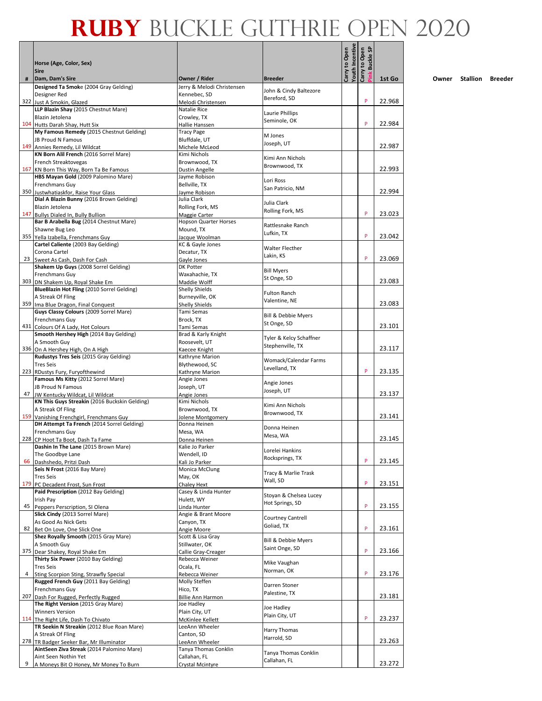|   | Horse (Age, Color, Sex)                                                               |                                           |                                             | <b>Youth Incentive</b><br>Carry to Open | <b>Buckle SP</b><br>Carry to Open |        |
|---|---------------------------------------------------------------------------------------|-------------------------------------------|---------------------------------------------|-----------------------------------------|-----------------------------------|--------|
| # | <b>Sire</b><br>Dam, Dam's Sire                                                        | Owner / Rider                             | <b>Breeder</b>                              |                                         | š                                 | 1st Go |
|   | Designed Ta Smoke (2004 Gray Gelding)                                                 | Jerry & Melodi Christensen                | John & Cindy Baltezore                      |                                         |                                   |        |
|   | Designer Red<br>322 Just A Smokin, Glazed                                             | Kennebec, SD<br>Melodi Christensen        | Bereford, SD                                |                                         | P                                 | 22.968 |
|   | LLP Blazin Shay (2015 Chestnut Mare)                                                  | Natalie Rice                              | Laurie Phillips                             |                                         |                                   |        |
|   | Blazin Jetolena<br>104 Hutts Darah Shay, Hutt Six                                     | Crowley, TX<br>Hallie Hanssen             | Seminole, OK                                |                                         | P                                 | 22.984 |
|   | My Famous Remedy (2015 Chestnut Gelding)                                              | <b>Tracy Page</b>                         | M Jones                                     |                                         |                                   |        |
|   | JB Proud N Famous<br>149 Annies Remedy, Lil Wildcat                                   | Bluffdale, UT<br>Michele McLeod           | Joseph, UT                                  |                                         |                                   | 22.987 |
|   | KN Born Alil French (2016 Sorrel Mare)                                                | Kimi Nichols                              | Kimi Ann Nichols                            |                                         |                                   |        |
|   | French Streaktovegas<br>167 KN Born This Way, Born Ta Be Famous                       | Brownwood, TX<br>Dustin Angelle           | Brownwood, TX                               |                                         |                                   | 22.993 |
|   | HBS Mayan Gold (2009 Palomino Mare)<br>Frenchmans Guy                                 | Jayme Robison<br>Bellville, TX            | Lori Ross                                   |                                         |                                   |        |
|   | 350 Justwhatiaskfor, Raise Your Glass                                                 | Jayme Robison                             | San Patricio, NM                            |                                         |                                   | 22.994 |
|   | Dial A Blazin Bunny (2016 Brown Gelding)<br>Blazin Jetolena                           | Julia Clark<br>Rolling Fork, MS           | Julia Clark                                 |                                         |                                   |        |
|   | 147 Bullys Dialed In, Bully Bullion                                                   | Maggie Carter                             | Rolling Fork, MS                            |                                         | P                                 | 23.023 |
|   | Bar B Arabella Bug (2014 Chestnut Mare)<br>Shawne Bug Leo                             | <b>Hopson Quarter Horses</b><br>Mound. TX | Rattlesnake Ranch                           |                                         |                                   |        |
|   | 355 Yella Izabella, Frenchmans Guy                                                    | Jacque Woolman                            | Lufkin, TX                                  |                                         | P                                 | 23.042 |
|   | Cartel Caliente (2003 Bay Gelding)<br>Corona Cartel                                   | KC & Gayle Jones<br>Decatur, TX           | Walter Flecther                             |                                         |                                   |        |
|   | 23 Sweet As Cash, Dash For Cash                                                       | Gayle Jones                               | Lakin, KS                                   |                                         | P                                 | 23.069 |
|   | Shakem Up Guys (2008 Sorrel Gelding)<br>Frenchmans Guy                                | <b>DK Potter</b><br>Waxahachie, TX        | <b>Bill Myers</b>                           |                                         |                                   |        |
|   | 303 DN Shakem Up, Royal Shake Em                                                      | Maddie Wolff                              | St Onge, SD                                 |                                         |                                   | 23.083 |
|   | BlueBlazin Hot Fling (2010 Sorrel Gelding)<br>A Streak Of Fling                       | <b>Shelly Shields</b><br>Burneyville, OK  | <b>Fulton Ranch</b>                         |                                         |                                   |        |
|   | 359 Ima Blue Dragon, Final Conquest<br>Guys Classy Colours (2009 Sorrel Mare)         | Shelly Shields<br>Tami Semas              | Valentine, NE                               |                                         |                                   | 23.083 |
|   | Frenchmans Guy                                                                        | Brock, TX                                 | Bill & Debbie Myers                         |                                         |                                   |        |
|   | 431 Colours Of A Lady, Hot Colours<br>Smooth Hershey High (2014 Bay Gelding)          | Tami Semas<br>Brad & Karly Knight         | St Onge, SD                                 |                                         |                                   | 23.101 |
|   | A Smooth Guy                                                                          | Roosevelt, UT                             | Tyler & Kelcy Schaffner<br>Stephenville, TX |                                         |                                   |        |
|   | 336 On A Hershey High, On A High<br>Rudustys Tres Seis (2015 Gray Gelding)            | Kaecee Knight<br>Kathryne Marion          |                                             |                                         |                                   | 23.117 |
|   | <b>Tres Seis</b>                                                                      | Blythewood, SC                            | Womack/Calendar Farms<br>Levelland, TX      |                                         |                                   |        |
|   | 223 RDustys Fury, Furyofthewind<br>Famous Ms Kitty (2012 Sorrel Mare)                 | Kathryne Marion<br>Angie Jones            |                                             |                                         | P                                 | 23.135 |
|   | <b>JB Proud N Famous</b>                                                              | Joseph, UT                                | Angie Jones<br>Joseph, UT                   |                                         |                                   |        |
|   | 47 JW Kentucky Wildcat, Lil Wildcat<br>KN This Guys Streakin (2016 Buckskin Gelding)  | Angie Jones<br>Kimi Nichols               | Kimi Ann Nichols                            |                                         |                                   | 23.137 |
|   | A Streak Of Fling<br>159 Vanishing Frenchgirl, Frenchmans Guy                         | Brownwood. TX<br>Jolene Montgomery        | Brownwood, TX                               |                                         |                                   | 23.141 |
|   | DH Attempt Ta French (2014 Sorrel Gelding)                                            | Donna Heinen                              | Donna Heinen                                |                                         |                                   |        |
|   | Frenchmans Guv<br>228 CP Hoot Ta Boot, Dash Ta Fame                                   | Mesa, WA<br>Donna Heinen                  | Mesa, WA                                    |                                         |                                   | 23.145 |
|   | Dashin In The Lane (2015 Brown Mare)                                                  | Kalie Jo Parker                           | Lorelei Hankins                             |                                         |                                   |        |
|   | The Goodbye Lane<br>66 Dashshedo, Pritzi Dash                                         | Wendell, ID<br>Kali Jo Parker             | Rocksprings, TX                             |                                         | P                                 | 23.145 |
|   | Seis N Frost (2016 Bay Mare)                                                          | Monica McClung                            | Tracy & Marlie Trask                        |                                         |                                   |        |
|   | <b>Tres Seis</b><br>179 PC Decadent Frost, Sun Frost                                  | May, OK<br>Chaley Hext                    | Wall, SD                                    |                                         | P                                 | 23.151 |
|   | Paid Prescription (2012 Bay Gelding)<br>Irish Pay                                     | Casey & Linda Hunter                      | Stoyan & Chelsea Lucey                      |                                         |                                   |        |
|   | 45 Peppers Perscription, SI Olena                                                     | Hulett, WY<br>Linda Hunter                | Hot Springs, SD                             |                                         | P                                 | 23.155 |
|   | Slick Cindy (2013 Sorrel Mare)<br>As Good As Nick Gets                                | Angie & Brant Moore<br>Canyon, TX         | Courtney Cantrell                           |                                         |                                   |        |
|   | 82 Bet On Love, One Slick One                                                         | Angie Moore                               | Goliad, TX                                  |                                         | P                                 | 23.161 |
|   | Shez Royally Smooth (2015 Gray Mare)<br>A Smooth Guy                                  | Scott & Lisa Gray<br>Stillwater, OK       | Bill & Debbie Myers                         |                                         |                                   |        |
|   | 375 Dear Shakey, Royal Shake Em                                                       | Callie Gray-Creager                       | Saint Onge, SD                              |                                         | P                                 | 23.166 |
|   | Thirty Six Power (2010 Bay Gelding)<br><b>Tres Seis</b>                               | Rebecca Weiner<br>Ocala, FL               | Mike Vaughan                                |                                         |                                   |        |
| 4 | Sting Scorpion Sting, Strawfly Special                                                | Rebecca Weiner                            | Norman, OK                                  |                                         | P                                 | 23.176 |
|   | Rugged French Guy (2011 Bay Gelding)<br>Frenchmans Guy                                | Molly Steffen<br>Hico, TX                 | Darren Stoner<br>Palestine, TX              |                                         |                                   |        |
|   | 207 Dash For Rugged, Perfectly Rugged<br>The Right Version (2015 Gray Mare)           | <b>Billie Ann Harmon</b><br>Joe Hadley    |                                             |                                         |                                   | 23.181 |
|   | <b>Winners Version</b>                                                                | Plain City, UT                            | Joe Hadley<br>Plain City, UT                |                                         |                                   |        |
|   | 114 The Right Life, Dash To Chivato<br>TR Seekin N Streakin (2012 Blue Roan Mare)     | McKinlee Kellett<br>LeeAnn Wheeler        |                                             |                                         | P                                 | 23.237 |
|   | A Streak Of Fling                                                                     | Canton, SD                                | Harry Thomas<br>Harrold, SD                 |                                         |                                   |        |
|   | 278 TR Badger Seeker Bar, Mr Illuminator<br>AintSeen Ziva Streak (2014 Palomino Mare) | LeeAnn Wheeler<br>Tanya Thomas Conklin    |                                             |                                         |                                   | 23.263 |
|   | Aint Seen Nothin Yet                                                                  | Callahan, FL                              | Tanya Thomas Conklin<br>Callahan, FL        |                                         |                                   |        |
| 9 | A Moneys Bit O Honey, Mr Money To Burn                                                | Crystal Mcintyre                          |                                             |                                         |                                   | 23.272 |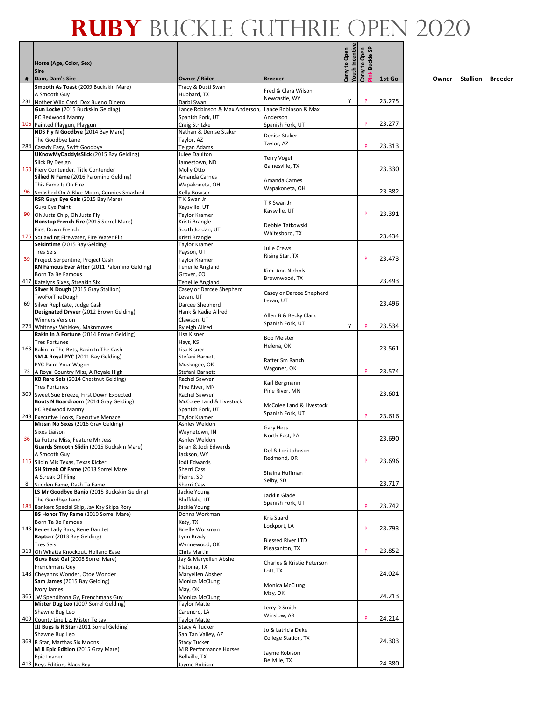|    | Horse (Age, Color, Sex)                                                            |                                                    |                                       | Youth Incentive<br>Carry to Open | <b>Buckle SP</b><br>Carry to Open |        |
|----|------------------------------------------------------------------------------------|----------------------------------------------------|---------------------------------------|----------------------------------|-----------------------------------|--------|
|    | <b>Sire</b>                                                                        |                                                    |                                       |                                  |                                   |        |
| #  | Dam, Dam's Sire<br>Smooth As Toast (2009 Buckskin Mare)                            | Owner / Rider<br>Tracy & Dusti Swan                | <b>Breeder</b>                        |                                  |                                   | 1st Go |
|    | A Smooth Guy                                                                       | Hubbard, TX                                        | Fred & Clara Wilson<br>Newcastle, WY  |                                  |                                   |        |
|    | 231 Nother Wild Card, Dox Bueno Dinero                                             | Darbi Swan                                         |                                       | Υ                                | P                                 | 23.275 |
|    | Gun Locke (2015 Buckskin Gelding)<br>PC Redwood Manny                              | Lance Robinson & Max Anderson,<br>Spanish Fork, UT | Lance Robinson & Max<br>Anderson      |                                  |                                   |        |
|    | 106 Painted Playgun, Playgun                                                       | Craig Stritzke                                     | Spanish Fork, UT                      |                                  | P                                 | 23.277 |
|    | NDS Fly N Goodbye (2014 Bay Mare)                                                  | Nathan & Denise Staker                             | Denise Staker                         |                                  |                                   |        |
|    | The Goodbye Lane                                                                   | Taylor, AZ                                         | Taylor, AZ                            |                                  | P                                 | 23.313 |
|    | 284 Casady Easy, Swift Goodbye<br><b>UKnowMyDaddyIsSlick (2015 Bay Gelding)</b>    | Teigan Adams<br>Julee Daulton                      |                                       |                                  |                                   |        |
|    | Slick By Design                                                                    | Jamestown, ND                                      | <b>Terry Vogel</b><br>Gainesville, TX |                                  |                                   |        |
|    | 150 Fiery Contender, Title Contender                                               | Molly Otto                                         |                                       |                                  |                                   | 23.330 |
|    | Silked N Fame (2016 Palomino Gelding)<br>This Fame Is On Fire                      | Amanda Carnes<br>Wapakoneta, OH                    | Amanda Carnes                         |                                  |                                   |        |
|    | 96 Smashed On A Blue Moon, Connies Smashed                                         | Kelly Bowser                                       | Wapakoneta, OH                        |                                  |                                   | 23.382 |
|    | RSR Guys Eye Gals (2015 Bay Mare)                                                  | T K Swan Jr                                        | T K Swan Jr                           |                                  |                                   |        |
|    | Guys Eye Paint                                                                     | Kaysville, UT                                      | Kaysville, UT                         |                                  | P                                 | 23.391 |
| 90 | Oh Justa Chip, Oh Justa Fly<br>Nonstop French Fire (2015 Sorrel Mare)              | Taylor Kramer<br>Kristi Brangle                    |                                       |                                  |                                   |        |
|    | First Down French                                                                  | South Jordan, UT                                   | Debbie Tatkowski                      |                                  |                                   |        |
|    | 176 Squawling Firewater, Fire Water Flit                                           | Kristi Brangle                                     | Whitesboro, TX                        |                                  |                                   | 23.434 |
|    | Seisintime (2015 Bay Gelding)                                                      | Taylor Kramer                                      | Julie Crews                           |                                  |                                   |        |
| 39 | <b>Tres Seis</b><br>Project Serpentine, Project Cash                               | Payson, UT<br>Taylor Kramer                        | Rising Star, TX                       |                                  | P                                 | 23.473 |
|    | KN Famous Ever After (2011 Palomino Gelding)                                       | Teneille Angland                                   |                                       |                                  |                                   |        |
|    | Born Ta Be Famous                                                                  | Grover, CO                                         | Kimi Ann Nichols<br>Brownwood, TX     |                                  |                                   |        |
|    | 417 Katelyns Sixes, Streakin Six                                                   | Teneille Angland                                   |                                       |                                  |                                   | 23.493 |
|    | Silver N Dough (2015 Gray Stallion)<br>TwoForTheDough                              | Casey or Darcee Shepherd<br>Levan, UT              | Casey or Darcee Shepherd              |                                  |                                   |        |
|    | 69 Silver Replicate, Judge Cash                                                    | Darcee Shepherd                                    | Levan, UT                             |                                  |                                   | 23.496 |
|    | Designated Dryver (2012 Brown Gelding)                                             | Hank & Kadie Allred                                | Allen B & Becky Clark                 |                                  |                                   |        |
|    | <b>Winners Version</b>                                                             | Clawson, UT                                        | Spanish Fork, UT                      | Y                                | P                                 | 23.534 |
|    | 274 Whitneys Whiskey, Maknmoves<br>Rakin In A Fortune (2014 Brown Gelding)         | Ryleigh Allred<br>Lisa Kisner                      |                                       |                                  |                                   |        |
|    | <b>Tres Fortunes</b>                                                               | Hays, KS                                           | <b>Bob Meister</b><br>Helena, OK      |                                  |                                   |        |
|    | 163 Rakin In The Bets, Rakin In The Cash                                           | Lisa Kisner                                        |                                       |                                  |                                   | 23.561 |
|    | SM A Royal PYC (2011 Bay Gelding)<br>PYC Paint Your Wagon                          | Stefani Barnett<br>Muskogee, OK                    | Rafter Sm Ranch                       |                                  |                                   |        |
|    | 73 A Royal Country Miss, A Royale High                                             | Stefani Barnett                                    | Wagoner, OK                           |                                  | P                                 | 23.574 |
|    | KB Rare Seis (2014 Chestnut Gelding)                                               | Rachel Sawyer                                      | Karl Bergmann                         |                                  |                                   |        |
|    | <b>Tres Fortunes</b>                                                               | Pine River, MN                                     | Pine River, MN                        |                                  |                                   | 23.601 |
|    | 309 Sweet Sue Breeze, First Down Expected<br>Boots N Boardroom (2014 Gray Gelding) | Rachel Sawyer<br>McColee Land & Livestock          |                                       |                                  |                                   |        |
|    | PC Redwood Manny                                                                   | Spanish Fork, UT                                   | McColee Land & Livestock              |                                  |                                   |        |
|    | 248 Executive Looks, Executive Menace                                              | Taylor Kramer                                      | Spanish Fork, UT                      |                                  | P                                 | 23.616 |
|    | Missin No Sixes (2016 Gray Gelding)<br>Sixes Liaison                               | Ashley Weldon                                      | Gary Hess                             |                                  |                                   |        |
|    | 36 La Futura Miss, Feature Mr Jess                                                 | Waynetown, IN<br>Ashlev Weldon                     | North East, PA                        |                                  |                                   | 23.690 |
|    | Guards Smooth Slidin (2015 Buckskin Mare)                                          | Brian & Jodi Edwards                               | Del & Lori Johnson                    |                                  |                                   |        |
|    | A Smooth Guy                                                                       | Jackson, WY                                        | Redmond, OR                           |                                  | P                                 | 23.696 |
|    | 115 Slidin Mis Texas, Texas Kicker<br>SH Streak Of Fame (2013 Sorrel Mare)         | Jodi Edwards<br>Sherri Cass                        |                                       |                                  |                                   |        |
|    | A Streak Of Fling                                                                  | Pierre, SD                                         | Shaina Huffman                        |                                  |                                   |        |
|    | 8 Sudden Fame, Dash Ta Fame                                                        | Sherri Cass                                        | Selby, SD                             |                                  |                                   | 23.717 |
|    | LS Mr Goodbye Banjo (2015 Buckskin Gelding)<br>The Goodbye Lane                    | Jackie Young<br>Bluffdale, UT                      | Jacklin Glade                         |                                  |                                   |        |
|    | 184 Bankers Special Skip, Jay Kay Skipa Rory                                       | Jackie Young                                       | Spanish Fork, UT                      |                                  | P                                 | 23.742 |
|    | BS Honor Thy Fame (2010 Sorrel Mare)                                               | Donna Workman                                      | Kris Suard                            |                                  |                                   |        |
|    | Born Ta Be Famous                                                                  | Katy, TX                                           | Lockport, LA                          |                                  | P                                 |        |
|    | 143 Renes Lady Bars, Rene Dan Jet<br>Raptorr (2013 Bay Gelding)                    | Brielle Workman<br>Lynn Brady                      |                                       |                                  |                                   | 23.793 |
|    | <b>Tres Seis</b>                                                                   | Wynnewood, OK                                      | <b>Blessed River LTD</b>              |                                  |                                   |        |
|    | 318 Oh Whatta Knockout, Holland Ease                                               | Chris Martin                                       | Pleasanton, TX                        |                                  | P                                 | 23.852 |
|    | Guys Best Gal (2008 Sorrel Mare)                                                   | Jay & Maryellen Absher                             | Charles & Kristie Peterson            |                                  |                                   |        |
|    | Frenchmans Guy<br>148 Cheyanns Wonder, Otoe Wonder                                 | Flatonia, TX<br>Maryellen Absher                   | Lott, TX                              |                                  |                                   | 24.024 |
|    | Sam James (2015 Bay Gelding)                                                       | Monica McClung                                     | Monica McClung                        |                                  |                                   |        |
|    | Ivory James                                                                        | May, OK                                            | May, OK                               |                                  |                                   |        |
|    | 365 JW Spenditona Gy, Frenchmans Guy<br>Mister Dug Leo (2007 Sorrel Gelding)       | Monica McClung<br>Taylor Matte                     |                                       |                                  |                                   | 24.213 |
|    | Shawne Bug Leo                                                                     | Carencro, LA                                       | Jerry D Smith                         |                                  |                                   |        |
|    | 409 County Line Liz, Mister Te Jay                                                 | <b>Taylor Matte</b>                                | Winslow, AR                           |                                  | P                                 | 24.214 |
|    | JJJ Bugs Is R Star (2011 Sorrel Gelding)                                           | Stacy A Tucker                                     | Jo & Latricia Duke                    |                                  |                                   |        |
|    | Shawne Bug Leo<br>369 R Star, Marthas Six Moons                                    | San Tan Valley, AZ<br>Stacy Tucker                 | College Station, TX                   |                                  |                                   | 24.303 |
|    | M R Epic Edition (2015 Gray Mare)                                                  | M R Performance Horses                             |                                       |                                  |                                   |        |
|    | Epic Leader                                                                        | Bellville, TX                                      | Jayme Robison<br>Bellville, TX        |                                  |                                   |        |
|    | 413 Reys Edition, Black Rey                                                        | Jayme Robison                                      |                                       |                                  |                                   | 24.380 |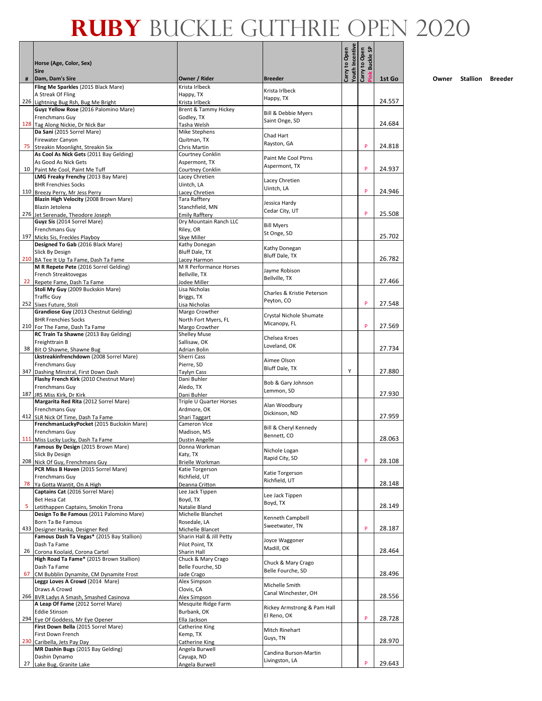|    |                                                                                 |                                               |                                 |                                  | <b>Buckle SP</b> |        |
|----|---------------------------------------------------------------------------------|-----------------------------------------------|---------------------------------|----------------------------------|------------------|--------|
|    | Horse (Age, Color, Sex)<br><b>Sire</b>                                          |                                               |                                 | Youth Incentive<br>Carry to Open | Carry to Open    |        |
| #  | Dam, Dam's Sire<br>Fling Me Sparkles (2015 Black Mare)                          | Owner / Rider<br>Krista Irlbeck               | <b>Breeder</b>                  |                                  |                  | 1st Go |
|    | A Streak Of Fling                                                               | Happy, TX                                     | Krista Irlbeck                  |                                  |                  |        |
|    | 226 Lightning Bug Rsh, Bug Me Bright                                            | Krista Irlbeck                                | Happy, TX                       |                                  |                  | 24.557 |
|    | Guyz Yellow Rose (2016 Palomino Mare)                                           | <b>Brent &amp; Tammy Hickey</b>               | Bill & Debbie Myers             |                                  |                  |        |
|    | Frenchmans Guy<br>128 Tag Along Nickie, Dr Nick Bar                             | Godley, TX<br>Tasha Welsh                     | Saint Onge, SD                  |                                  |                  | 24.684 |
|    | Da Sani (2015 Sorrel Mare)                                                      | Mike Stephens                                 |                                 |                                  |                  |        |
|    | Firewater Canyon                                                                | Quitman, TX                                   | Chad Hart<br>Rayston, GA        |                                  |                  |        |
|    | 75 Streakin Moonlight, Streakin Six<br>As Cool As Nick Gets (2011 Bay Gelding)  | Chris Martin<br>Courtney Conklin              |                                 |                                  | P                | 24.818 |
|    | As Good As Nick Gets                                                            | Aspermont, TX                                 | Paint Me Cool Ptrns             |                                  |                  |        |
|    | 10 Paint Me Cool, Paint Me Tuff                                                 | <b>Courtney Conklin</b>                       | Aspermont, TX                   |                                  | P                | 24.937 |
|    | LMG Freaky Frenchy (2013 Bay Mare)                                              | Lacey Chretien                                | Lacey Chretien                  |                                  |                  |        |
|    | <b>BHR Frenchies Socks</b><br>110 Breezy Perry, Mr Jess Perry                   | Uintch, LA<br>Lacey Chretien                  | Uintch, LA                      |                                  | P                | 24.946 |
|    | Blazin High Velocity (2008 Brown Mare)                                          | Tara Rafftery                                 |                                 |                                  |                  |        |
|    | Blazin Jetolena                                                                 | Stanchfield, MN                               | Jessica Hardy<br>Cedar City, UT |                                  |                  |        |
|    | 276 Jet Serenade, Theodore Joseph                                               | <b>Emily Rafftery</b>                         |                                 |                                  | P                | 25.508 |
|    | Guyz Sis (2014 Sorrel Mare)<br>Frenchmans Guy                                   | Dry Mountain Ranch LLC<br>Riley, OR           | <b>Bill Myers</b>               |                                  |                  |        |
|    | 197 Micks Sis, Freckles Playboy                                                 | Skye Miller                                   | St Onge, SD                     |                                  |                  | 25.702 |
|    | Designed To Gab (2016 Black Mare)                                               | Kathy Donegan                                 | Kathy Donegan                   |                                  |                  |        |
|    | Slick By Design                                                                 | <b>Bluff Dale, TX</b>                         | Bluff Dale, TX                  |                                  |                  | 26.782 |
|    | 210 BA Tee It Up Ta Fame, Dash Ta Fame<br>M R Repete Pete (2016 Sorrel Gelding) | Lacey Harmon<br><b>M R Performance Horses</b> |                                 |                                  |                  |        |
|    | French Streaktovegas                                                            | Bellville, TX                                 | Jayme Robison<br>Bellville. TX  |                                  |                  |        |
|    | 22 Repete Fame, Dash Ta Fame                                                    | Jodee Miller                                  |                                 |                                  |                  | 27.466 |
|    | Stoli My Guy (2009 Buckskin Mare)<br><b>Traffic Guv</b>                         | Lisa Nicholas                                 | Charles & Kristie Peterson      |                                  |                  |        |
|    | 252 Sixes Future, Stoli                                                         | Briggs, TX<br>Lisa Nicholas                   | Peyton, CO                      |                                  | P                | 27.548 |
|    | Grandiose Guy (2013 Chestnut Gelding)                                           | Margo Crowther                                | Crystal Nichole Shumate         |                                  |                  |        |
|    | <b>BHR Frenchies Socks</b>                                                      | North Fort Myers, FL                          | Micanopy, FL                    |                                  | P                |        |
|    | 210 For The Fame, Dash Ta Fame<br>RC Train Ta Shawne (2013 Bay Gelding)         | Margo Crowther<br><b>Shelley Muse</b>         |                                 |                                  |                  | 27.569 |
|    | Freighttrain B                                                                  | Sallisaw, OK                                  | Chelsea Kroes                   |                                  |                  |        |
|    | 38 Bit O Shawne, Shawne Bug                                                     | Adrian Bolin                                  | Loveland, OK                    |                                  |                  | 27.734 |
|    | Lkstreakinfrenchdown (2008 Sorrel Mare)                                         | Sherri Cass                                   | Aimee Olson                     |                                  |                  |        |
|    | Frenchmans Guy<br>347 Dashing Minstral, First Down Dash                         | Pierre, SD<br>Taylyn Cass                     | Bluff Dale, TX                  | Υ                                |                  | 27.880 |
|    | Flashy French Kirk (2010 Chestnut Mare)                                         | Dani Buhler                                   | Bob & Gary Johnson              |                                  |                  |        |
|    | Frenchmans Guy                                                                  | Aledo, TX                                     | Lemmon, SD                      |                                  |                  |        |
|    | 187 JRS Miss Kirk, Dr Kirk<br>Margarita Red Rita (2012 Sorrel Mare)             | Dani Buhler<br>Triple U Quarter Horses        |                                 |                                  |                  | 27.930 |
|    | Frenchmans Guy                                                                  | Ardmore, OK                                   | Alan Woodbury                   |                                  |                  |        |
|    | 412 SLR Nick Of Time, Dash Ta Fame                                              | Shari Taggart                                 | Dickinson, ND                   |                                  |                  | 27.959 |
|    | FrenchmanLuckyPocket (2015 Buckskin Mare)                                       | Cameron Vice                                  | Bill & Cheryl Kennedy           |                                  |                  |        |
|    | Frenchmans Guy<br>111 Miss Lucky Lucky, Dash Ta Fame                            | Madison, MS<br>Dustin Angelle                 | Bennett, CO                     |                                  |                  | 28.063 |
|    | Famous By Design (2015 Brown Mare)                                              | Donna Workman                                 | Nichole Logan                   |                                  |                  |        |
|    | Slick By Design                                                                 | Katy, TX                                      | Rapid City, SD                  |                                  |                  |        |
|    | 208 Nick Of Guy, Frenchmans Guy<br>PCR Miss B Haven (2015 Sorrel Mare)          | <b>Brielle Workman</b><br>Katie Torgerson     |                                 |                                  | P                | 28.108 |
|    | Frenchmans Guy                                                                  | Richfield, UT                                 | Katie Torgerson                 |                                  |                  |        |
|    | 78 Ya Gotta Wantit, On A High                                                   | Deanna Critton                                | Richfield, UT                   |                                  |                  | 28.148 |
|    | Captains Cat (2016 Sorrel Mare)                                                 | Lee Jack Tippen                               | Lee Jack Tippen                 |                                  |                  |        |
| 5  | Bet Hesa Cat<br>Letithappen Captains, Smokin Trona                              | Boyd, TX<br>Natalie Bland                     | Boyd, TX                        |                                  |                  | 28.149 |
|    | Design To Be Famous (2011 Palomino Mare)                                        | Michelle Blanchet                             | Kenneth Campbell                |                                  |                  |        |
|    | Born Ta Be Famous                                                               | Rosedale, LA                                  | Sweetwater, TN                  |                                  | P                |        |
|    | 433 Designer Hanka, Designer Red<br>Famous Dash Ta Vegas* (2015 Bay Stallion)   | Michelle Blancet<br>Sharin Hall & Jill Petty  |                                 |                                  |                  | 28.187 |
|    | Dash Ta Fame                                                                    | Pilot Point, TX                               | Joyce Waggoner                  |                                  |                  |        |
|    | 26 Corona Koolaid, Corona Cartel                                                | Sharin Hall                                   | Madill, OK                      |                                  |                  | 28.464 |
|    | High Road Ta Fame* (2015 Brown Stallion)                                        | Chuck & Mary Crago                            | Chuck & Mary Crago              |                                  |                  |        |
| 67 | Dash Ta Fame<br>CM Bubblin Dynamite, CM Dynamite Frost                          | Belle Fourche, SD<br>Jade Crago               | Belle Fourche, SD               |                                  |                  | 28.496 |
|    | Leggz Loves A Crowd (2014 Mare)                                                 | Alex Simpson                                  | Michelle Smith                  |                                  |                  |        |
|    | Draws A Crowd                                                                   | Clovis, CA                                    | Canal Winchester, OH            |                                  |                  |        |
|    | 266 BVR Ladys A Smash, Smashed Casinova<br>A Leap Of Fame (2012 Sorrel Mare)    | Alex Simpson<br>Mesquite Ridge Farm           |                                 |                                  |                  | 28.556 |
|    | <b>Eddie Stinson</b>                                                            | Burbank, OK                                   | Rickey Armstrong & Pam Hall     |                                  |                  |        |
|    | 294 Eye Of Goddess, Mr Eye Opener                                               | Ella Jackson                                  | El Reno, OK                     |                                  | P                | 28.728 |
|    | First Down Bella (2015 Sorrel Mare)                                             | Catherine King                                | Mitch Rinehart                  |                                  |                  |        |
|    | First Down French<br>230 Caribella, Jets Pay Day                                | Kemp, TX<br>Catherine King                    | Guys, TN                        |                                  |                  | 28.970 |
|    | MR Dashin Bugs (2015 Bay Gelding)                                               | Angela Burwell                                | Candina Burson-Martin           |                                  |                  |        |
|    | Dashin Dynamo                                                                   | Cayuga, ND                                    | Livingston, LA                  |                                  |                  |        |
|    | 27 Lake Bug, Granite Lake                                                       | Angela Burwell                                |                                 |                                  | P                | 29.643 |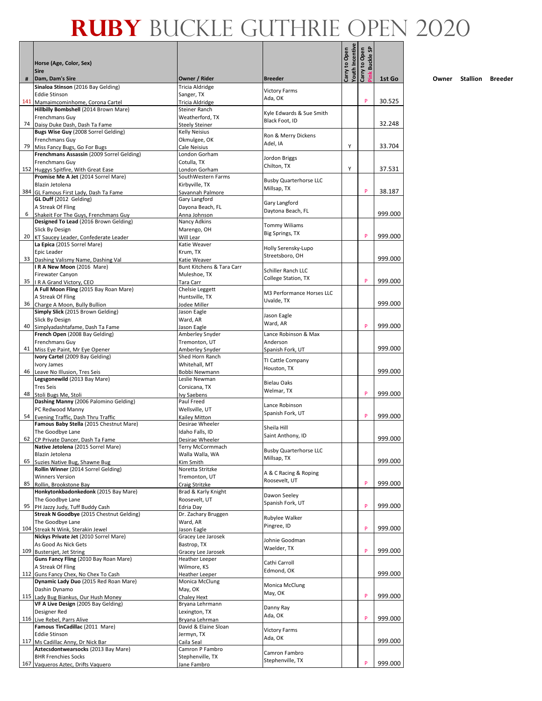|    | Horse (Age, Color, Sex)<br><b>Sire</b>                                        |                                       |                                         | Youth Incentive<br>Carry to Open | <b>Buckle SP</b><br>Carry to Open |         |
|----|-------------------------------------------------------------------------------|---------------------------------------|-----------------------------------------|----------------------------------|-----------------------------------|---------|
| #  | Dam, Dam's Sire                                                               | Owner / Rider                         | <b>Breeder</b>                          |                                  |                                   | 1st Go  |
|    | Sinaloa Stinson (2016 Bay Gelding)<br><b>Eddie Stinson</b>                    | Tricia Aldridge<br>Sanger, TX         | <b>Victory Farms</b>                    |                                  |                                   |         |
|    | 141 Mamaimcominhome, Corona Cartel                                            | <b>Tricia Aldridge</b>                | Ada, OK                                 |                                  | P                                 | 30.525  |
|    | Hillbilly Bombshell (2014 Brown Mare)<br>Frenchmans Guy                       | Steiner Ranch<br>Weatherford, TX      | Kyle Edwards & Sue Smith                |                                  |                                   |         |
|    | 74 Daisy Duke Dash, Dash Ta Fame                                              | <b>Steely Steiner</b>                 | Black Foot, ID                          |                                  |                                   | 32.248  |
|    | Bugs Wise Guy (2008 Sorrel Gelding)<br>Frenchmans Guy                         | <b>Kelly Neisius</b><br>Okmulgee, OK  | Ron & Merry Dickens                     |                                  |                                   |         |
|    | 79 Miss Fancy Bugs, Go For Bugs                                               | Cale Neisius                          | Adel. IA                                | Υ                                |                                   | 33.704  |
|    | Frenchmans Assassin (2009 Sorrel Gelding)<br>Frenchmans Guy                   | London Gorham<br>Cotulla, TX          | Jordon Briggs                           |                                  |                                   |         |
|    | 152 Huggys Spitfire, With Great Ease                                          | London Gorham                         | Chilton, TX                             | Υ                                |                                   | 37.531  |
|    | Promise Me A Jet (2014 Sorrel Mare)<br>Blazin Jetolena                        | SouthWestern Farms                    | <b>Busby Quarterhorse LLC</b>           |                                  |                                   |         |
|    | 384 GL Famous First Lady, Dash Ta Fame                                        | Kirbyville, TX<br>Savannah Palmore    | Millsap, TX                             |                                  | P                                 | 38.187  |
|    | GL Duff (2012 Gelding)                                                        | Gary Langford                         | Gary Langford                           |                                  |                                   |         |
| 6  | A Streak Of Fling<br>Shakeit For The Guys, Frenchmans Guy                     | Dayona Beach, FL<br>Anna Johnson      | Daytona Beach, FL                       |                                  |                                   | 999.000 |
|    | Designed To Lead (2016 Brown Gelding)                                         | Nancy Adkins                          | <b>Tommy Wiliams</b>                    |                                  |                                   |         |
|    | Slick By Design<br>20 KT Saucey Leader, Confederate Leader                    | Marengo, OH<br>Will Lear              | Big Springs, TX                         |                                  | P                                 | 999.000 |
|    | La Epica (2015 Sorrel Mare)                                                   | Katie Weaver                          | Holly Serensky-Lupo                     |                                  |                                   |         |
|    | Epic Leader<br>33 Dashing Valismy Name, Dashing Val                           | Krum, TX<br>Katie Weaver              | Streetsboro. OH                         |                                  |                                   | 999.000 |
|    | IRA New Moon (2016 Mare)                                                      | Bunt Kitchens & Tara Carr             | Schiller Ranch LLC                      |                                  |                                   |         |
|    | Firewater Canyon                                                              | Muleshoe. TX                          | College Station, TX                     |                                  | P                                 | 999.000 |
|    | 35   R A Grand Victory, CEO<br>A Full Moon Fling (2015 Bay Roan Mare)         | Tara Carr<br><b>Chelsie Leggett</b>   |                                         |                                  |                                   |         |
|    | A Streak Of Fling                                                             | Huntsville, TX                        | M3 Performance Horses LLC<br>Uvalde, TX |                                  |                                   |         |
|    | 36 Charge A Moon, Bully Bullion<br>Simply Slick (2015 Brown Gelding)          | Jodee Miller<br>Jason Eagle           |                                         |                                  |                                   | 999.000 |
|    | Slick By Design                                                               | Ward, AR                              | Jason Eagle<br>Ward, AR                 |                                  |                                   |         |
|    | 40 Simplyadashtafame, Dash Ta Fame                                            | Jason Eagle                           |                                         |                                  | P                                 | 999.000 |
|    | French Open (2008 Bay Gelding)<br><b>Frenchmans Guy</b>                       | Amberley Snyder<br>Tremonton, UT      | Lance Robinson & Max<br>Anderson        |                                  |                                   |         |
|    | 41 Miss Eye Paint, Mr Eye Opener                                              | Amberley Snyder                       | Spanish Fork, UT                        |                                  |                                   | 999.000 |
|    | Ivory Cartel (2009 Bay Gelding)<br>Ivory James                                | Shed Horn Ranch<br>Whitehall, MT      | TI Cattle Company                       |                                  |                                   |         |
|    | 46 Leave No Illusion, Tres Seis                                               | Bobbi Newmann                         | Houston, TX                             |                                  |                                   | 999.000 |
|    | Legsgonewild (2013 Bay Mare)<br><b>Tres Seis</b>                              | Leslie Newman<br>Corsicana. TX        | <b>Bielau Oaks</b>                      |                                  |                                   |         |
| 48 | Stoli Bugs Me, Stoli                                                          | Ivy Saebens                           | Welmar, TX                              |                                  | P                                 | 999.000 |
|    | Dashing Manny (2006 Palomino Gelding)                                         | Paul Freed                            | Lance Robinson                          |                                  |                                   |         |
|    | PC Redwood Manny<br>54 Evening Traffic, Dash Thru Traffic                     | Wellsville, UT<br>Kailey Mitton       | Spanish Fork, UT                        |                                  | P                                 | 999.000 |
|    | Famous Baby Stella (2015 Chestnut Mare)                                       | Desirae Wheeler                       | Sheila Hill                             |                                  |                                   |         |
|    | The Goodbye Lane<br>62 CP Private Dancer, Dash Ta Fame                        | Idaho Falls, ID<br>Desirae Wheeler    | Saint Anthony, ID                       |                                  |                                   | 999.000 |
|    | Native Jetolena (2015 Sorrel Mare)                                            | Terry McCormmach                      | <b>Busby Quarterhorse LLC</b>           |                                  |                                   |         |
|    | Blazin Jetolena                                                               | Walla Walla, WA                       | Millsap, TX                             |                                  |                                   | 999.000 |
|    | 65 Suzies Native Bug, Shawne Bug<br>Rollin Winner (2014 Sorrel Gelding)       | Kim Smith<br>Noretta Stritzke         |                                         |                                  |                                   |         |
|    | <b>Winners Version</b>                                                        | Tremonton, UT                         | A & C Racing & Roping<br>Roosevelt, UT  |                                  | P                                 | 999.000 |
|    | 85 Rollin, Brookstone Bay<br>Honkytonkbadonkedonk (2015 Bay Mare)             | Craig Stritzke<br>Brad & Karly Knight |                                         |                                  |                                   |         |
|    | The Goodbye Lane                                                              | Roosevelt, UT                         | Dawon Seeley<br>Spanish Fork, UT        |                                  | P                                 |         |
|    | 95 PH Jazzy Judy, Tuff Buddy Cash<br>Streak N Goodbye (2015 Chestnut Gelding) | Edria Day<br>Dr. Zachary Bruggen      |                                         |                                  |                                   | 999.000 |
|    | The Goodbye Lane                                                              | Ward, AR                              | Rubylee Walker<br>Pingree, ID           |                                  |                                   |         |
|    | 104 Streak N Wink, Sterakin Jewel<br>Nickys Private Jet (2010 Sorrel Mare)    | Jason Eagle<br>Gracey Lee Jarosek     |                                         |                                  | P                                 | 999.000 |
|    | As Good As Nick Gets                                                          | Bastrop, TX                           | Johnie Goodman                          |                                  |                                   |         |
|    | 109 Bustersjet, Jet String                                                    | Gracey Lee Jarosek                    | Waelder, TX                             |                                  | P                                 | 999.000 |
|    | Guns Fancy Fling (2010 Bay Roan Mare)<br>A Streak Of Fling                    | Heather Leeper<br>Wilmore, KS         | Cathi Carroll                           |                                  |                                   |         |
|    | 112 Guns Fancy Chex, No Chex To Cash                                          | Heather Leeper                        | Edmond, OK                              |                                  |                                   | 999.000 |
|    | Dynamic Lady Duo (2015 Red Roan Mare)<br>Dashin Dynamo                        | Monica McClung<br>May, OK             | Monica McClung                          |                                  |                                   |         |
|    | 115 Lady Bug Biankus, Our Hush Money                                          | Chaley Hext                           | May, OK                                 |                                  | P                                 | 999.000 |
|    | VF A Live Design (2005 Bay Gelding)<br>Designer Red                           | Bryana Lehrmann<br>Lexington, TX      | Danny Ray                               |                                  |                                   |         |
|    | 116 Live Rebel, Parrs Alive                                                   | Bryana Lehrman                        | Ada, OK                                 |                                  | P                                 | 999.000 |
|    | Famous TinCadillac (2011 Mare)                                                | David & Elaine Sloan                  | <b>Victory Farms</b>                    |                                  |                                   |         |
|    | <b>Eddie Stinson</b><br>117 Ms Cadillac Anny, Dr Nick Bar                     | Jermyn, TX<br>Caila Seal              | Ada, OK                                 |                                  |                                   | 999.000 |
|    | Aztecsdontwearsocks (2013 Bay Mare)                                           | Camron P Fambro                       | Camron Fambro                           |                                  |                                   |         |
|    | <b>BHR Frenchies Socks</b><br>167 Vaqueros Aztec, Drifts Vaquero              | Stephenville, TX<br>Jane Fambro       | Stephenville, TX                        |                                  | P                                 | 999.000 |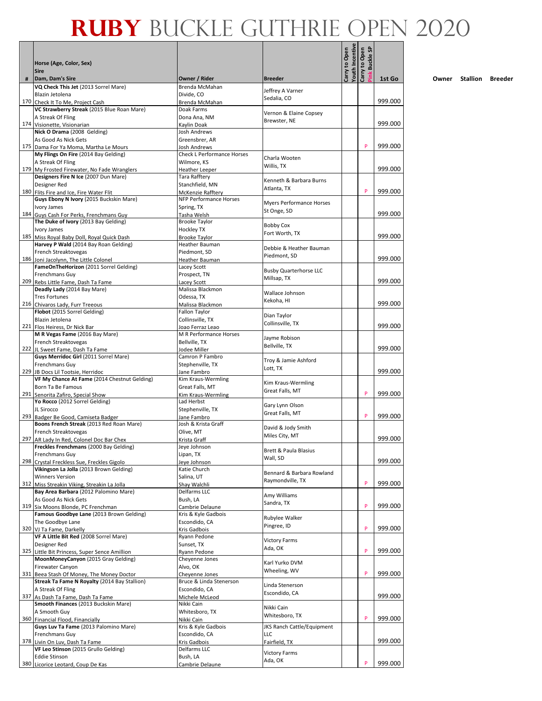|   |                                                                                    |                                             |                                         | Youth Incentive | <b>Buckle SP</b><br>Open |         |
|---|------------------------------------------------------------------------------------|---------------------------------------------|-----------------------------------------|-----------------|--------------------------|---------|
|   | Horse (Age, Color, Sex)<br><b>Sire</b>                                             |                                             | <b>Breeder</b>                          | Carry to Open   | Carry to<br>ink)         |         |
| # | Dam, Dam's Sire<br>VQ Check This Jet (2013 Sorrel Mare)                            | Owner / Rider<br>Brenda McMahan             |                                         |                 |                          | 1st Go  |
|   | Blazin Jetolena                                                                    | Divide, CO                                  | Jeffrey A Varner<br>Sedalia, CO         |                 |                          |         |
|   | 170 Check It To Me, Project Cash<br>VC Strawberry Streak (2015 Blue Roan Mare)     | Brenda McMahan<br>Doak Farms                |                                         |                 |                          | 999.000 |
|   | A Streak Of Fling                                                                  | Dona Ana, NM                                | Vernon & Elaine Copsey                  |                 |                          |         |
|   | 174 Visionette, Visionarian                                                        | Kaylin Doak                                 | Brewster, NE                            |                 |                          | 999.000 |
|   | Nick O Drama (2008 Gelding)<br>As Good As Nick Gets                                | Josh Andrews<br>Greensbrer, AR              |                                         |                 |                          |         |
|   | 175 Dama For Ya Moma, Martha Le Mours                                              | <b>Josh Andrews</b>                         |                                         |                 | P                        | 999.000 |
|   | My Flings On Fire (2014 Bay Gelding)                                               | <b>Check L Performance Horses</b>           | Charla Wooten                           |                 |                          |         |
|   | A Streak Of Fling<br>179 My Frosted Firewater, No Fade Wranglers                   | Wilmore, KS<br><b>Heather Leeper</b>        | Willis, TX                              |                 |                          | 999.000 |
|   | Designers Fire N Ice (2007 Dun Mare)                                               | Tara Rafftery                               | Kenneth & Barbara Burns                 |                 |                          |         |
|   | Designer Red                                                                       | Stanchfield, MN                             | Atlanta, TX                             |                 | P                        | 999.000 |
|   | 180 Flits Fire and Ice, Fire Water Flit<br>Guys Ebony N Ivory (2015 Buckskin Mare) | McKenzie Rafftery<br>NFP Performance Horses |                                         |                 |                          |         |
|   | Ivory James                                                                        | Spring, TX                                  | Myers Performance Horses<br>St Onge, SD |                 |                          |         |
|   | 184 Guys Cash For Perks, Frenchmans Guy                                            | Tasha Welsh<br><b>Brooke Taylor</b>         |                                         |                 |                          | 999.000 |
|   | The Duke of Ivory (2013 Bay Gelding)<br>Ivory James                                | Hockley TX                                  | <b>Bobby Cox</b>                        |                 |                          |         |
|   | 185 Miss Royal Baby Doll, Royal Quick Dash                                         | <b>Brooke Taylor</b>                        | Fort Worth, TX                          |                 |                          | 999.000 |
|   | Harvey P Wald (2014 Bay Roan Gelding)                                              | Heather Bauman                              | Debbie & Heather Bauman                 |                 |                          |         |
|   | French Streaktovegas<br>186 Joni Jacolynn, The Little Colonel                      | Piedmont, SD<br>Heather Bauman              | Piedmont, SD                            |                 |                          | 999.000 |
|   | FameOnTheHorizon (2011 Sorrel Gelding)                                             | Lacey Scott                                 | <b>Busby Quarterhorse LLC</b>           |                 |                          |         |
|   | Frenchmans Guy                                                                     | Prospect, TN                                | Millsap, TX                             |                 |                          | 999.000 |
|   | 209 Rebs Little Fame, Dash Ta Fame<br>Deadly Lady (2014 Bay Mare)                  | <b>Lacev Scott</b><br>Malissa Blackmon      |                                         |                 |                          |         |
|   | <b>Tres Fortunes</b>                                                               | Odessa, TX                                  | Wallace Johnson<br>Kekoha, HI           |                 |                          |         |
|   | 216 Chivaros Lady, Furr Treeous<br>Flobot (2015 Sorrel Gelding)                    | Malissa Blackmon                            |                                         |                 |                          | 999.000 |
|   | Blazin Jetolena                                                                    | Fallon Taylor<br>Collinsville, TX           | Dian Taylor                             |                 |                          |         |
|   | 221 Flos Heiress, Dr Nick Bar                                                      | Joao Ferraz Leao                            | Collinsville, TX                        |                 |                          | 999.000 |
|   | M R Vegas Fame (2016 Bay Mare)                                                     | M R Performance Horses                      | Jayme Robison                           |                 |                          |         |
|   | French Streaktovegas<br>222 JL Sweet Fame, Dash Ta Fame                            | Bellville, TX<br>Jodee Miller               | Bellville, TX                           |                 |                          | 999.000 |
|   | Guys Merridoc Girl (2011 Sorrel Mare)                                              | Camron P Fambro                             | Troy & Jamie Ashford                    |                 |                          |         |
|   | Frenchmans Guy<br>229 JB Docs Lil Tootsie, Herridoc                                | Stephenville, TX<br>Jane Fambro             | Lott, TX                                |                 |                          | 999.000 |
|   | VF My Chance At Fame (2014 Chestnut Gelding)                                       | Kim Kraus-Wermling                          |                                         |                 |                          |         |
|   | Born Ta Be Famous                                                                  | Great Falls, MT                             | Kim Kraus-Wermling<br>Great Falls, MT   |                 | P                        |         |
|   | 291 Senorita Zafiro, Special Show<br>Yo Rocco (2012 Sorrel Gelding)                | Kim Kraus-Wermling<br>Lad Herbst            |                                         |                 |                          | 999.000 |
|   | JL Sirocco                                                                         | Stephenville, TX                            | Gary Lynn Olson<br>Great Falls, MT      |                 |                          |         |
|   | 293 Badger Be Good, Camiseta Badger                                                | Jane Fambro                                 |                                         |                 | P                        | 999.000 |
|   | Boons French Streak (2013 Red Roan Mare)<br>French Streaktovegas                   | Josh & Krista Graff<br>Olive, MT            | David & Jody Smith                      |                 |                          |         |
|   | 297 AR Lady In Red, Colonel Doc Bar Chex                                           | Krista Graff                                | Miles City, MT                          |                 |                          | 999.000 |
|   | Freckles Frenchmans (2000 Bay Gelding)                                             | Jeye Johnson                                | Brett & Paula Blasius                   |                 |                          |         |
|   | Frenchmans Guy<br>298 Crystal Freckless Sue, Freckles Gigolo                       | Lipan, TX<br>Jeye Johnson                   | Wall, SD                                |                 |                          | 999.000 |
|   | Vikingson La Jolla (2013 Brown Gelding)                                            | Katie Church                                | Bennard & Barbara Rowland               |                 |                          |         |
|   | <b>Winners Version</b><br>312 Miss Streakin Viking, Streakin La Jolla              | Salina, UT                                  | Raymondville, TX                        |                 | P                        | 999.000 |
|   | Bay Area Barbara (2012 Palomino Mare)                                              | Shay Walchli<br>Delfarms LLC                |                                         |                 |                          |         |
|   | As Good As Nick Gets                                                               | Bush, LA                                    | Amy Williams<br>Sandra, TX              |                 |                          |         |
|   | 319 Six Moons Blonde, PC Frenchman<br>Famous Goodbye Lane (2013 Brown Gelding)     | Cambrie Delaune<br>Kris & Kyle Gadbois      |                                         |                 | P                        | 999.000 |
|   | The Goodbye Lane                                                                   | Escondido, CA                               | Rubylee Walker<br>Pingree, ID           |                 |                          |         |
|   | 320 VJ Ta Fame, Darkelly                                                           | Kris Gadbois                                |                                         |                 | P                        | 999.000 |
|   | VF A Little Bit Red (2008 Sorrel Mare)<br>Designer Red                             | Ryann Pedone<br>Sunset, TX                  | <b>Victory Farms</b>                    |                 |                          |         |
|   | 325 Little Bit Princess, Super Sence Amillion                                      | Ryann Pedone                                | Ada, OK                                 |                 | P                        | 999.000 |
|   | MoonMoneyCanyon (2015 Gray Gelding)                                                | Cheyenne Jones                              | Karl Yurko DVM                          |                 |                          |         |
|   | Firewater Canyon<br>331 Beea Stash Of Money, The Money Doctor                      | Alvo, OK<br>Cheyenne Jones                  | Wheeling, WV                            |                 | P                        | 999.000 |
|   | Streak Ta Fame N Royalty (2014 Bay Stallion)                                       | Bruce & Linda Stenerson                     | Linda Stenerson                         |                 |                          |         |
|   | A Streak Of Fling                                                                  | Escondido, CA                               | Escondido, CA                           |                 |                          | 999.000 |
|   | 337 As Dash Ta Fame, Dash Ta Fame<br>Smooth Finances (2013 Buckskin Mare)          | Michele McLeod<br>Nikki Cain                |                                         |                 |                          |         |
|   | A Smooth Guy                                                                       | Whitesboro, TX                              | Nikki Cain<br>Whitesboro, TX            |                 |                          |         |
|   | 360 Financial Flood, Financially<br>Guys Luv Ta Fame (2013 Palomino Mare)          | Nikki Cain<br>Kris & Kyle Gadbois           | JKS Ranch Cattle/Equipment              |                 | P                        | 999.000 |
|   | Frenchmans Guy                                                                     | Escondido, CA                               | LLC                                     |                 |                          |         |
|   | 378 Livin On Luv, Dash Ta Fame                                                     | Kris Gadbois                                | Fairfield, TX                           |                 |                          | 999.000 |
|   | VF Leo Stinson (2015 Grullo Gelding)<br><b>Eddie Stinson</b>                       | Delfarms LLC<br>Bush, LA                    | <b>Victory Farms</b>                    |                 |                          |         |
|   | 380 Licorice Leotard, Coup De Kas                                                  | Cambrie Delaune                             | Ada, OK                                 |                 | P                        | 999.000 |